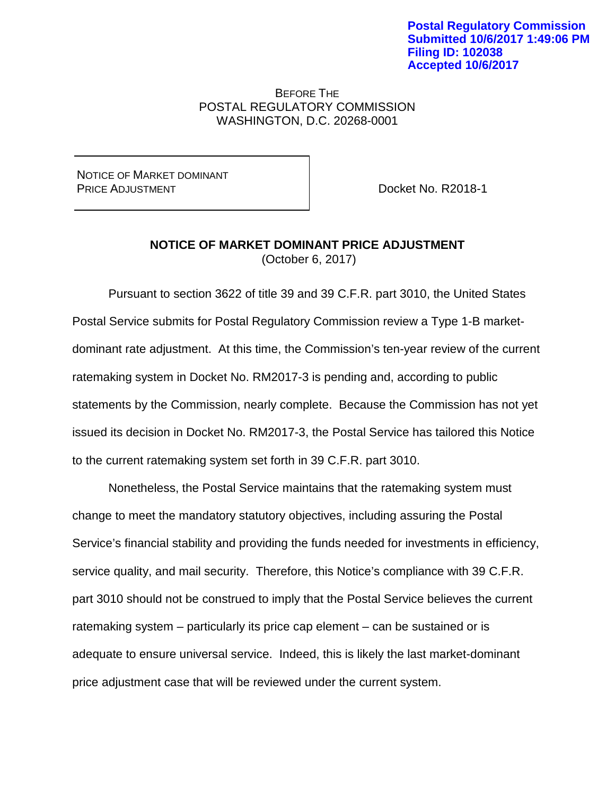## BEFORE THE POSTAL REGULATORY COMMISSION WASHINGTON, D.C. 20268-0001

NOTICE OF MARKET DOMINANT PRICE ADJUSTMENT

Docket No. R2018-1

## **NOTICE OF MARKET DOMINANT PRICE ADJUSTMENT**  (October 6, 2017)

Pursuant to section 3622 of title 39 and 39 C.F.R. part 3010, the United States Postal Service submits for Postal Regulatory Commission review a Type 1-B marketdominant rate adjustment. At this time, the Commission's ten-year review of the current ratemaking system in Docket No. RM2017-3 is pending and, according to public statements by the Commission, nearly complete. Because the Commission has not yet issued its decision in Docket No. RM2017-3, the Postal Service has tailored this Notice to the current ratemaking system set forth in 39 C.F.R. part 3010.

Nonetheless, the Postal Service maintains that the ratemaking system must change to meet the mandatory statutory objectives, including assuring the Postal Service's financial stability and providing the funds needed for investments in efficiency, service quality, and mail security. Therefore, this Notice's compliance with 39 C.F.R. part 3010 should not be construed to imply that the Postal Service believes the current ratemaking system – particularly its price cap element – can be sustained or is adequate to ensure universal service. Indeed, this is likely the last market-dominant price adjustment case that will be reviewed under the current system.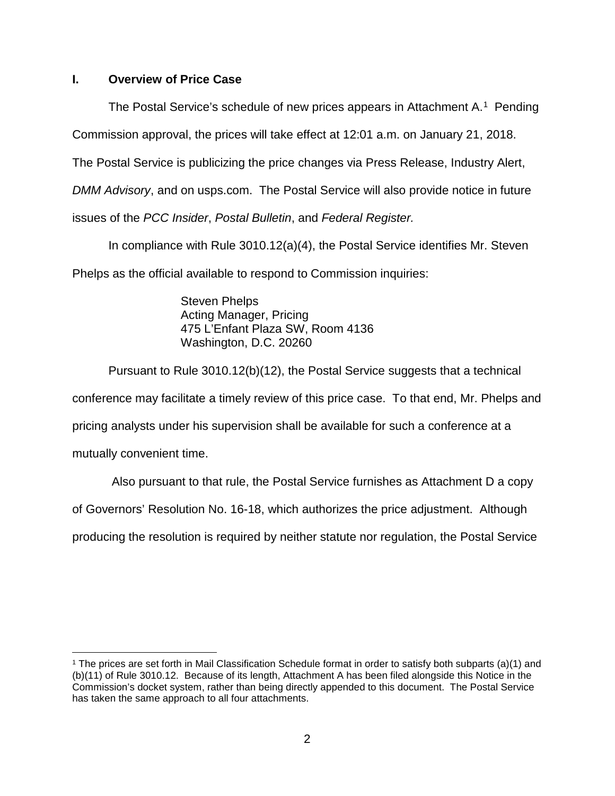# **I. Overview of Price Case**

The Postal Service's schedule of new prices appears in Attachment  $A<sup>1</sup>$  Pending

Commission approval, the prices will take effect at 12:01 a.m. on January 21, 2018.

The Postal Service is publicizing the price changes via Press Release, Industry Alert,

*DMM Advisory*, and on usps.com. The Postal Service will also provide notice in future

issues of the *PCC Insider*, *Postal Bulletin*, and *Federal Register.*

In compliance with Rule 3010.12(a)(4), the Postal Service identifies Mr. Steven Phelps as the official available to respond to Commission inquiries:

> Steven Phelps Acting Manager, Pricing 475 L'Enfant Plaza SW, Room 4136 Washington, D.C. 20260

Pursuant to Rule 3010.12(b)(12), the Postal Service suggests that a technical conference may facilitate a timely review of this price case. To that end, Mr. Phelps and pricing analysts under his supervision shall be available for such a conference at a mutually convenient time.

Also pursuant to that rule, the Postal Service furnishes as Attachment D a copy

of Governors' Resolution No. 16-18, which authorizes the price adjustment. Although

producing the resolution is required by neither statute nor regulation, the Postal Service

<span id="page-1-0"></span> <sup>1</sup> The prices are set forth in Mail Classification Schedule format in order to satisfy both subparts (a)(1) and (b)(11) of Rule 3010.12. Because of its length, Attachment A has been filed alongside this Notice in the Commission's docket system, rather than being directly appended to this document. The Postal Service has taken the same approach to all four attachments.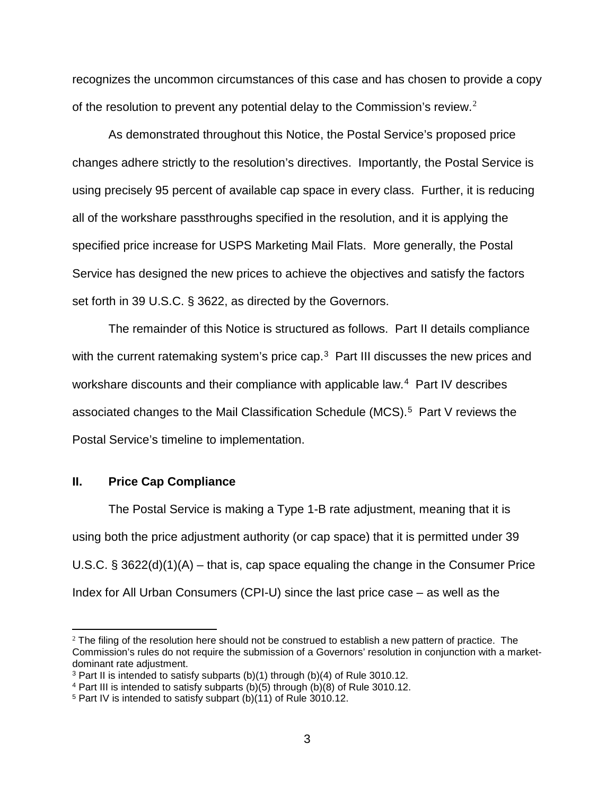recognizes the uncommon circumstances of this case and has chosen to provide a copy of the resolution to prevent any potential delay to the Commission's review.<sup>[2](#page-2-0)</sup>

As demonstrated throughout this Notice, the Postal Service's proposed price changes adhere strictly to the resolution's directives. Importantly, the Postal Service is using precisely 95 percent of available cap space in every class. Further, it is reducing all of the workshare passthroughs specified in the resolution, and it is applying the specified price increase for USPS Marketing Mail Flats. More generally, the Postal Service has designed the new prices to achieve the objectives and satisfy the factors set forth in 39 U.S.C. § 3622, as directed by the Governors.

The remainder of this Notice is structured as follows. Part II details compliance with the current ratemaking system's price cap.<sup>[3](#page-2-1)</sup> Part III discusses the new prices and workshare discounts and their compliance with applicable law.<sup>[4](#page-2-2)</sup> Part IV describes associated changes to the Mail Classification Schedule (MCS).[5](#page-2-3) Part V reviews the Postal Service's timeline to implementation.

#### **II. Price Cap Compliance**

 $\overline{a}$ 

The Postal Service is making a Type 1-B rate adjustment, meaning that it is using both the price adjustment authority (or cap space) that it is permitted under 39 U.S.C.  $\S 3622(d)(1)(A)$  – that is, cap space equaling the change in the Consumer Price Index for All Urban Consumers (CPI-U) since the last price case – as well as the

<span id="page-2-0"></span> $2$  The filing of the resolution here should not be construed to establish a new pattern of practice. The Commission's rules do not require the submission of a Governors' resolution in conjunction with a marketdominant rate adjustment.

<span id="page-2-1"></span><sup>&</sup>lt;sup>3</sup> Part II is intended to satisfy subparts (b)(1) through (b)(4) of Rule 3010.12.

<span id="page-2-2"></span><sup>4</sup> Part III is intended to satisfy subparts (b)(5) through (b)(8) of Rule 3010.12.

<span id="page-2-3"></span><sup>5</sup> Part IV is intended to satisfy subpart (b)(11) of Rule 3010.12.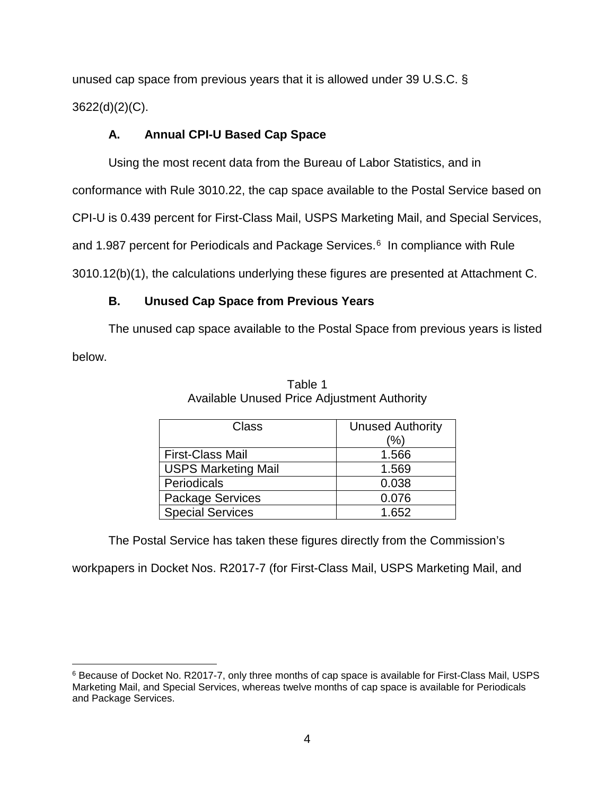unused cap space from previous years that it is allowed under 39 U.S.C. § 3622(d)(2)(C).

# **A. Annual CPI-U Based Cap Space**

Using the most recent data from the Bureau of Labor Statistics, and in

conformance with Rule 3010.22, the cap space available to the Postal Service based on

CPI-U is 0.439 percent for First-Class Mail, USPS Marketing Mail, and Special Services,

and 1.987 percent for Periodicals and Package Services.<sup>[6](#page-3-0)</sup> In compliance with Rule

3010.12(b)(1), the calculations underlying these figures are presented at Attachment C.

# **B. Unused Cap Space from Previous Years**

The unused cap space available to the Postal Space from previous years is listed below.

| Class                      | <b>Unused Authority</b> |  |
|----------------------------|-------------------------|--|
|                            | (%)                     |  |
| <b>First-Class Mail</b>    | 1.566                   |  |
| <b>USPS Marketing Mail</b> | 1.569                   |  |
| Periodicals                | 0.038                   |  |
| Package Services           | 0.076                   |  |
| <b>Special Services</b>    | 1.652                   |  |

Table 1 Available Unused Price Adjustment Authority

The Postal Service has taken these figures directly from the Commission's

workpapers in Docket Nos. R2017-7 (for First-Class Mail, USPS Marketing Mail, and

<span id="page-3-0"></span> <sup>6</sup> Because of Docket No. R2017-7, only three months of cap space is available for First-Class Mail, USPS Marketing Mail, and Special Services, whereas twelve months of cap space is available for Periodicals and Package Services.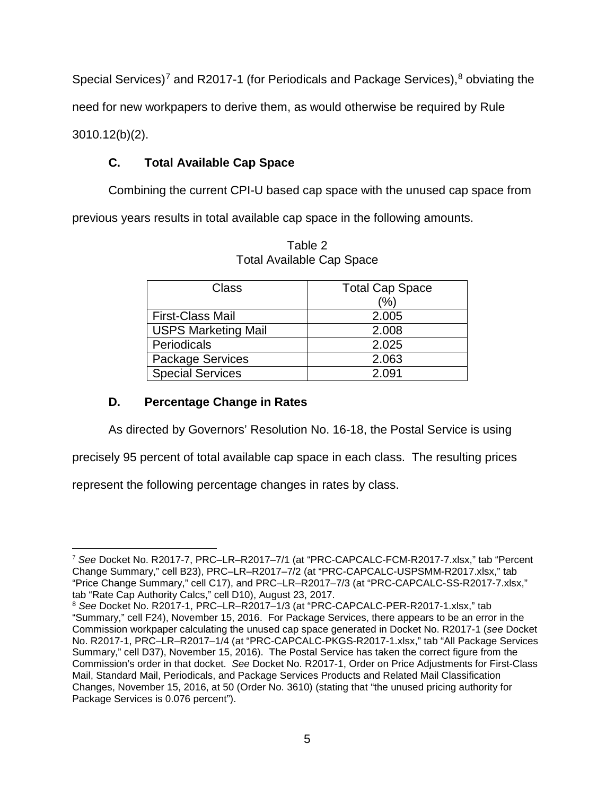Special Services)<sup>[7](#page-4-0)</sup> and R2017-1 (for Periodicals and Package Services), $8$  obviating the need for new workpapers to derive them, as would otherwise be required by Rule 3010.12(b)(2).

# **C. Total Available Cap Space**

Combining the current CPI-U based cap space with the unused cap space from

previous years results in total available cap space in the following amounts.

| Class                      | <b>Total Cap Space</b> |
|----------------------------|------------------------|
|                            | (%)                    |
| <b>First-Class Mail</b>    | 2.005                  |
| <b>USPS Marketing Mail</b> | 2.008                  |
| Periodicals                | 2.025                  |
| Package Services           | 2.063                  |
| <b>Special Services</b>    | 2.091                  |

Table 2 Total Available Cap Space

# **D. Percentage Change in Rates**

As directed by Governors' Resolution No. 16-18, the Postal Service is using

precisely 95 percent of total available cap space in each class. The resulting prices

represent the following percentage changes in rates by class.

<span id="page-4-0"></span> $\overline{a}$ <sup>7</sup> *See* Docket No. R2017-7, PRC–LR–R2017–7/1 (at "PRC-CAPCALC-FCM-R2017-7.xlsx," tab "Percent Change Summary," cell B23), PRC–LR–R2017–7/2 (at "PRC-CAPCALC-USPSMM-R2017.xlsx," tab "Price Change Summary," cell C17), and PRC–LR–R2017–7/3 (at "PRC-CAPCALC-SS-R2017-7.xlsx," tab "Rate Cap Authority Calcs," cell D10), August 23, 2017.

<span id="page-4-1"></span><sup>8</sup> *See* Docket No. R2017-1, PRC–LR–R2017–1/3 (at "PRC-CAPCALC-PER-R2017-1.xlsx," tab "Summary," cell F24), November 15, 2016. For Package Services, there appears to be an error in the Commission workpaper calculating the unused cap space generated in Docket No. R2017-1 (*see* Docket No. R2017-1, PRC–LR–R2017–1/4 (at "PRC-CAPCALC-PKGS-R2017-1.xlsx," tab "All Package Services Summary," cell D37), November 15, 2016). The Postal Service has taken the correct figure from the Commission's order in that docket. *See* Docket No. R2017-1, Order on Price Adjustments for First-Class Mail, Standard Mail, Periodicals, and Package Services Products and Related Mail Classification Changes, November 15, 2016, at 50 (Order No. 3610) (stating that "the unused pricing authority for Package Services is 0.076 percent").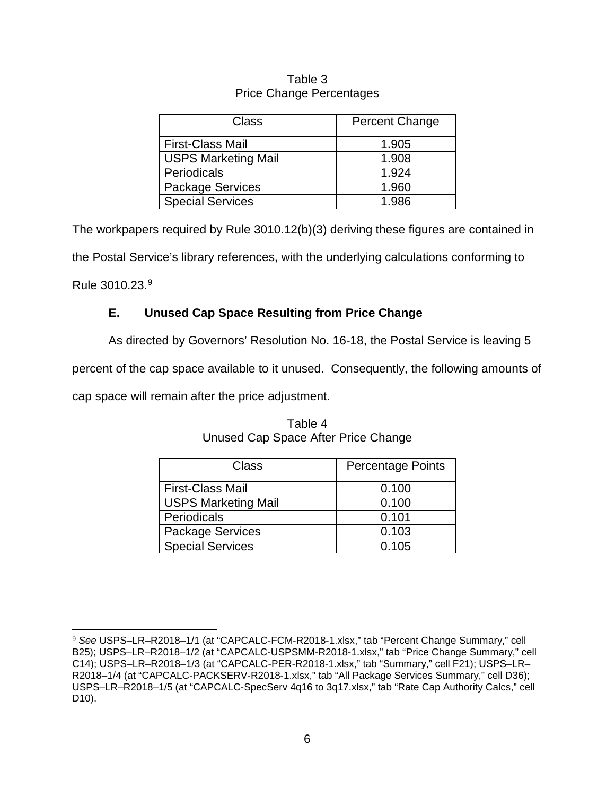## Table 3 Price Change Percentages

| Class                      | <b>Percent Change</b> |
|----------------------------|-----------------------|
| <b>First-Class Mail</b>    | 1.905                 |
| <b>USPS Marketing Mail</b> | 1.908                 |
| Periodicals                | 1.924                 |
| <b>Package Services</b>    | 1.960                 |
| <b>Special Services</b>    | 1.986                 |

The workpapers required by Rule 3010.12(b)(3) deriving these figures are contained in the Postal Service's library references, with the underlying calculations conforming to Rule 3010.23.[9](#page-5-0)

# **E. Unused Cap Space Resulting from Price Change**

As directed by Governors' Resolution No. 16-18, the Postal Service is leaving 5

percent of the cap space available to it unused. Consequently, the following amounts of

cap space will remain after the price adjustment.

| Class                      | <b>Percentage Points</b> |
|----------------------------|--------------------------|
| <b>First-Class Mail</b>    | 0.100                    |
| <b>USPS Marketing Mail</b> | 0.100                    |
| Periodicals                | 0.101                    |
| <b>Package Services</b>    | 0.103                    |
| <b>Special Services</b>    | 0.105                    |

# Table 4 Unused Cap Space After Price Change

<span id="page-5-0"></span> <sup>9</sup> *See* USPS–LR–R2018–1/1 (at "CAPCALC-FCM-R2018-1.xlsx," tab "Percent Change Summary," cell B25); USPS–LR–R2018–1/2 (at "CAPCALC-USPSMM-R2018-1.xlsx," tab "Price Change Summary," cell C14); USPS–LR–R2018–1/3 (at "CAPCALC-PER-R2018-1.xlsx," tab "Summary," cell F21); USPS–LR– R2018–1/4 (at "CAPCALC-PACKSERV-R2018-1.xlsx," tab "All Package Services Summary," cell D36); USPS–LR–R2018–1/5 (at "CAPCALC-SpecServ 4q16 to 3q17.xlsx," tab "Rate Cap Authority Calcs," cell D10).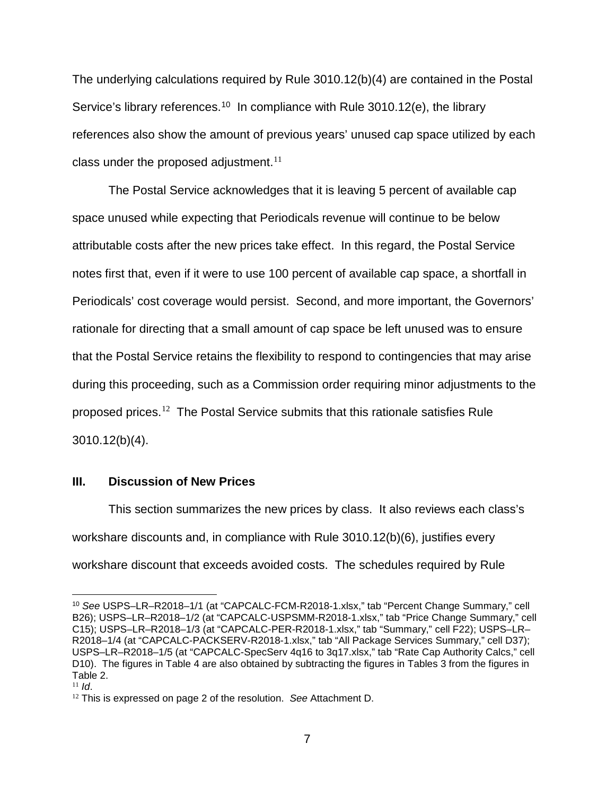The underlying calculations required by Rule 3010.12(b)(4) are contained in the Postal Service's library references.<sup>[10](#page-6-0)</sup> In compliance with Rule 3010.12(e), the library references also show the amount of previous years' unused cap space utilized by each class under the proposed adjustment.<sup>[11](#page-6-1)</sup>

The Postal Service acknowledges that it is leaving 5 percent of available cap space unused while expecting that Periodicals revenue will continue to be below attributable costs after the new prices take effect. In this regard, the Postal Service notes first that, even if it were to use 100 percent of available cap space, a shortfall in Periodicals' cost coverage would persist. Second, and more important, the Governors' rationale for directing that a small amount of cap space be left unused was to ensure that the Postal Service retains the flexibility to respond to contingencies that may arise during this proceeding, such as a Commission order requiring minor adjustments to the proposed prices.[12](#page-6-2) The Postal Service submits that this rationale satisfies Rule 3010.12(b)(4).

### **III. Discussion of New Prices**

This section summarizes the new prices by class. It also reviews each class's workshare discounts and, in compliance with Rule 3010.12(b)(6), justifies every workshare discount that exceeds avoided costs. The schedules required by Rule

<span id="page-6-0"></span> <sup>10</sup> *See* USPS–LR–R2018–1/1 (at "CAPCALC-FCM-R2018-1.xlsx," tab "Percent Change Summary," cell B26); USPS–LR–R2018–1/2 (at "CAPCALC-USPSMM-R2018-1.xlsx," tab "Price Change Summary," cell C15); USPS–LR–R2018–1/3 (at "CAPCALC-PER-R2018-1.xlsx," tab "Summary," cell F22); USPS–LR– R2018–1/4 (at "CAPCALC-PACKSERV-R2018-1.xlsx," tab "All Package Services Summary," cell D37); USPS–LR–R2018–1/5 (at "CAPCALC-SpecServ 4q16 to 3q17.xlsx," tab "Rate Cap Authority Calcs," cell D10). The figures in Table 4 are also obtained by subtracting the figures in Tables 3 from the figures in Table 2.

<span id="page-6-1"></span> $11$  *Id.* 

<span id="page-6-2"></span><sup>12</sup> This is expressed on page 2 of the resolution. *See* Attachment D.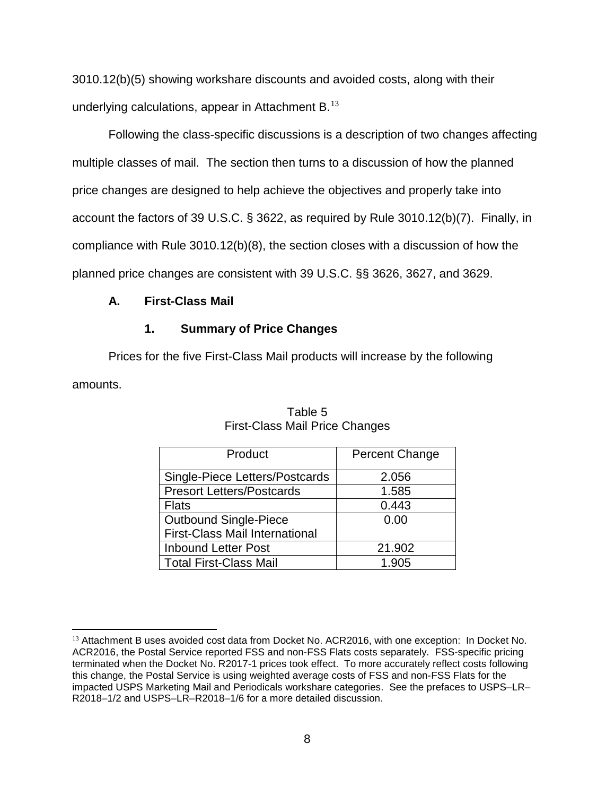3010.12(b)(5) showing workshare discounts and avoided costs, along with their underlying calculations, appear in Attachment B.[13](#page-7-0)

Following the class-specific discussions is a description of two changes affecting multiple classes of mail. The section then turns to a discussion of how the planned price changes are designed to help achieve the objectives and properly take into account the factors of 39 U.S.C. § 3622, as required by Rule 3010.12(b)(7). Finally, in compliance with Rule 3010.12(b)(8), the section closes with a discussion of how the planned price changes are consistent with 39 U.S.C. §§ 3626, 3627, and 3629.

# **A. First-Class Mail**

 $\overline{a}$ 

# **1. Summary of Price Changes**

Prices for the five First-Class Mail products will increase by the following amounts.

| Product                               | Percent Change |
|---------------------------------------|----------------|
| Single-Piece Letters/Postcards        | 2.056          |
| <b>Presort Letters/Postcards</b>      | 1.585          |
| <b>Flats</b>                          | 0.443          |
| <b>Outbound Single-Piece</b>          | 0.00           |
| <b>First-Class Mail International</b> |                |
| <b>Inbound Letter Post</b>            | 21.902         |
| <b>Total First-Class Mail</b>         | 1.905          |

Table 5 First-Class Mail Price Changes

<span id="page-7-0"></span><sup>13</sup> Attachment B uses avoided cost data from Docket No. ACR2016, with one exception: In Docket No. ACR2016, the Postal Service reported FSS and non-FSS Flats costs separately. FSS-specific pricing terminated when the Docket No. R2017-1 prices took effect. To more accurately reflect costs following this change, the Postal Service is using weighted average costs of FSS and non-FSS Flats for the impacted USPS Marketing Mail and Periodicals workshare categories. See the prefaces to USPS–LR– R2018–1/2 and USPS–LR–R2018–1/6 for a more detailed discussion.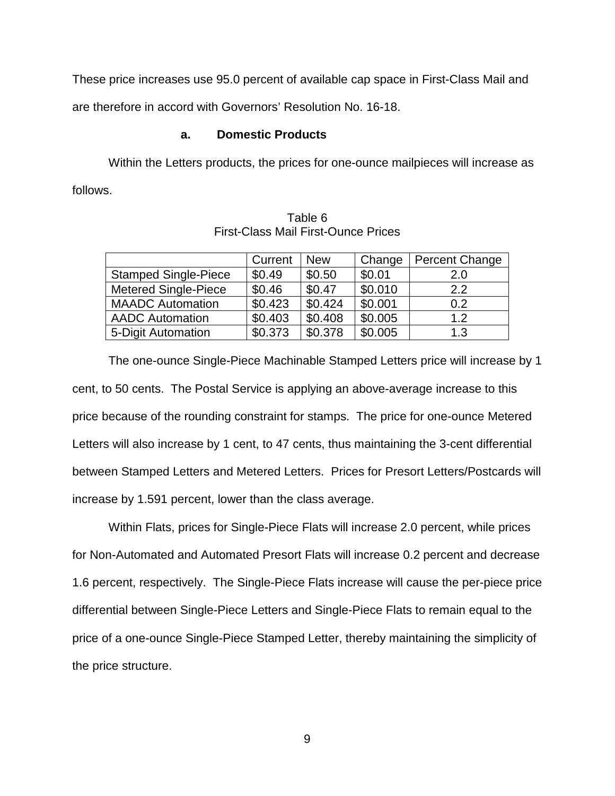These price increases use 95.0 percent of available cap space in First-Class Mail and

are therefore in accord with Governors' Resolution No. 16-18.

### **a. Domestic Products**

Within the Letters products, the prices for one-ounce mailpieces will increase as follows.

|                             | Current | <b>New</b> | Change  | <b>Percent Change</b> |
|-----------------------------|---------|------------|---------|-----------------------|
| <b>Stamped Single-Piece</b> | \$0.49  | \$0.50     | \$0.01  | 2.0                   |
| <b>Metered Single-Piece</b> | \$0.46  | \$0.47     | \$0.010 | 2.2                   |
| <b>MAADC</b> Automation     | \$0.423 | \$0.424    | \$0.001 | 0.2                   |
| <b>AADC Automation</b>      | \$0.403 | \$0.408    | \$0.005 | 1.2                   |
| 5-Digit Automation          | \$0.373 | \$0.378    | \$0.005 | 1.3                   |

Table 6 First-Class Mail First-Ounce Prices

The one-ounce Single-Piece Machinable Stamped Letters price will increase by 1 cent, to 50 cents. The Postal Service is applying an above-average increase to this price because of the rounding constraint for stamps. The price for one-ounce Metered Letters will also increase by 1 cent, to 47 cents, thus maintaining the 3-cent differential between Stamped Letters and Metered Letters. Prices for Presort Letters/Postcards will increase by 1.591 percent, lower than the class average.

Within Flats, prices for Single-Piece Flats will increase 2.0 percent, while prices for Non-Automated and Automated Presort Flats will increase 0.2 percent and decrease 1.6 percent, respectively. The Single-Piece Flats increase will cause the per-piece price differential between Single-Piece Letters and Single-Piece Flats to remain equal to the price of a one-ounce Single-Piece Stamped Letter, thereby maintaining the simplicity of the price structure.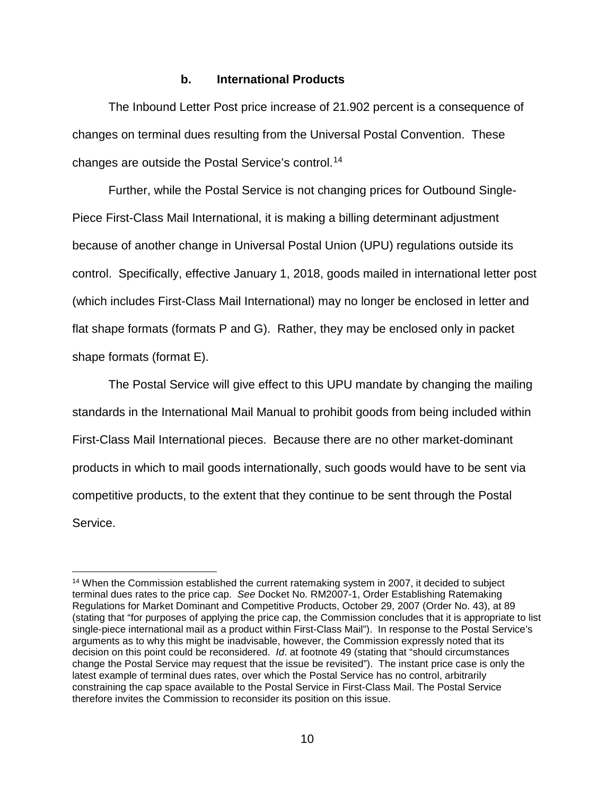#### **b. International Products**

The Inbound Letter Post price increase of 21.902 percent is a consequence of changes on terminal dues resulting from the Universal Postal Convention. These changes are outside the Postal Service's control.[14](#page-9-0)

Further, while the Postal Service is not changing prices for Outbound Single-Piece First-Class Mail International, it is making a billing determinant adjustment because of another change in Universal Postal Union (UPU) regulations outside its control. Specifically, effective January 1, 2018, goods mailed in international letter post (which includes First-Class Mail International) may no longer be enclosed in letter and flat shape formats (formats P and G). Rather, they may be enclosed only in packet shape formats (format E).

The Postal Service will give effect to this UPU mandate by changing the mailing standards in the International Mail Manual to prohibit goods from being included within First-Class Mail International pieces. Because there are no other market-dominant products in which to mail goods internationally, such goods would have to be sent via competitive products, to the extent that they continue to be sent through the Postal Service.

<span id="page-9-0"></span><sup>&</sup>lt;sup>14</sup> When the Commission established the current ratemaking system in 2007, it decided to subject terminal dues rates to the price cap. *See* Docket No. RM2007-1, Order Establishing Ratemaking Regulations for Market Dominant and Competitive Products, October 29, 2007 (Order No. 43), at 89 (stating that "for purposes of applying the price cap, the Commission concludes that it is appropriate to list single-piece international mail as a product within First-Class Mail"). In response to the Postal Service's arguments as to why this might be inadvisable, however, the Commission expressly noted that its decision on this point could be reconsidered. *Id*. at footnote 49 (stating that "should circumstances change the Postal Service may request that the issue be revisited"). The instant price case is only the latest example of terminal dues rates, over which the Postal Service has no control, arbitrarily constraining the cap space available to the Postal Service in First-Class Mail. The Postal Service therefore invites the Commission to reconsider its position on this issue.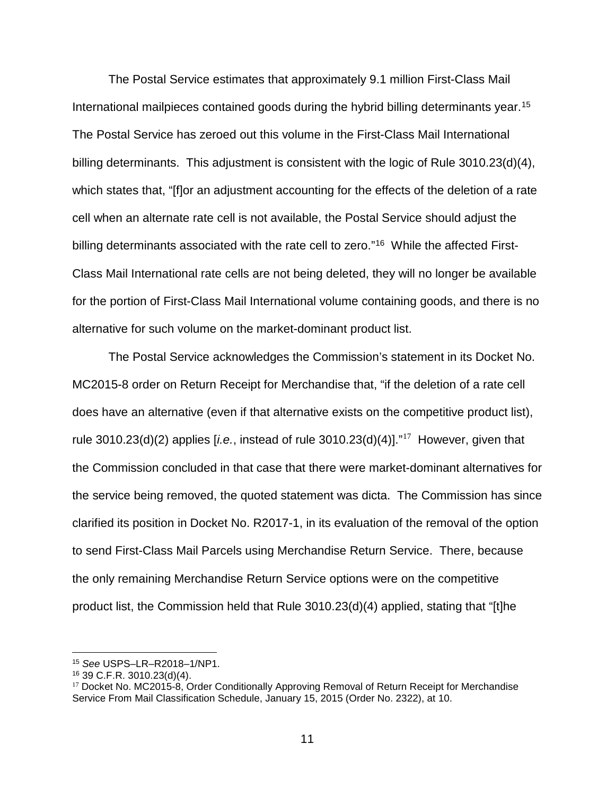The Postal Service estimates that approximately 9.1 million First-Class Mail International mailpieces contained goods during the hybrid billing determinants year.<sup>15</sup> The Postal Service has zeroed out this volume in the First-Class Mail International billing determinants. This adjustment is consistent with the logic of Rule 3010.23(d)(4), which states that, "[f]or an adjustment accounting for the effects of the deletion of a rate cell when an alternate rate cell is not available, the Postal Service should adjust the billing determinants associated with the rate cell to zero."<sup>16</sup> While the affected First-Class Mail International rate cells are not being deleted, they will no longer be available for the portion of First-Class Mail International volume containing goods, and there is no alternative for such volume on the market-dominant product list.

The Postal Service acknowledges the Commission's statement in its Docket No. MC2015-8 order on Return Receipt for Merchandise that, "if the deletion of a rate cell does have an alternative (even if that alternative exists on the competitive product list), rule 3010.23(d)(2) applies [*i.e.*, instead of rule 3010.23(d)(4)]." [17](#page-10-2) However, given that the Commission concluded in that case that there were market-dominant alternatives for the service being removed, the quoted statement was dicta. The Commission has since clarified its position in Docket No. R2017-1, in its evaluation of the removal of the option to send First-Class Mail Parcels using Merchandise Return Service. There, because the only remaining Merchandise Return Service options were on the competitive product list, the Commission held that Rule 3010.23(d)(4) applied, stating that "[t]he

<span id="page-10-0"></span> <sup>15</sup> *See* USPS–LR–R2018–1/NP1.

<span id="page-10-1"></span><sup>16</sup> 39 C.F.R. 3010.23(d)(4).

<span id="page-10-2"></span><sup>&</sup>lt;sup>17</sup> Docket No. MC2015-8, Order Conditionally Approving Removal of Return Receipt for Merchandise Service From Mail Classification Schedule, January 15, 2015 (Order No. 2322), at 10.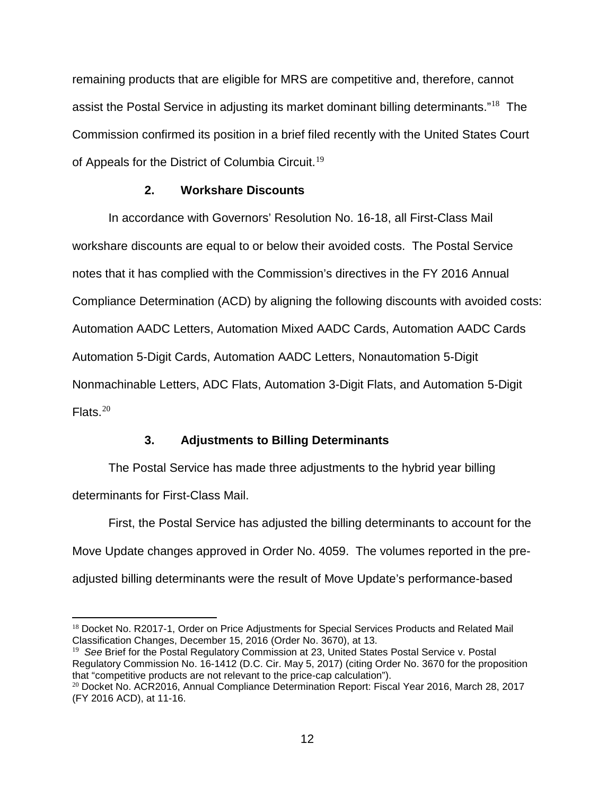remaining products that are eligible for MRS are competitive and, therefore, cannot assist the Postal Service in adjusting its market dominant billing determinants."[18](#page-11-0) The Commission confirmed its position in a brief filed recently with the United States Court of Appeals for the District of Columbia Circuit.<sup>[19](#page-11-1)</sup>

#### **2. Workshare Discounts**

In accordance with Governors' Resolution No. 16-18, all First-Class Mail workshare discounts are equal to or below their avoided costs. The Postal Service notes that it has complied with the Commission's directives in the FY 2016 Annual Compliance Determination (ACD) by aligning the following discounts with avoided costs: Automation AADC Letters, Automation Mixed AADC Cards, Automation AADC Cards Automation 5-Digit Cards, Automation AADC Letters, Nonautomation 5-Digit Nonmachinable Letters, ADC Flats, Automation 3-Digit Flats, and Automation 5-Digit Flats  $^{20}$  $^{20}$  $^{20}$ 

### **3. Adjustments to Billing Determinants**

The Postal Service has made three adjustments to the hybrid year billing determinants for First-Class Mail.

First, the Postal Service has adjusted the billing determinants to account for the Move Update changes approved in Order No. 4059. The volumes reported in the preadjusted billing determinants were the result of Move Update's performance-based

<span id="page-11-0"></span> $\overline{a}$ <sup>18</sup> Docket No. R2017-1, Order on Price Adjustments for Special Services Products and Related Mail Classification Changes, December 15, 2016 (Order No. 3670), at 13.

<span id="page-11-1"></span><sup>19</sup> *See* Brief for the Postal Regulatory Commission at 23, United States Postal Service v. Postal Regulatory Commission No. 16-1412 (D.C. Cir. May 5, 2017) (citing Order No. 3670 for the proposition that "competitive products are not relevant to the price-cap calculation").

<span id="page-11-2"></span> $20$  Docket No. ACR2016, Annual Compliance Determination Report: Fiscal Year 2016, March 28, 2017 (FY 2016 ACD), at 11-16.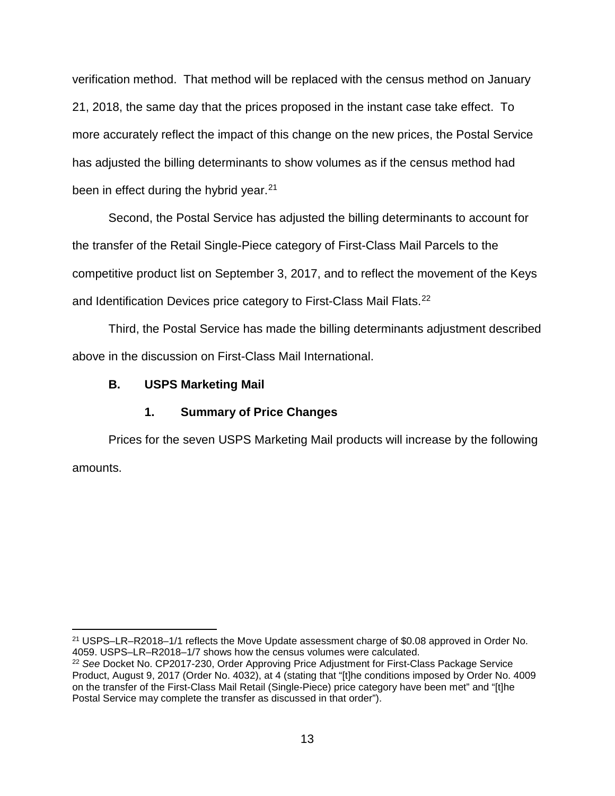verification method. That method will be replaced with the census method on January 21, 2018, the same day that the prices proposed in the instant case take effect. To more accurately reflect the impact of this change on the new prices, the Postal Service has adjusted the billing determinants to show volumes as if the census method had been in effect during the hybrid year.<sup>[21](#page-12-0)</sup>

Second, the Postal Service has adjusted the billing determinants to account for the transfer of the Retail Single-Piece category of First-Class Mail Parcels to the competitive product list on September 3, 2017, and to reflect the movement of the Keys and Identification Devices price category to First-Class Mail Flats.<sup>22</sup>

Third, the Postal Service has made the billing determinants adjustment described above in the discussion on First-Class Mail International.

# **B. USPS Marketing Mail**

# **1. Summary of Price Changes**

Prices for the seven USPS Marketing Mail products will increase by the following amounts.

<span id="page-12-0"></span> 21 USPS–LR–R2018–1/1 reflects the Move Update assessment charge of \$0.08 approved in Order No. 4059. USPS–LR–R2018–1/7 shows how the census volumes were calculated.

<span id="page-12-1"></span><sup>22</sup> *See* Docket No. CP2017-230, Order Approving Price Adjustment for First-Class Package Service Product, August 9, 2017 (Order No. 4032), at 4 (stating that "[t]he conditions imposed by Order No. 4009 on the transfer of the First-Class Mail Retail (Single-Piece) price category have been met" and "[t]he Postal Service may complete the transfer as discussed in that order").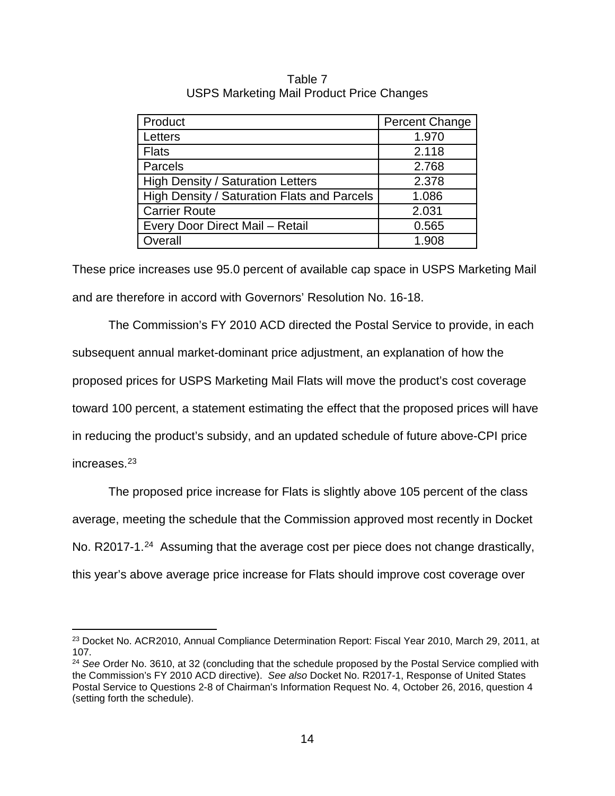| Product                                     | <b>Percent Change</b> |
|---------------------------------------------|-----------------------|
| Letters                                     | 1.970                 |
| <b>Flats</b>                                | 2.118                 |
| Parcels                                     | 2.768                 |
| <b>High Density / Saturation Letters</b>    | 2.378                 |
| High Density / Saturation Flats and Parcels | 1.086                 |
| <b>Carrier Route</b>                        | 2.031                 |
| Every Door Direct Mail - Retail             | 0.565                 |
| Overall                                     | 1.908                 |

Table 7 USPS Marketing Mail Product Price Changes

These price increases use 95.0 percent of available cap space in USPS Marketing Mail and are therefore in accord with Governors' Resolution No. 16-18.

The Commission's FY 2010 ACD directed the Postal Service to provide, in each subsequent annual market-dominant price adjustment, an explanation of how the proposed prices for USPS Marketing Mail Flats will move the product's cost coverage toward 100 percent, a statement estimating the effect that the proposed prices will have in reducing the product's subsidy, and an updated schedule of future above-CPI price increases.[23](#page-13-0)

The proposed price increase for Flats is slightly above 105 percent of the class average, meeting the schedule that the Commission approved most recently in Docket No. R2017-1.<sup>24</sup> Assuming that the average cost per piece does not change drastically, this year's above average price increase for Flats should improve cost coverage over

<span id="page-13-0"></span><sup>&</sup>lt;sup>23</sup> Docket No. ACR2010, Annual Compliance Determination Report: Fiscal Year 2010, March 29, 2011, at 107.

<span id="page-13-1"></span><sup>24</sup> *See* Order No. 3610, at 32 (concluding that the schedule proposed by the Postal Service complied with the Commission's FY 2010 ACD directive). *See also* Docket No. R2017-1, Response of United States Postal Service to Questions 2-8 of Chairman's Information Request No. 4, October 26, 2016, question 4 (setting forth the schedule).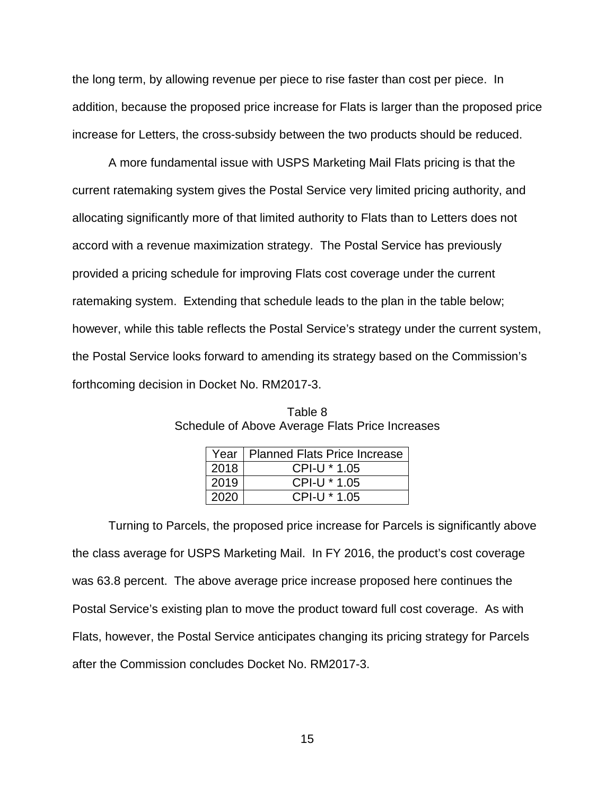the long term, by allowing revenue per piece to rise faster than cost per piece. In addition, because the proposed price increase for Flats is larger than the proposed price increase for Letters, the cross-subsidy between the two products should be reduced.

A more fundamental issue with USPS Marketing Mail Flats pricing is that the current ratemaking system gives the Postal Service very limited pricing authority, and allocating significantly more of that limited authority to Flats than to Letters does not accord with a revenue maximization strategy. The Postal Service has previously provided a pricing schedule for improving Flats cost coverage under the current ratemaking system. Extending that schedule leads to the plan in the table below; however, while this table reflects the Postal Service's strategy under the current system, the Postal Service looks forward to amending its strategy based on the Commission's forthcoming decision in Docket No. RM2017-3.

|      | Year   Planned Flats Price Increase |
|------|-------------------------------------|
| 2018 | CPI-U * 1.05                        |
| 2019 | $CPI-U * 1.05$                      |
| 2020 | CPI-U * 1.05                        |

| Table 8                                         |
|-------------------------------------------------|
| Schedule of Above Average Flats Price Increases |

Turning to Parcels, the proposed price increase for Parcels is significantly above the class average for USPS Marketing Mail. In FY 2016, the product's cost coverage was 63.8 percent. The above average price increase proposed here continues the Postal Service's existing plan to move the product toward full cost coverage. As with Flats, however, the Postal Service anticipates changing its pricing strategy for Parcels after the Commission concludes Docket No. RM2017-3.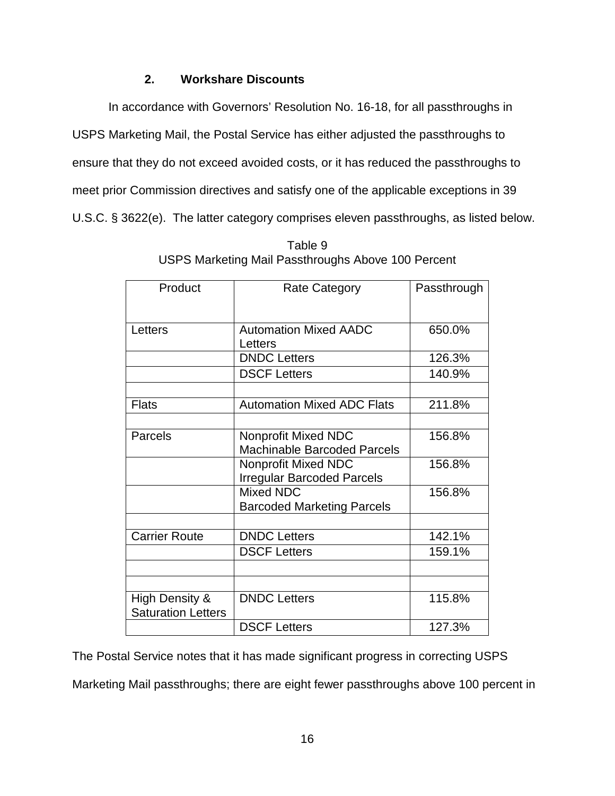# **2. Workshare Discounts**

In accordance with Governors' Resolution No. 16-18, for all passthroughs in USPS Marketing Mail, the Postal Service has either adjusted the passthroughs to ensure that they do not exceed avoided costs, or it has reduced the passthroughs to meet prior Commission directives and satisfy one of the applicable exceptions in 39 U.S.C. § 3622(e). The latter category comprises eleven passthroughs, as listed below.

| Product                                     | Rate Category                                                    | Passthrough |
|---------------------------------------------|------------------------------------------------------------------|-------------|
| Letters                                     | <b>Automation Mixed AADC</b><br>Letters                          | 650.0%      |
|                                             | <b>DNDC Letters</b>                                              | 126.3%      |
|                                             | <b>DSCF Letters</b>                                              | 140.9%      |
|                                             |                                                                  |             |
| <b>Flats</b>                                | <b>Automation Mixed ADC Flats</b>                                | 211.8%      |
|                                             |                                                                  |             |
| Parcels                                     | <b>Nonprofit Mixed NDC</b><br><b>Machinable Barcoded Parcels</b> | 156.8%      |
|                                             | Nonprofit Mixed NDC<br><b>Irregular Barcoded Parcels</b>         | 156.8%      |
|                                             | Mixed NDC<br><b>Barcoded Marketing Parcels</b>                   | 156.8%      |
|                                             |                                                                  |             |
| <b>Carrier Route</b>                        | <b>DNDC Letters</b>                                              | 142.1%      |
|                                             | <b>DSCF Letters</b>                                              | 159.1%      |
|                                             |                                                                  |             |
|                                             |                                                                  |             |
| High Density &<br><b>Saturation Letters</b> | <b>DNDC Letters</b>                                              | 115.8%      |
|                                             | <b>DSCF Letters</b>                                              | 127.3%      |

| Table 9                                            |  |
|----------------------------------------------------|--|
| USPS Marketing Mail Passthroughs Above 100 Percent |  |

The Postal Service notes that it has made significant progress in correcting USPS

Marketing Mail passthroughs; there are eight fewer passthroughs above 100 percent in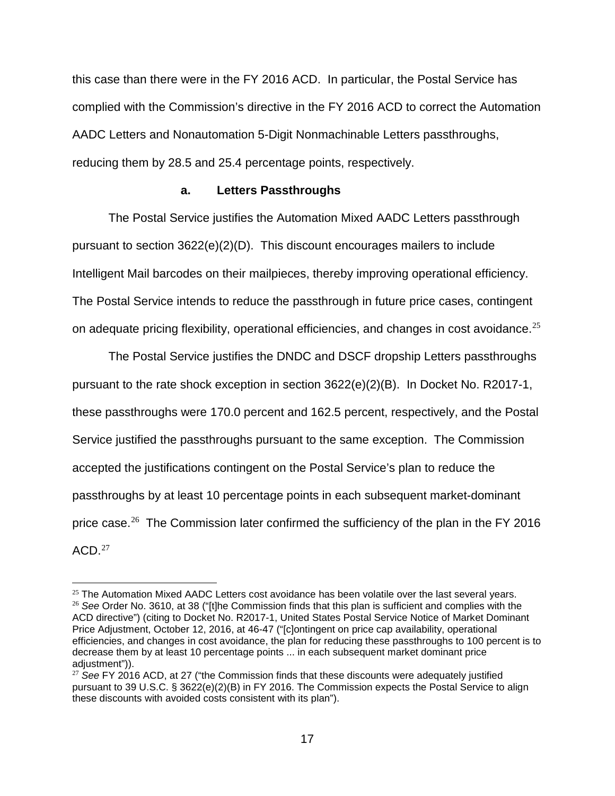this case than there were in the FY 2016 ACD. In particular, the Postal Service has complied with the Commission's directive in the FY 2016 ACD to correct the Automation AADC Letters and Nonautomation 5-Digit Nonmachinable Letters passthroughs, reducing them by 28.5 and 25.4 percentage points, respectively.

#### **a. Letters Passthroughs**

The Postal Service justifies the Automation Mixed AADC Letters passthrough pursuant to section 3622(e)(2)(D). This discount encourages mailers to include Intelligent Mail barcodes on their mailpieces, thereby improving operational efficiency. The Postal Service intends to reduce the passthrough in future price cases, contingent on adequate pricing flexibility, operational efficiencies, and changes in cost avoidance.<sup>[25](#page-16-0)</sup>

The Postal Service justifies the DNDC and DSCF dropship Letters passthroughs pursuant to the rate shock exception in section  $3622(e)(2)(B)$ . In Docket No. R2017-1, these passthroughs were 170.0 percent and 162.5 percent, respectively, and the Postal Service justified the passthroughs pursuant to the same exception. The Commission accepted the justifications contingent on the Postal Service's plan to reduce the passthroughs by at least 10 percentage points in each subsequent market-dominant price case.<sup>[26](#page-16-1)</sup> The Commission later confirmed the sufficiency of the plan in the FY 2016  $ACD<sup>27</sup>$  $ACD<sup>27</sup>$  $ACD<sup>27</sup>$ 

<span id="page-16-1"></span><span id="page-16-0"></span> $25$  The Automation Mixed AADC Letters cost avoidance has been volatile over the last several vears. <sup>26</sup> *See* Order No. 3610, at 38 ("[t]he Commission finds that this plan is sufficient and complies with the ACD directive") (citing to Docket No. R2017-1, United States Postal Service Notice of Market Dominant Price Adjustment, October 12, 2016, at 46-47 ("[c]ontingent on price cap availability, operational efficiencies, and changes in cost avoidance, the plan for reducing these passthroughs to 100 percent is to decrease them by at least 10 percentage points ... in each subsequent market dominant price adjustment")).

<span id="page-16-2"></span><sup>&</sup>lt;sup>27</sup> See FY 2016 ACD, at 27 ("the Commission finds that these discounts were adequately justified pursuant to 39 U.S.C. § 3622(e)(2)(B) in FY 2016. The Commission expects the Postal Service to align these discounts with avoided costs consistent with its plan").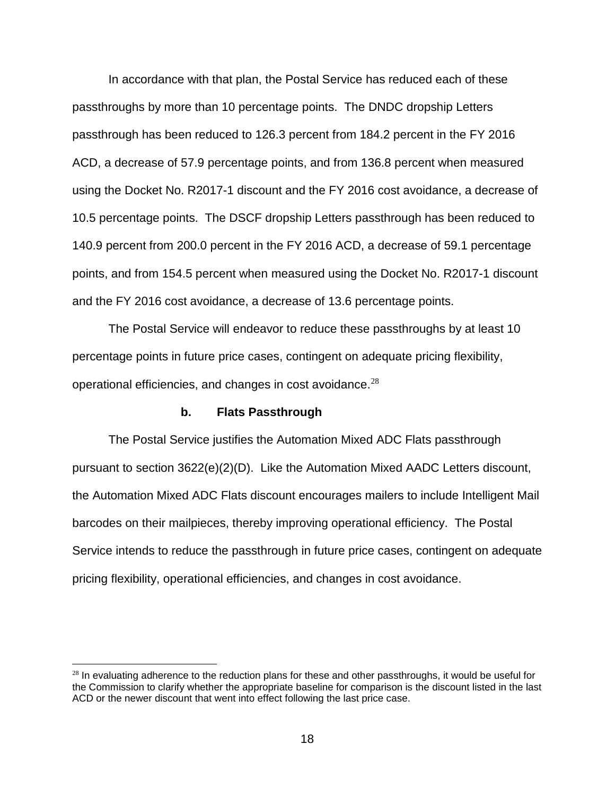In accordance with that plan, the Postal Service has reduced each of these passthroughs by more than 10 percentage points. The DNDC dropship Letters passthrough has been reduced to 126.3 percent from 184.2 percent in the FY 2016 ACD, a decrease of 57.9 percentage points, and from 136.8 percent when measured using the Docket No. R2017-1 discount and the FY 2016 cost avoidance, a decrease of 10.5 percentage points. The DSCF dropship Letters passthrough has been reduced to 140.9 percent from 200.0 percent in the FY 2016 ACD, a decrease of 59.1 percentage points, and from 154.5 percent when measured using the Docket No. R2017-1 discount and the FY 2016 cost avoidance, a decrease of 13.6 percentage points.

The Postal Service will endeavor to reduce these passthroughs by at least 10 percentage points in future price cases, contingent on adequate pricing flexibility, operational efficiencies, and changes in cost avoidance. $28$ 

#### **b. Flats Passthrough**

 $\overline{a}$ 

The Postal Service justifies the Automation Mixed ADC Flats passthrough pursuant to section 3622(e)(2)(D). Like the Automation Mixed AADC Letters discount, the Automation Mixed ADC Flats discount encourages mailers to include Intelligent Mail barcodes on their mailpieces, thereby improving operational efficiency. The Postal Service intends to reduce the passthrough in future price cases, contingent on adequate pricing flexibility, operational efficiencies, and changes in cost avoidance.

<span id="page-17-0"></span> $28$  In evaluating adherence to the reduction plans for these and other passthroughs, it would be useful for the Commission to clarify whether the appropriate baseline for comparison is the discount listed in the last ACD or the newer discount that went into effect following the last price case.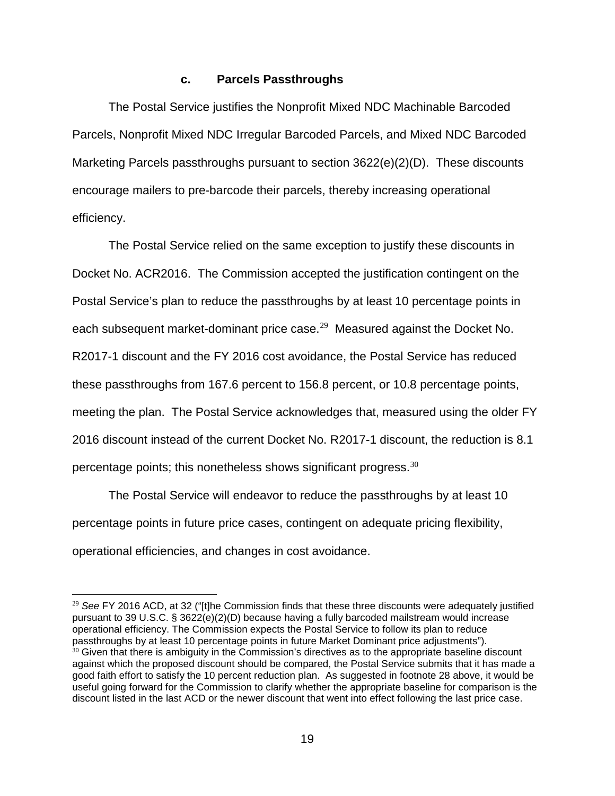#### **c. Parcels Passthroughs**

The Postal Service justifies the Nonprofit Mixed NDC Machinable Barcoded Parcels, Nonprofit Mixed NDC Irregular Barcoded Parcels, and Mixed NDC Barcoded Marketing Parcels passthroughs pursuant to section 3622(e)(2)(D). These discounts encourage mailers to pre-barcode their parcels, thereby increasing operational efficiency.

The Postal Service relied on the same exception to justify these discounts in Docket No. ACR2016. The Commission accepted the justification contingent on the Postal Service's plan to reduce the passthroughs by at least 10 percentage points in each subsequent market-dominant price case.<sup>[29](#page-18-0)</sup> Measured against the Docket No. R2017-1 discount and the FY 2016 cost avoidance, the Postal Service has reduced these passthroughs from 167.6 percent to 156.8 percent, or 10.8 percentage points, meeting the plan. The Postal Service acknowledges that, measured using the older FY 2016 discount instead of the current Docket No. R2017-1 discount, the reduction is 8.1 percentage points; this nonetheless shows significant progress.  $^{30}$  $^{30}$  $^{30}$ 

The Postal Service will endeavor to reduce the passthroughs by at least 10 percentage points in future price cases, contingent on adequate pricing flexibility, operational efficiencies, and changes in cost avoidance.

<span id="page-18-0"></span><sup>29</sup> *See* FY 2016 ACD, at 32 ("[t]he Commission finds that these three discounts were adequately justified pursuant to 39 U.S.C. § 3622(e)(2)(D) because having a fully barcoded mailstream would increase operational efficiency. The Commission expects the Postal Service to follow its plan to reduce passthroughs by at least 10 percentage points in future Market Dominant price adjustments").

<span id="page-18-1"></span> $30$  Given that there is ambiguity in the Commission's directives as to the appropriate baseline discount against which the proposed discount should be compared, the Postal Service submits that it has made a good faith effort to satisfy the 10 percent reduction plan. As suggested in footnote 28 above, it would be useful going forward for the Commission to clarify whether the appropriate baseline for comparison is the discount listed in the last ACD or the newer discount that went into effect following the last price case.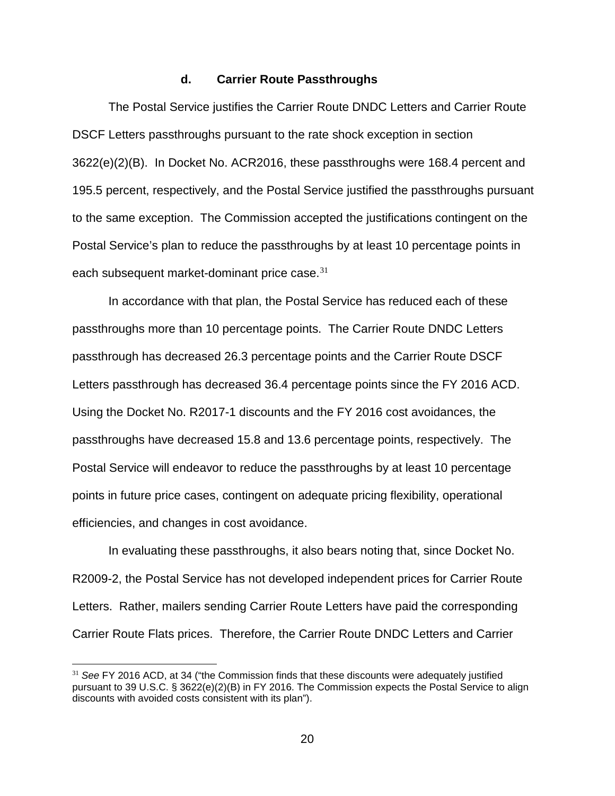### **d. Carrier Route Passthroughs**

The Postal Service justifies the Carrier Route DNDC Letters and Carrier Route DSCF Letters passthroughs pursuant to the rate shock exception in section 3622(e)(2)(B). In Docket No. ACR2016, these passthroughs were 168.4 percent and 195.5 percent, respectively, and the Postal Service justified the passthroughs pursuant to the same exception. The Commission accepted the justifications contingent on the Postal Service's plan to reduce the passthroughs by at least 10 percentage points in each subsequent market-dominant price case.<sup>[31](#page-19-0)</sup>

In accordance with that plan, the Postal Service has reduced each of these passthroughs more than 10 percentage points. The Carrier Route DNDC Letters passthrough has decreased 26.3 percentage points and the Carrier Route DSCF Letters passthrough has decreased 36.4 percentage points since the FY 2016 ACD. Using the Docket No. R2017-1 discounts and the FY 2016 cost avoidances, the passthroughs have decreased 15.8 and 13.6 percentage points, respectively. The Postal Service will endeavor to reduce the passthroughs by at least 10 percentage points in future price cases, contingent on adequate pricing flexibility, operational efficiencies, and changes in cost avoidance.

In evaluating these passthroughs, it also bears noting that, since Docket No. R2009-2, the Postal Service has not developed independent prices for Carrier Route Letters. Rather, mailers sending Carrier Route Letters have paid the corresponding Carrier Route Flats prices. Therefore, the Carrier Route DNDC Letters and Carrier

<span id="page-19-0"></span><sup>31</sup> *See* FY 2016 ACD, at 34 ("the Commission finds that these discounts were adequately justified pursuant to 39 U.S.C. § 3622(e)(2)(B) in FY 2016. The Commission expects the Postal Service to align discounts with avoided costs consistent with its plan").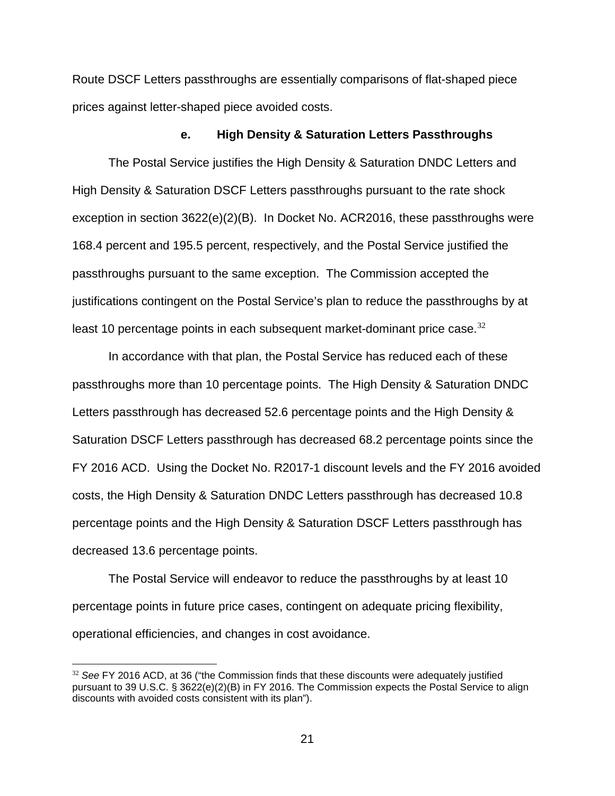Route DSCF Letters passthroughs are essentially comparisons of flat-shaped piece prices against letter-shaped piece avoided costs.

#### **e. High Density & Saturation Letters Passthroughs**

The Postal Service justifies the High Density & Saturation DNDC Letters and High Density & Saturation DSCF Letters passthroughs pursuant to the rate shock exception in section 3622(e)(2)(B). In Docket No. ACR2016, these passthroughs were 168.4 percent and 195.5 percent, respectively, and the Postal Service justified the passthroughs pursuant to the same exception. The Commission accepted the justifications contingent on the Postal Service's plan to reduce the passthroughs by at least 10 percentage points in each subsequent market-dominant price case.  $32$ 

In accordance with that plan, the Postal Service has reduced each of these passthroughs more than 10 percentage points. The High Density & Saturation DNDC Letters passthrough has decreased 52.6 percentage points and the High Density & Saturation DSCF Letters passthrough has decreased 68.2 percentage points since the FY 2016 ACD. Using the Docket No. R2017-1 discount levels and the FY 2016 avoided costs, the High Density & Saturation DNDC Letters passthrough has decreased 10.8 percentage points and the High Density & Saturation DSCF Letters passthrough has decreased 13.6 percentage points.

The Postal Service will endeavor to reduce the passthroughs by at least 10 percentage points in future price cases, contingent on adequate pricing flexibility, operational efficiencies, and changes in cost avoidance.

<span id="page-20-0"></span><sup>32</sup> *See* FY 2016 ACD, at 36 ("the Commission finds that these discounts were adequately justified pursuant to 39 U.S.C. § 3622(e)(2)(B) in FY 2016. The Commission expects the Postal Service to align discounts with avoided costs consistent with its plan").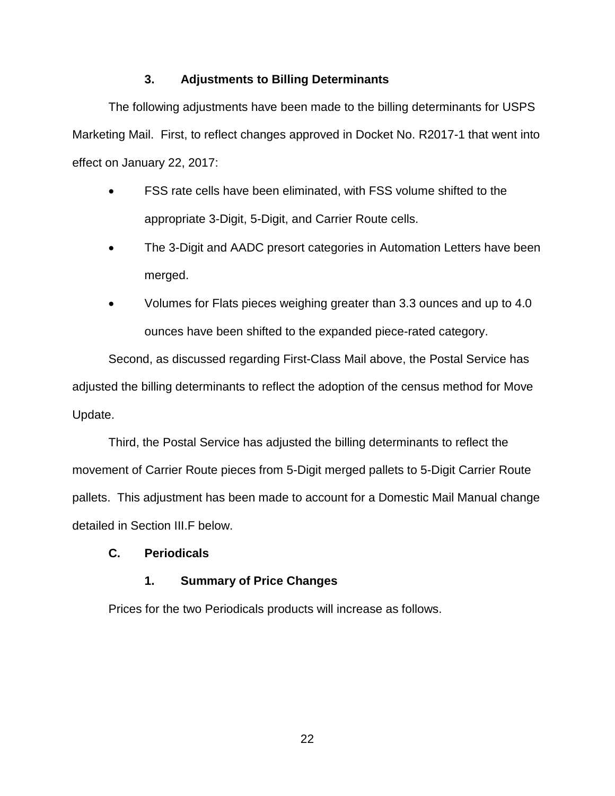# **3. Adjustments to Billing Determinants**

The following adjustments have been made to the billing determinants for USPS Marketing Mail. First, to reflect changes approved in Docket No. R2017-1 that went into effect on January 22, 2017:

- FSS rate cells have been eliminated, with FSS volume shifted to the appropriate 3-Digit, 5-Digit, and Carrier Route cells.
- The 3-Digit and AADC presort categories in Automation Letters have been merged.
- Volumes for Flats pieces weighing greater than 3.3 ounces and up to 4.0 ounces have been shifted to the expanded piece-rated category.

Second, as discussed regarding First-Class Mail above, the Postal Service has adjusted the billing determinants to reflect the adoption of the census method for Move Update.

Third, the Postal Service has adjusted the billing determinants to reflect the movement of Carrier Route pieces from 5-Digit merged pallets to 5-Digit Carrier Route pallets. This adjustment has been made to account for a Domestic Mail Manual change detailed in Section III.F below.

# **C. Periodicals**

# **1. Summary of Price Changes**

Prices for the two Periodicals products will increase as follows.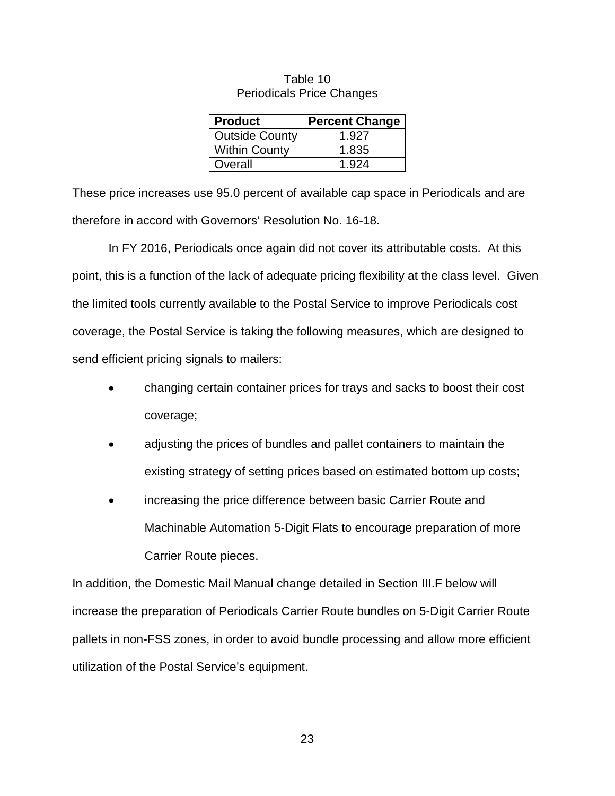| <b>Product</b>        | <b>Percent Change</b> |
|-----------------------|-----------------------|
| <b>Outside County</b> | 1.927                 |
| <b>Within County</b>  | 1.835                 |
| Overall               | 1.924                 |

#### Table 10 Periodicals Price Changes

These price increases use 95.0 percent of available cap space in Periodicals and are therefore in accord with Governors' Resolution No. 16-18.

In FY 2016, Periodicals once again did not cover its attributable costs. At this point, this is a function of the lack of adequate pricing flexibility at the class level. Given the limited tools currently available to the Postal Service to improve Periodicals cost coverage, the Postal Service is taking the following measures, which are designed to send efficient pricing signals to mailers:

- changing certain container prices for trays and sacks to boost their cost coverage;
- adjusting the prices of bundles and pallet containers to maintain the existing strategy of setting prices based on estimated bottom up costs;
- increasing the price difference between basic Carrier Route and Machinable Automation 5-Digit Flats to encourage preparation of more Carrier Route pieces.

In addition, the Domestic Mail Manual change detailed in Section III.F below will increase the preparation of Periodicals Carrier Route bundles on 5-Digit Carrier Route pallets in non-FSS zones, in order to avoid bundle processing and allow more efficient utilization of the Postal Service's equipment.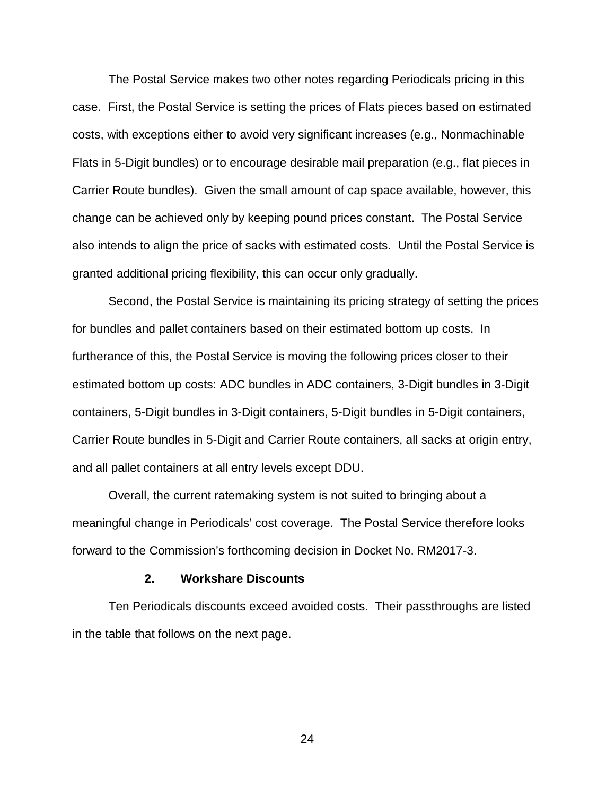The Postal Service makes two other notes regarding Periodicals pricing in this case. First, the Postal Service is setting the prices of Flats pieces based on estimated costs, with exceptions either to avoid very significant increases (e.g., Nonmachinable Flats in 5-Digit bundles) or to encourage desirable mail preparation (e.g., flat pieces in Carrier Route bundles). Given the small amount of cap space available, however, this change can be achieved only by keeping pound prices constant. The Postal Service also intends to align the price of sacks with estimated costs. Until the Postal Service is granted additional pricing flexibility, this can occur only gradually.

Second, the Postal Service is maintaining its pricing strategy of setting the prices for bundles and pallet containers based on their estimated bottom up costs. In furtherance of this, the Postal Service is moving the following prices closer to their estimated bottom up costs: ADC bundles in ADC containers, 3-Digit bundles in 3-Digit containers, 5-Digit bundles in 3-Digit containers, 5-Digit bundles in 5-Digit containers, Carrier Route bundles in 5-Digit and Carrier Route containers, all sacks at origin entry, and all pallet containers at all entry levels except DDU.

Overall, the current ratemaking system is not suited to bringing about a meaningful change in Periodicals' cost coverage. The Postal Service therefore looks forward to the Commission's forthcoming decision in Docket No. RM2017-3.

#### **2. Workshare Discounts**

Ten Periodicals discounts exceed avoided costs. Their passthroughs are listed in the table that follows on the next page.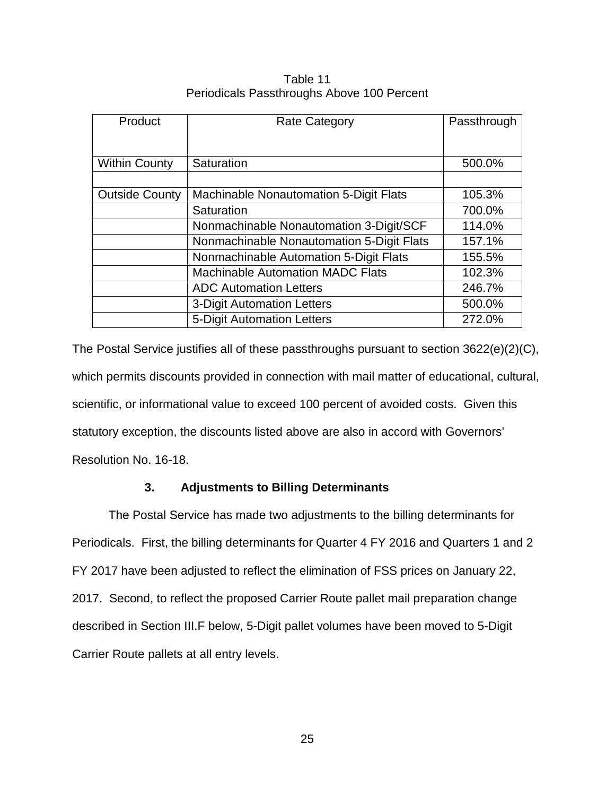| Table 11                                   |  |
|--------------------------------------------|--|
| Periodicals Passthroughs Above 100 Percent |  |

| Product               | <b>Rate Category</b>                          | Passthrough |
|-----------------------|-----------------------------------------------|-------------|
|                       |                                               |             |
| <b>Within County</b>  | Saturation                                    | 500.0%      |
|                       |                                               |             |
| <b>Outside County</b> | <b>Machinable Nonautomation 5-Digit Flats</b> | 105.3%      |
|                       | Saturation                                    | 700.0%      |
|                       | Nonmachinable Nonautomation 3-Digit/SCF       | 114.0%      |
|                       | Nonmachinable Nonautomation 5-Digit Flats     | 157.1%      |
|                       | Nonmachinable Automation 5-Digit Flats        | 155.5%      |
|                       | <b>Machinable Automation MADC Flats</b>       | 102.3%      |
|                       | <b>ADC Automation Letters</b>                 | 246.7%      |
|                       | 3-Digit Automation Letters                    | 500.0%      |
|                       | 5-Digit Automation Letters                    | 272.0%      |

The Postal Service justifies all of these passthroughs pursuant to section 3622(e)(2)(C), which permits discounts provided in connection with mail matter of educational, cultural, scientific, or informational value to exceed 100 percent of avoided costs. Given this statutory exception, the discounts listed above are also in accord with Governors' Resolution No. 16-18.

### **3. Adjustments to Billing Determinants**

The Postal Service has made two adjustments to the billing determinants for Periodicals. First, the billing determinants for Quarter 4 FY 2016 and Quarters 1 and 2 FY 2017 have been adjusted to reflect the elimination of FSS prices on January 22, 2017. Second, to reflect the proposed Carrier Route pallet mail preparation change described in Section III.F below, 5-Digit pallet volumes have been moved to 5-Digit Carrier Route pallets at all entry levels.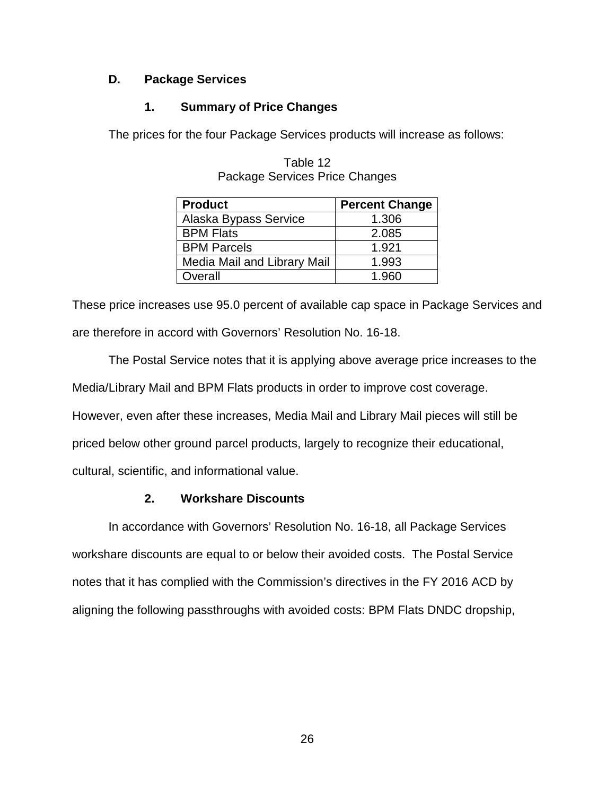# **D. Package Services**

# **1. Summary of Price Changes**

The prices for the four Package Services products will increase as follows:

| <b>Product</b>              | <b>Percent Change</b> |
|-----------------------------|-----------------------|
| Alaska Bypass Service       | 1.306                 |
| <b>BPM Flats</b>            | 2.085                 |
| <b>BPM Parcels</b>          | 1.921                 |
| Media Mail and Library Mail | 1.993                 |
| Overall                     | 1.960                 |

Table 12 Package Services Price Changes

These price increases use 95.0 percent of available cap space in Package Services and are therefore in accord with Governors' Resolution No. 16-18.

The Postal Service notes that it is applying above average price increases to the Media/Library Mail and BPM Flats products in order to improve cost coverage. However, even after these increases, Media Mail and Library Mail pieces will still be priced below other ground parcel products, largely to recognize their educational, cultural, scientific, and informational value.

# **2. Workshare Discounts**

In accordance with Governors' Resolution No. 16-18, all Package Services workshare discounts are equal to or below their avoided costs. The Postal Service notes that it has complied with the Commission's directives in the FY 2016 ACD by aligning the following passthroughs with avoided costs: BPM Flats DNDC dropship,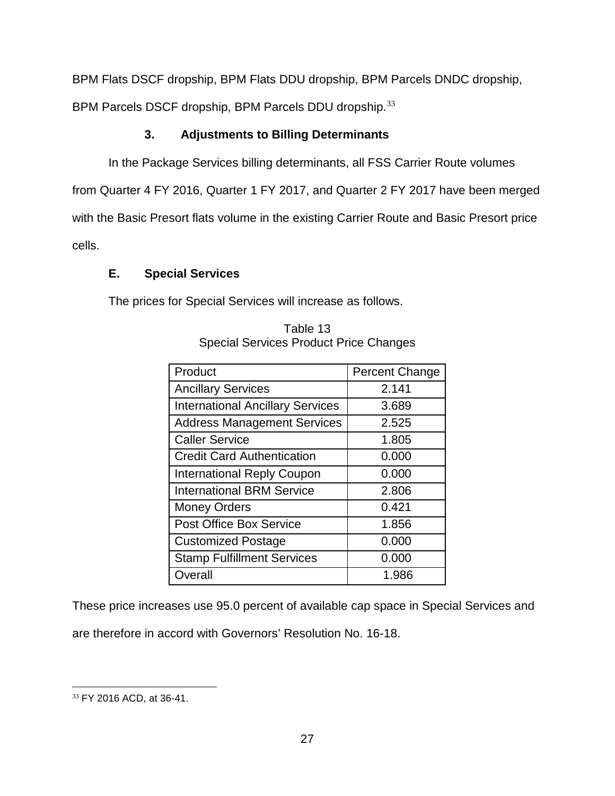BPM Flats DSCF dropship, BPM Flats DDU dropship, BPM Parcels DNDC dropship,

BPM Parcels DSCF dropship, BPM Parcels DDU dropship.<sup>[33](#page-26-0)</sup>

# **3. Adjustments to Billing Determinants**

In the Package Services billing determinants, all FSS Carrier Route volumes

from Quarter 4 FY 2016, Quarter 1 FY 2017, and Quarter 2 FY 2017 have been merged

with the Basic Presort flats volume in the existing Carrier Route and Basic Presort price

cells.

# **E. Special Services**

The prices for Special Services will increase as follows.

| Product                                 | Percent Change |
|-----------------------------------------|----------------|
| <b>Ancillary Services</b>               | 2.141          |
| <b>International Ancillary Services</b> | 3.689          |
| <b>Address Management Services</b>      | 2.525          |
| <b>Caller Service</b>                   | 1.805          |
| <b>Credit Card Authentication</b>       | 0.000          |
| <b>International Reply Coupon</b>       | 0.000          |
| <b>International BRM Service</b>        | 2.806          |
| <b>Money Orders</b>                     | 0.421          |
| <b>Post Office Box Service</b>          | 1.856          |
| <b>Customized Postage</b>               | 0.000          |
| <b>Stamp Fulfillment Services</b>       | 0.000          |
| Overall                                 | 1.986          |

Table 13 Special Services Product Price Changes

These price increases use 95.0 percent of available cap space in Special Services and

are therefore in accord with Governors' Resolution No. 16-18.

<span id="page-26-0"></span> $\overline{a}$ <sup>33</sup> FY 2016 ACD, at 36-41.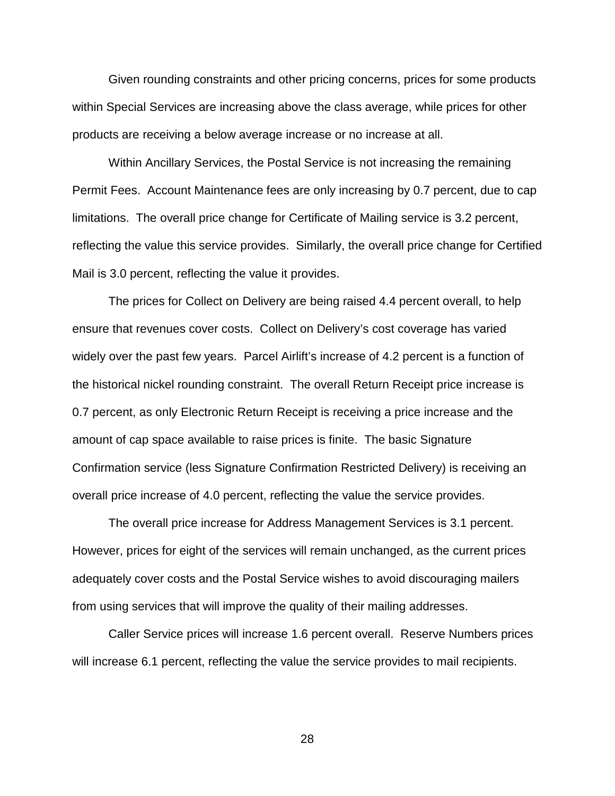Given rounding constraints and other pricing concerns, prices for some products within Special Services are increasing above the class average, while prices for other products are receiving a below average increase or no increase at all.

Within Ancillary Services, the Postal Service is not increasing the remaining Permit Fees. Account Maintenance fees are only increasing by 0.7 percent, due to cap limitations. The overall price change for Certificate of Mailing service is 3.2 percent, reflecting the value this service provides. Similarly, the overall price change for Certified Mail is 3.0 percent, reflecting the value it provides.

The prices for Collect on Delivery are being raised 4.4 percent overall, to help ensure that revenues cover costs. Collect on Delivery's cost coverage has varied widely over the past few years. Parcel Airlift's increase of 4.2 percent is a function of the historical nickel rounding constraint. The overall Return Receipt price increase is 0.7 percent, as only Electronic Return Receipt is receiving a price increase and the amount of cap space available to raise prices is finite. The basic Signature Confirmation service (less Signature Confirmation Restricted Delivery) is receiving an overall price increase of 4.0 percent, reflecting the value the service provides.

The overall price increase for Address Management Services is 3.1 percent. However, prices for eight of the services will remain unchanged, as the current prices adequately cover costs and the Postal Service wishes to avoid discouraging mailers from using services that will improve the quality of their mailing addresses.

Caller Service prices will increase 1.6 percent overall. Reserve Numbers prices will increase 6.1 percent, reflecting the value the service provides to mail recipients.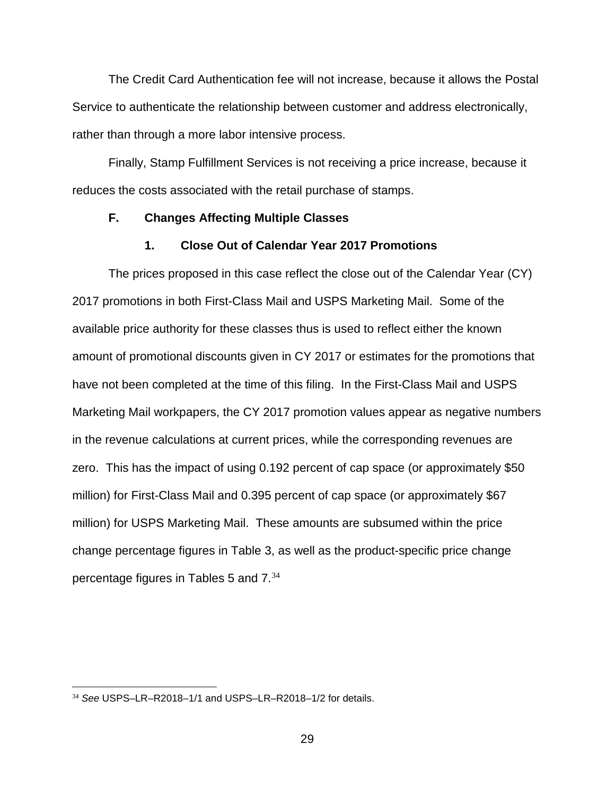The Credit Card Authentication fee will not increase, because it allows the Postal Service to authenticate the relationship between customer and address electronically, rather than through a more labor intensive process.

Finally, Stamp Fulfillment Services is not receiving a price increase, because it reduces the costs associated with the retail purchase of stamps.

### **F. Changes Affecting Multiple Classes**

### **1. Close Out of Calendar Year 2017 Promotions**

The prices proposed in this case reflect the close out of the Calendar Year (CY) 2017 promotions in both First-Class Mail and USPS Marketing Mail. Some of the available price authority for these classes thus is used to reflect either the known amount of promotional discounts given in CY 2017 or estimates for the promotions that have not been completed at the time of this filing. In the First-Class Mail and USPS Marketing Mail workpapers, the CY 2017 promotion values appear as negative numbers in the revenue calculations at current prices, while the corresponding revenues are zero. This has the impact of using 0.192 percent of cap space (or approximately \$50 million) for First-Class Mail and 0.395 percent of cap space (or approximately \$67 million) for USPS Marketing Mail. These amounts are subsumed within the price change percentage figures in Table 3, as well as the product-specific price change percentage figures in Tables 5 and 7.<sup>[34](#page-28-0)</sup>

<span id="page-28-0"></span><sup>34</sup> *See* USPS–LR–R2018–1/1 and USPS–LR–R2018–1/2 for details.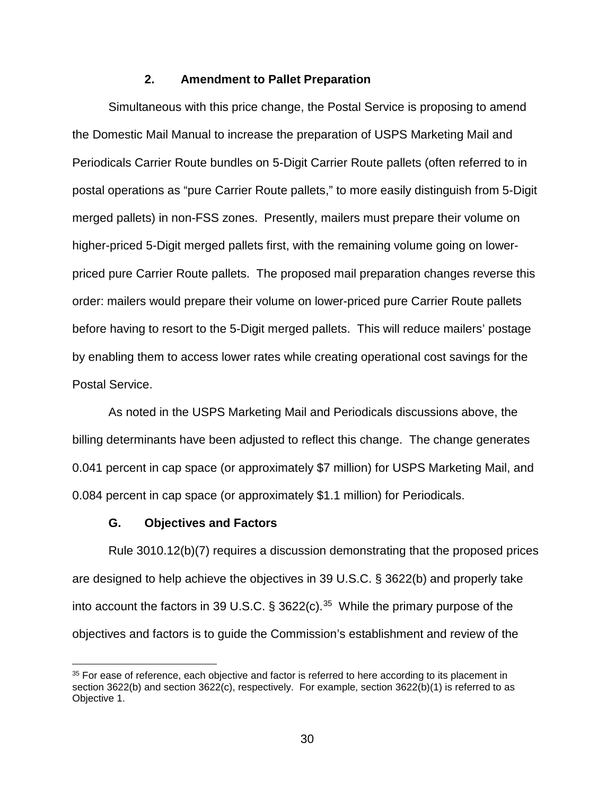### **2. Amendment to Pallet Preparation**

Simultaneous with this price change, the Postal Service is proposing to amend the Domestic Mail Manual to increase the preparation of USPS Marketing Mail and Periodicals Carrier Route bundles on 5-Digit Carrier Route pallets (often referred to in postal operations as "pure Carrier Route pallets," to more easily distinguish from 5-Digit merged pallets) in non-FSS zones. Presently, mailers must prepare their volume on higher-priced 5-Digit merged pallets first, with the remaining volume going on lowerpriced pure Carrier Route pallets. The proposed mail preparation changes reverse this order: mailers would prepare their volume on lower-priced pure Carrier Route pallets before having to resort to the 5-Digit merged pallets. This will reduce mailers' postage by enabling them to access lower rates while creating operational cost savings for the Postal Service.

As noted in the USPS Marketing Mail and Periodicals discussions above, the billing determinants have been adjusted to reflect this change. The change generates 0.041 percent in cap space (or approximately \$7 million) for USPS Marketing Mail, and 0.084 percent in cap space (or approximately \$1.1 million) for Periodicals.

#### **G. Objectives and Factors**

Rule 3010.12(b)(7) requires a discussion demonstrating that the proposed prices are designed to help achieve the objectives in 39 U.S.C. § 3622(b) and properly take into account the factors in 39 U.S.C.  $\S$  3622(c).<sup>35</sup> While the primary purpose of the objectives and factors is to guide the Commission's establishment and review of the

<span id="page-29-0"></span><sup>&</sup>lt;sup>35</sup> For ease of reference, each objective and factor is referred to here according to its placement in section 3622(b) and section 3622(c), respectively. For example, section 3622(b)(1) is referred to as Objective 1.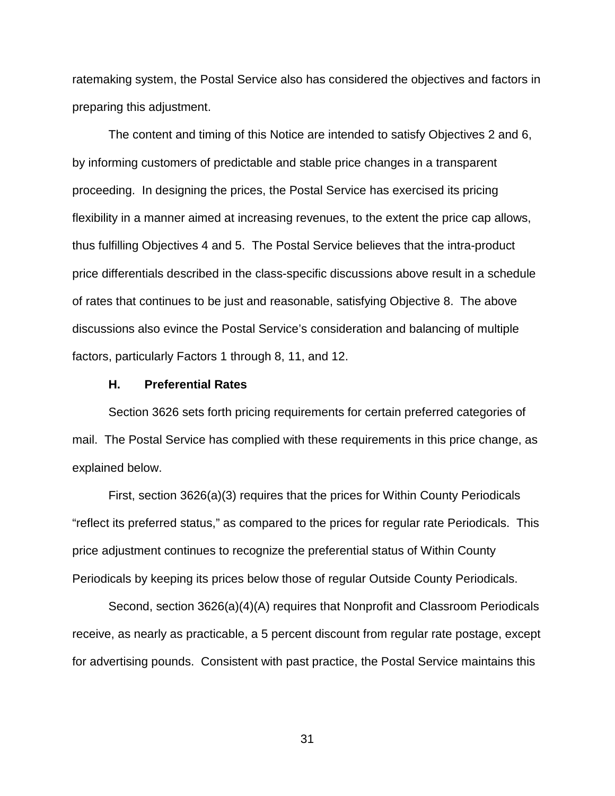ratemaking system, the Postal Service also has considered the objectives and factors in preparing this adjustment.

The content and timing of this Notice are intended to satisfy Objectives 2 and 6, by informing customers of predictable and stable price changes in a transparent proceeding. In designing the prices, the Postal Service has exercised its pricing flexibility in a manner aimed at increasing revenues, to the extent the price cap allows, thus fulfilling Objectives 4 and 5. The Postal Service believes that the intra-product price differentials described in the class-specific discussions above result in a schedule of rates that continues to be just and reasonable, satisfying Objective 8. The above discussions also evince the Postal Service's consideration and balancing of multiple factors, particularly Factors 1 through 8, 11, and 12.

#### **H. Preferential Rates**

Section 3626 sets forth pricing requirements for certain preferred categories of mail. The Postal Service has complied with these requirements in this price change, as explained below.

First, section 3626(a)(3) requires that the prices for Within County Periodicals "reflect its preferred status," as compared to the prices for regular rate Periodicals. This price adjustment continues to recognize the preferential status of Within County Periodicals by keeping its prices below those of regular Outside County Periodicals.

Second, section 3626(a)(4)(A) requires that Nonprofit and Classroom Periodicals receive, as nearly as practicable, a 5 percent discount from regular rate postage, except for advertising pounds. Consistent with past practice, the Postal Service maintains this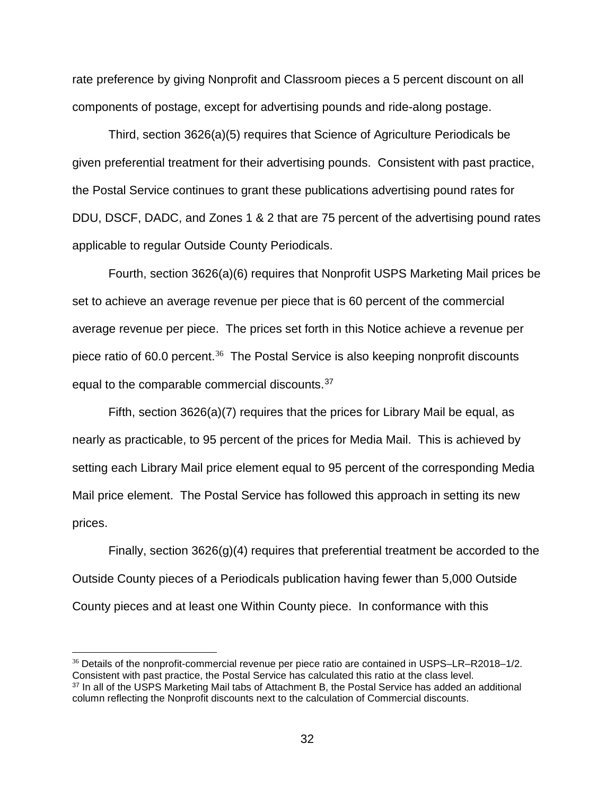rate preference by giving Nonprofit and Classroom pieces a 5 percent discount on all components of postage, except for advertising pounds and ride-along postage.

Third, section 3626(a)(5) requires that Science of Agriculture Periodicals be given preferential treatment for their advertising pounds. Consistent with past practice, the Postal Service continues to grant these publications advertising pound rates for DDU, DSCF, DADC, and Zones 1 & 2 that are 75 percent of the advertising pound rates applicable to regular Outside County Periodicals.

Fourth, section 3626(a)(6) requires that Nonprofit USPS Marketing Mail prices be set to achieve an average revenue per piece that is 60 percent of the commercial average revenue per piece. The prices set forth in this Notice achieve a revenue per piece ratio of 60.0 percent. $36$  The Postal Service is also keeping nonprofit discounts equal to the comparable commercial discounts.[37](#page-31-1)

Fifth, section 3626(a)(7) requires that the prices for Library Mail be equal, as nearly as practicable, to 95 percent of the prices for Media Mail. This is achieved by setting each Library Mail price element equal to 95 percent of the corresponding Media Mail price element. The Postal Service has followed this approach in setting its new prices.

Finally, section  $3626(g)(4)$  requires that preferential treatment be accorded to the Outside County pieces of a Periodicals publication having fewer than 5,000 Outside County pieces and at least one Within County piece. In conformance with this

<span id="page-31-0"></span><sup>36</sup> Details of the nonprofit-commercial revenue per piece ratio are contained in USPS–LR–R2018–1/2. Consistent with past practice, the Postal Service has calculated this ratio at the class level. <sup>37</sup> In all of the USPS Marketing Mail tabs of Attachment B, the Postal Service has added an additional

<span id="page-31-1"></span>column reflecting the Nonprofit discounts next to the calculation of Commercial discounts.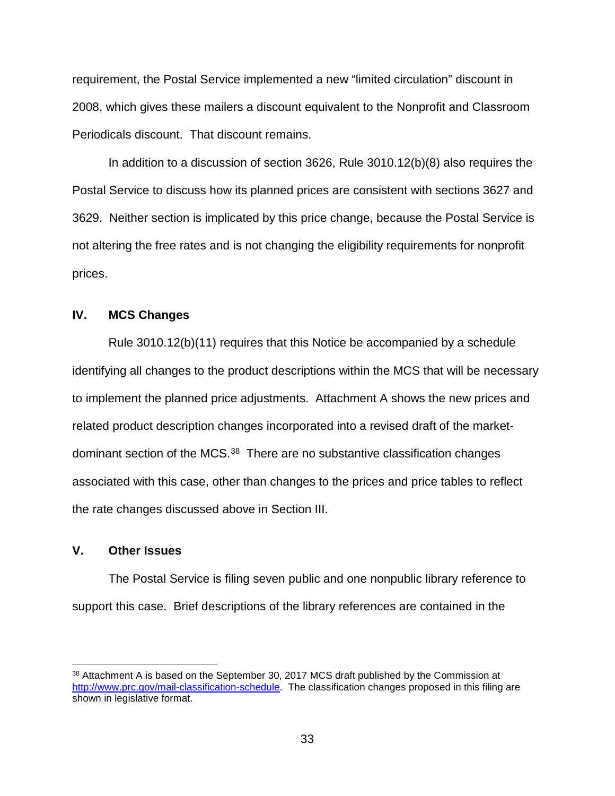requirement, the Postal Service implemented a new "limited circulation" discount in 2008, which gives these mailers a discount equivalent to the Nonprofit and Classroom Periodicals discount. That discount remains.

In addition to a discussion of section 3626, Rule 3010.12(b)(8) also requires the Postal Service to discuss how its planned prices are consistent with sections 3627 and 3629. Neither section is implicated by this price change, because the Postal Service is not altering the free rates and is not changing the eligibility requirements for nonprofit prices.

# **IV. MCS Changes**

Rule 3010.12(b)(11) requires that this Notice be accompanied by a schedule identifying all changes to the product descriptions within the MCS that will be necessary to implement the planned price adjustments. Attachment A shows the new prices and related product description changes incorporated into a revised draft of the market-dominant section of the MCS.<sup>[38](#page-32-0)</sup> There are no substantive classification changes associated with this case, other than changes to the prices and price tables to reflect the rate changes discussed above in Section III.

### **V. Other Issues**

The Postal Service is filing seven public and one nonpublic library reference to support this case. Brief descriptions of the library references are contained in the

<span id="page-32-0"></span><sup>&</sup>lt;sup>38</sup> Attachment A is based on the September 30, 2017 MCS draft published by the Commission at [http://www.prc.gov/mail-classification-schedule.](http://www.prc.gov/mail-classification-schedule) The classification changes proposed in this filing are shown in legislative format.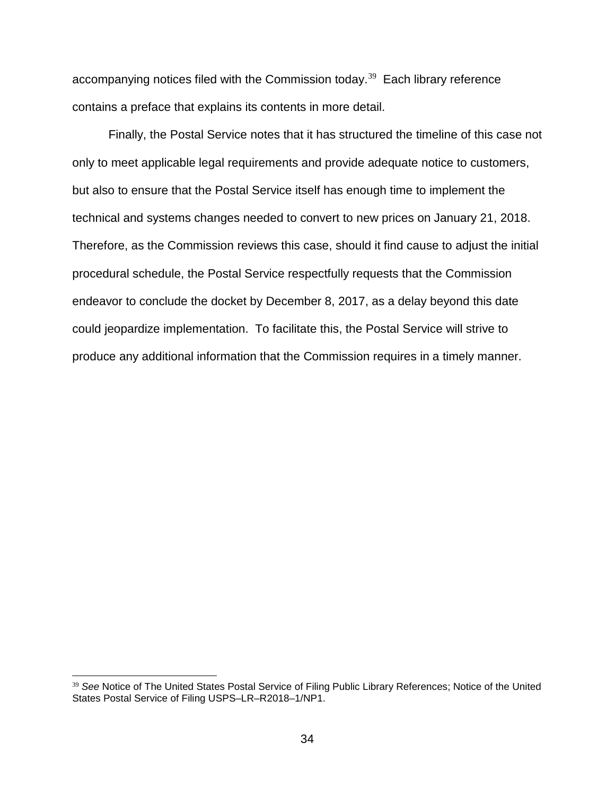accompanying notices filed with the Commission today.<sup>[39](#page-33-0)</sup> Each library reference contains a preface that explains its contents in more detail.

Finally, the Postal Service notes that it has structured the timeline of this case not only to meet applicable legal requirements and provide adequate notice to customers, but also to ensure that the Postal Service itself has enough time to implement the technical and systems changes needed to convert to new prices on January 21, 2018. Therefore, as the Commission reviews this case, should it find cause to adjust the initial procedural schedule, the Postal Service respectfully requests that the Commission endeavor to conclude the docket by December 8, 2017, as a delay beyond this date could jeopardize implementation. To facilitate this, the Postal Service will strive to produce any additional information that the Commission requires in a timely manner.

<span id="page-33-0"></span><sup>39</sup> *See* Notice of The United States Postal Service of Filing Public Library References; Notice of the United States Postal Service of Filing USPS–LR–R2018–1/NP1.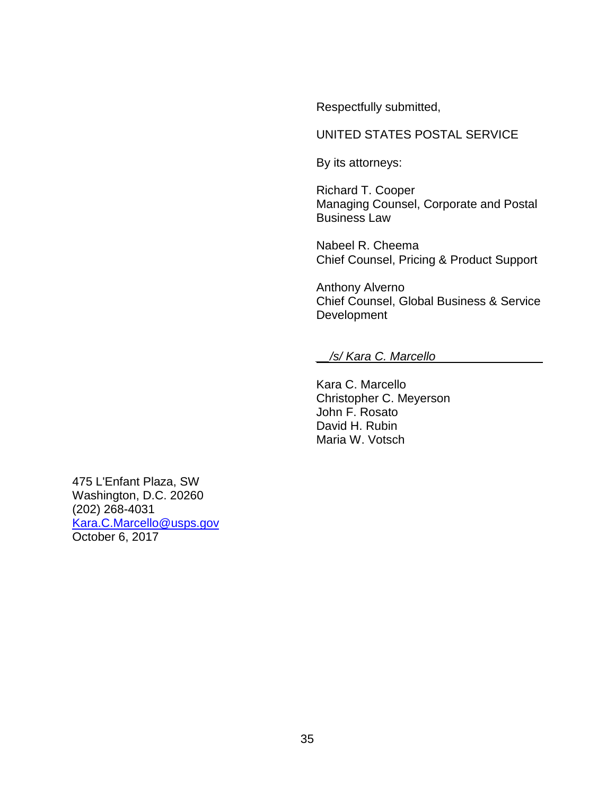Respectfully submitted,

# UNITED STATES POSTAL SERVICE

By its attorneys:

Richard T. Cooper Managing Counsel, Corporate and Postal Business Law

Nabeel R. Cheema Chief Counsel, Pricing & Product Support

Anthony Alverno Chief Counsel, Global Business & Service Development

#### *\_\_/s/ Kara C. Marcello*\_\_\_\_\_\_\_\_\_\_\_\_\_\_\_\_

Kara C. Marcello Christopher C. Meyerson John F. Rosato David H. Rubin Maria W. Votsch

475 L'Enfant Plaza, SW Washington, D.C. 20260 (202) 268-4031 [Kara.C.Marcello@usps.gov](mailto:Kara.C.Marcello@usps.gov) October 6, 2017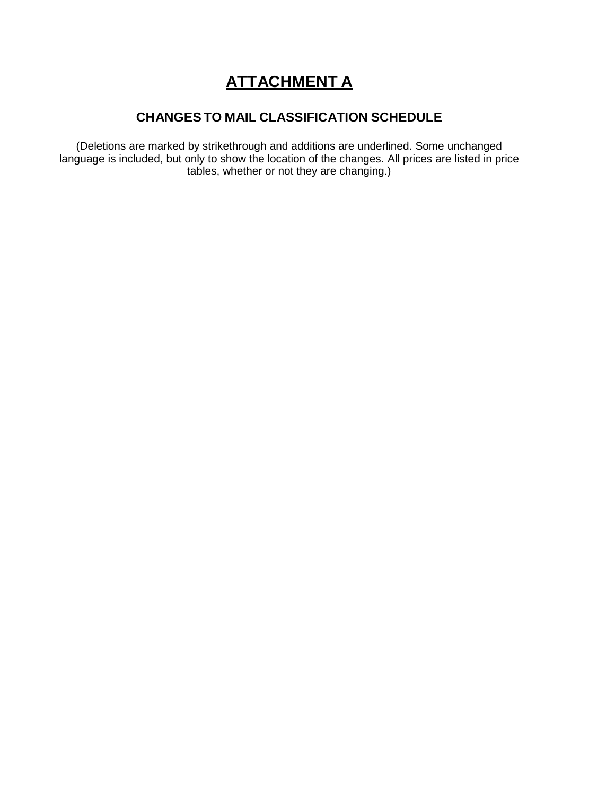# **ATTACHMENT A**

# **CHANGESTO MAIL CLASSIFICATION SCHEDULE**

(Deletions are marked by strikethrough and additions are underlined. Some unchanged language is included, but only to show the location of the changes. All prices are listed in price tables, whether or not they are changing.)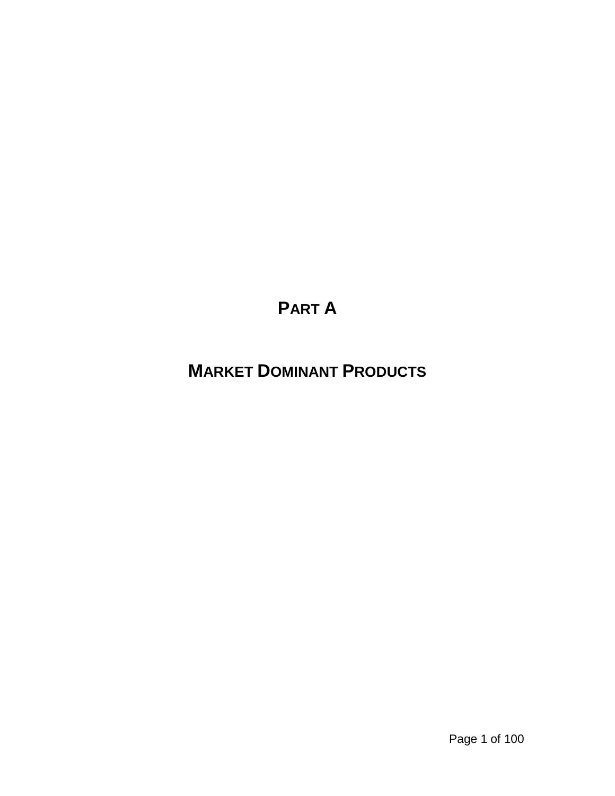# **PART A**

# **MARKET DOMINANT PRODUCTS**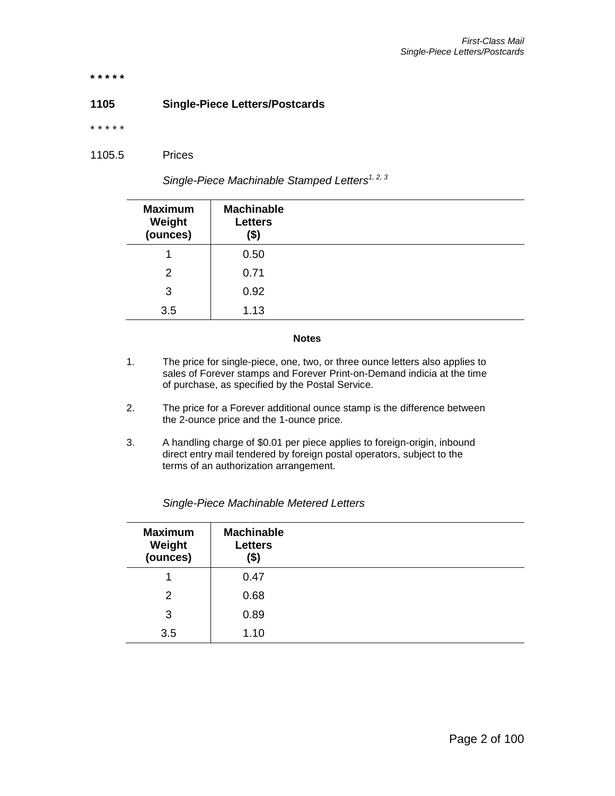**\* \* \* \* \***

#### **1105 Single-Piece Letters/Postcards**

\* \* \* \* \*

1105.5 Prices

*Single-Piece Machinable Stamped Letters1, 2, 3*

| <b>Maximum</b><br>Weight<br>(ounces) | <b>Machinable</b><br><b>Letters</b><br>(\$) |  |
|--------------------------------------|---------------------------------------------|--|
|                                      | 0.50                                        |  |
| 2                                    | 0.71                                        |  |
| 3                                    | 0.92                                        |  |
| 3.5                                  | 1.13                                        |  |

#### **Notes**

- 1. The price for single-piece, one, two, or three ounce letters also applies to sales of Forever stamps and Forever Print-on-Demand indicia at the time of purchase, as specified by the Postal Service.
- 2. The price for a Forever additional ounce stamp is the difference between the 2-ounce price and the 1-ounce price.
- 3. A handling charge of \$0.01 per piece applies to foreign-origin, inbound direct entry mail tendered by foreign postal operators, subject to the terms of an authorization arrangement.

| <b>Maximum</b><br>Weight<br>(ounces) | <b>Machinable</b><br><b>Letters</b><br>(\$) |  |
|--------------------------------------|---------------------------------------------|--|
|                                      | 0.47                                        |  |
| 2                                    | 0.68                                        |  |
| 3                                    | 0.89                                        |  |
| 3.5                                  | 1.10                                        |  |

*Single-Piece Machinable Metered Letters*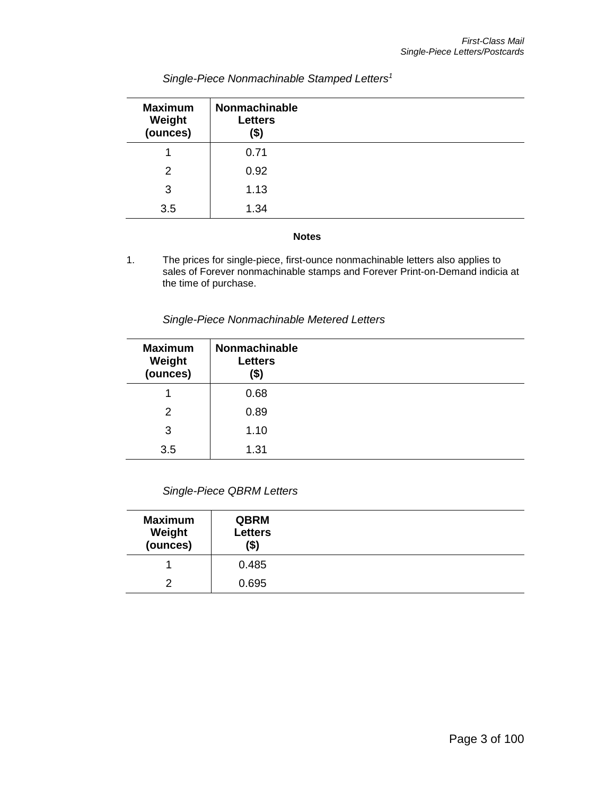| <b>Maximum</b><br>Weight<br>(ounces) | Nonmachinable<br><b>Letters</b><br>(\$) |  |
|--------------------------------------|-----------------------------------------|--|
|                                      | 0.71                                    |  |
| 2                                    | 0.92                                    |  |
| 3                                    | 1.13                                    |  |
| 3.5                                  | 1.34                                    |  |

## *Single-Piece Nonmachinable Stamped Letters<sup>1</sup>*

#### **Notes**

1. The prices for single-piece, first-ounce nonmachinable letters also applies to sales of Forever nonmachinable stamps and Forever Print-on-Demand indicia at the time of purchase.

*Single-Piece Nonmachinable Metered Letters*

| <b>Maximum</b><br>Weight<br>(ounces) | Nonmachinable<br><b>Letters</b><br>(\$) |  |
|--------------------------------------|-----------------------------------------|--|
|                                      | 0.68                                    |  |
| 2                                    | 0.89                                    |  |
| 3                                    | 1.10                                    |  |
| 3.5                                  | 1.31                                    |  |

| <b>Maximum</b><br>Weight<br>(ounces) | <b>QBRM</b><br><b>Letters</b><br>(\$) |  |
|--------------------------------------|---------------------------------------|--|
|                                      | 0.485                                 |  |
| っ                                    | 0.695                                 |  |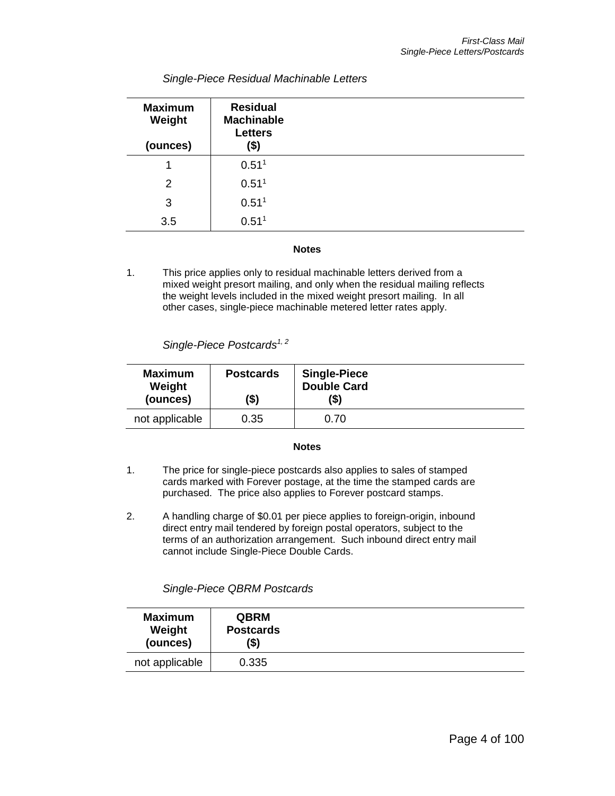| <b>Maximum</b><br>Weight<br>(ounces) | <b>Residual</b><br><b>Machinable</b><br><b>Letters</b><br>(\$) |  |
|--------------------------------------|----------------------------------------------------------------|--|
| 1                                    | 0.51 <sup>1</sup>                                              |  |
| 2                                    | 0.51 <sup>1</sup>                                              |  |
| 3                                    | 0.51 <sup>1</sup>                                              |  |
| 3.5                                  | 0.51 <sup>1</sup>                                              |  |

#### *Single-Piece Residual Machinable Letters*

#### **Notes**

1. This price applies only to residual machinable letters derived from a mixed weight presort mailing, and only when the residual mailing reflects the weight levels included in the mixed weight presort mailing. In all other cases, single-piece machinable metered letter rates apply.

*Single-Piece Postcards1, 2*

| <b>Maximum</b><br>Weight<br>(ounces) | <b>Postcards</b><br>(\$) | <b>Single-Piece</b><br><b>Double Card</b><br>'\$) |  |
|--------------------------------------|--------------------------|---------------------------------------------------|--|
| not applicable                       | 0.35                     | 0.70                                              |  |

#### **Notes**

- 1. The price for single-piece postcards also applies to sales of stamped cards marked with Forever postage, at the time the stamped cards are purchased. The price also applies to Forever postcard stamps.
- 2. A handling charge of \$0.01 per piece applies to foreign-origin, inbound direct entry mail tendered by foreign postal operators, subject to the terms of an authorization arrangement. Such inbound direct entry mail cannot include Single-Piece Double Cards.

*Single-Piece QBRM Postcards*

| <b>QBRM</b>      | <b>Maximum</b> |
|------------------|----------------|
| <b>Postcards</b> | Weight         |
| (\$)             | (ounces)       |
| 0.335            | not applicable |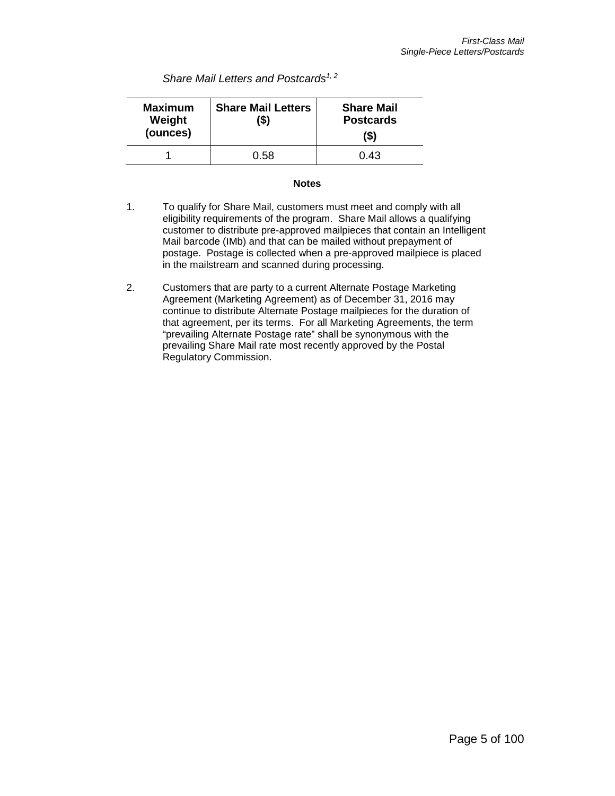*Share Mail Letters and Postcards1, 2*

| <b>Maximum</b><br>Weight<br>(ounces) | <b>Share Mail Letters</b><br>(\$) | <b>Share Mail</b><br><b>Postcards</b><br>(\$) |
|--------------------------------------|-----------------------------------|-----------------------------------------------|
|                                      | 0.58                              | 0.43                                          |

#### **Notes**

- 1. To qualify for Share Mail, customers must meet and comply with all eligibility requirements of the program. Share Mail allows a qualifying customer to distribute pre-approved mailpieces that contain an Intelligent Mail barcode (IMb) and that can be mailed without prepayment of postage. Postage is collected when a pre-approved mailpiece is placed in the mailstream and scanned during processing.
- 2. Customers that are party to a current Alternate Postage Marketing Agreement (Marketing Agreement) as of December 31, 2016 may continue to distribute Alternate Postage mailpieces for the duration of that agreement, per its terms. For all Marketing Agreements, the term "prevailing Alternate Postage rate" shall be synonymous with the prevailing Share Mail rate most recently approved by the Postal Regulatory Commission.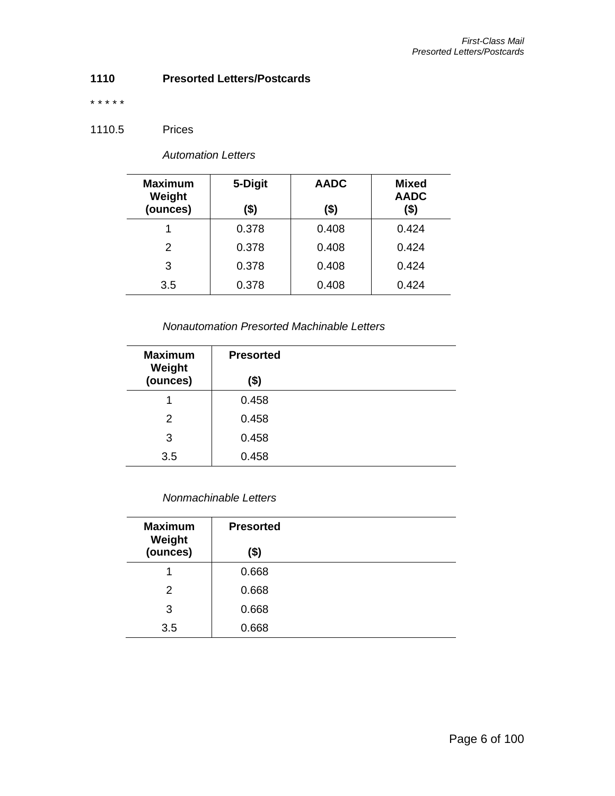## **1110 Presorted Letters/Postcards**

\* \* \* \* \*

## 1110.5 Prices

| <b>Maximum</b><br>Weight<br>(ounces) | 5-Digit<br>\$) | <b>AADC</b><br>(\$) | <b>Mixed</b><br><b>AADC</b><br>(\$) |
|--------------------------------------|----------------|---------------------|-------------------------------------|
|                                      | 0.378          | 0.408               | 0.424                               |
| 2                                    | 0.378          | 0.408               | 0.424                               |
| 3                                    | 0.378          | 0.408               | 0.424                               |
| 3.5                                  | 0.378          | 0.408               | 0.424                               |

#### *Nonautomation Presorted Machinable Letters*

| <b>Maximum</b><br>Weight | <b>Presorted</b> |
|--------------------------|------------------|
| (ounces)                 | \$)              |
|                          | 0.458            |
| 2                        | 0.458            |
| 3                        | 0.458            |
| 3.5                      | 0.458            |

## *Nonmachinable Letters*

| <b>Maximum</b><br>Weight | <b>Presorted</b> |  |
|--------------------------|------------------|--|
| (ounces)                 | (\$)             |  |
|                          | 0.668            |  |
| 2                        | 0.668            |  |
| 3                        | 0.668            |  |
| 3.5                      | 0.668            |  |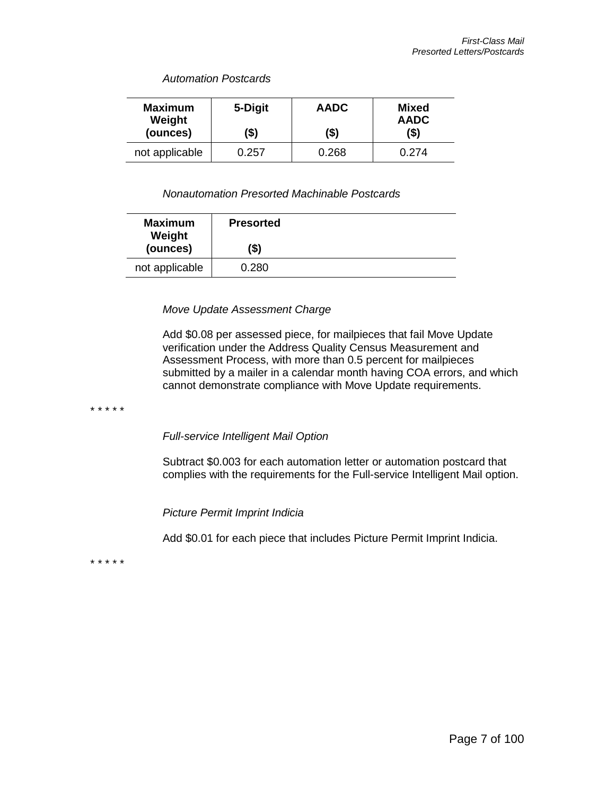*Automation Postcards*

| <b>Maximum</b><br>Weight<br>(ounces) | 5-Digit<br>(\$) | <b>AADC</b><br>(\$) | Mixed<br><b>AADC</b><br>(\$) |
|--------------------------------------|-----------------|---------------------|------------------------------|
| not applicable                       | 0.257           | 0.268               | በ 274                        |

#### *Nonautomation Presorted Machinable Postcards*

#### *Move Update Assessment Charge*

Add \$0.08 per assessed piece, for mailpieces that fail Move Update verification under the Address Quality Census Measurement and Assessment Process, with more than 0.5 percent for mailpieces submitted by a mailer in a calendar month having COA errors, and which cannot demonstrate compliance with Move Update requirements.

\* \* \* \* \*

*Full-service Intelligent Mail Option*

Subtract \$0.003 for each automation letter or automation postcard that complies with the requirements for the Full-service Intelligent Mail option.

*Picture Permit Imprint Indicia*

Add \$0.01 for each piece that includes Picture Permit Imprint Indicia.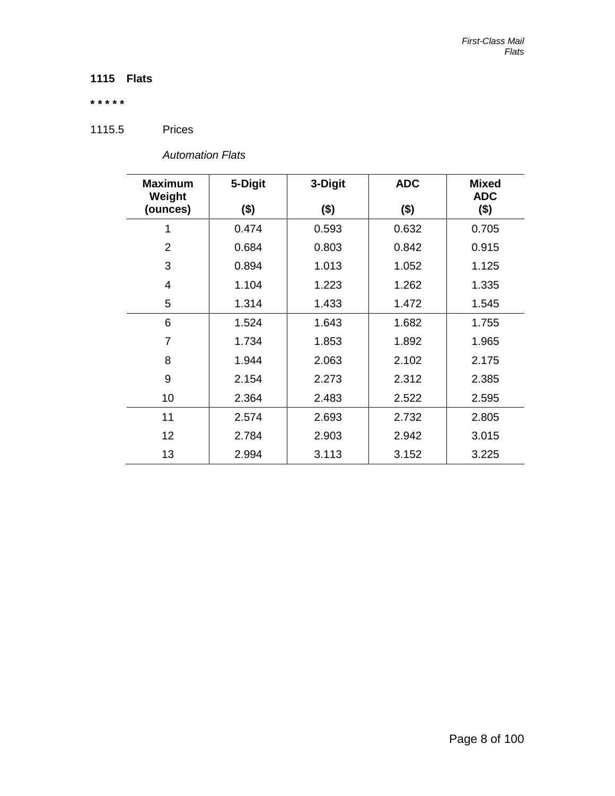# **1115 Flats**

#### **\* \* \* \* \***

1115.5 Prices

| <b>Maximum</b><br>Weight | 5-Digit | 3-Digit | <b>ADC</b> | <b>Mixed</b><br><b>ADC</b> |  |
|--------------------------|---------|---------|------------|----------------------------|--|
| (ounces)                 | $($ \$) | $($ \$) | $($ \$)    | $($ \$)                    |  |
| 1                        | 0.474   | 0.593   | 0.632      | 0.705                      |  |
| $\overline{2}$           | 0.684   | 0.803   | 0.842      | 0.915                      |  |
| 3                        | 0.894   | 1.013   | 1.052      | 1.125                      |  |
| 4                        | 1.104   | 1.223   | 1.262      | 1.335                      |  |
| 5                        | 1.314   | 1.433   | 1.472      | 1.545                      |  |
| 6                        | 1.524   | 1.643   | 1.682      | 1.755                      |  |
| $\overline{7}$           | 1.734   | 1.853   | 1.892      | 1.965                      |  |
| 8                        | 1.944   | 2.063   | 2.102      | 2.175                      |  |
| 9                        | 2.154   | 2.273   | 2.312      | 2.385                      |  |
| 10                       | 2.364   | 2.483   | 2.522      | 2.595                      |  |
| 11                       | 2.574   | 2.693   | 2.732      | 2.805                      |  |
| 12                       | 2.784   | 2.903   | 2.942      | 3.015                      |  |
| 13                       | 2.994   | 3.113   | 3.152      | 3.225                      |  |

*Automation Flats*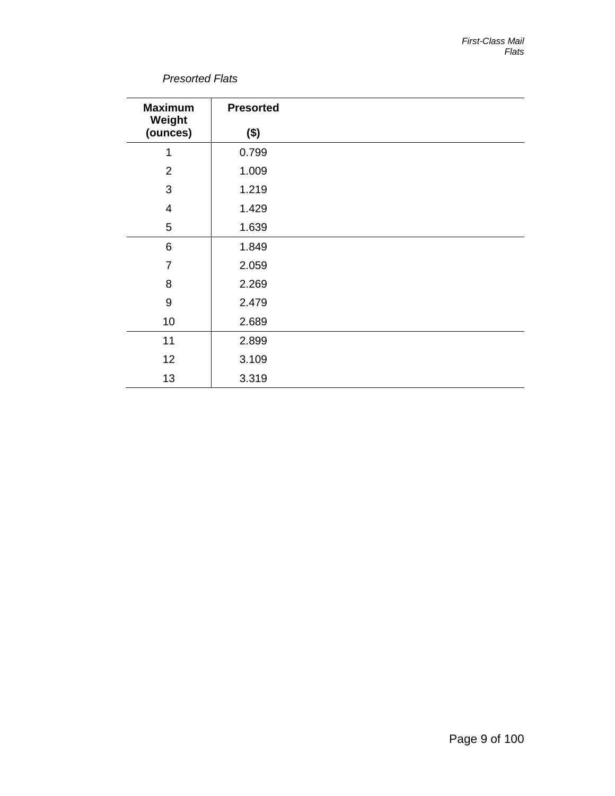## *Presorted Flats*

| <b>Maximum</b><br>Weight | <b>Presorted</b> |  |
|--------------------------|------------------|--|
| (ounces)                 | $($ \$)          |  |
| 1                        | 0.799            |  |
| $\overline{2}$           | 1.009            |  |
| 3                        | 1.219            |  |
| $\overline{4}$           | 1.429            |  |
| 5                        | 1.639            |  |
| 6                        | 1.849            |  |
| $\overline{7}$           | 2.059            |  |
| 8                        | 2.269            |  |
| $\boldsymbol{9}$         | 2.479            |  |
| 10                       | 2.689            |  |
| 11                       | 2.899            |  |
| 12                       | 3.109            |  |
| 13                       | 3.319            |  |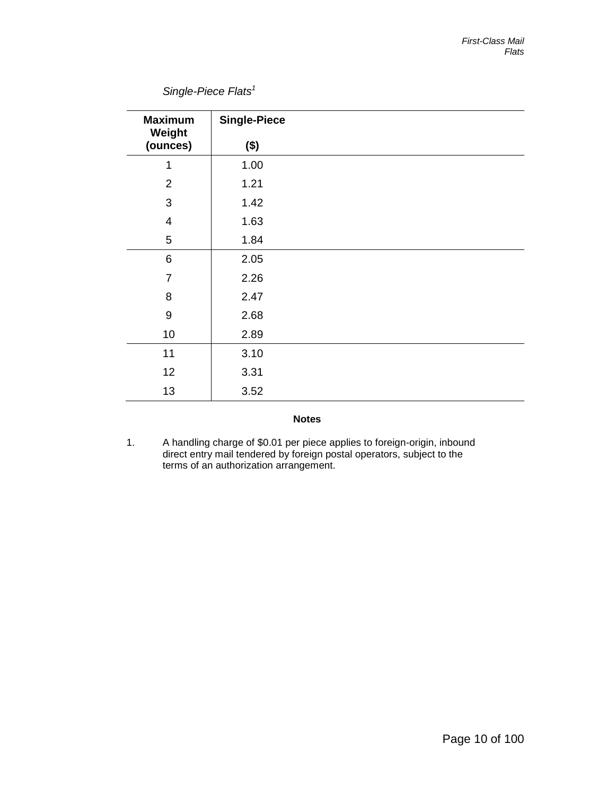# *Single-Piece Flats1*

| <b>Maximum</b><br>Weight | <b>Single-Piece</b> |  |
|--------------------------|---------------------|--|
| (ounces)                 | $($ \$)             |  |
| 1                        | 1.00                |  |
| $\overline{2}$           | 1.21                |  |
| 3                        | 1.42                |  |
| $\overline{4}$           | 1.63                |  |
| 5                        | 1.84                |  |
| 6                        | 2.05                |  |
| $\overline{7}$           | 2.26                |  |
| 8                        | 2.47                |  |
| $\boldsymbol{9}$         | 2.68                |  |
| 10                       | 2.89                |  |
| 11                       | 3.10                |  |
| 12                       | 3.31                |  |
| 13                       | 3.52                |  |

#### **Notes**

1. A handling charge of \$0.01 per piece applies to foreign-origin, inbound direct entry mail tendered by foreign postal operators, subject to the terms of an authorization arrangement.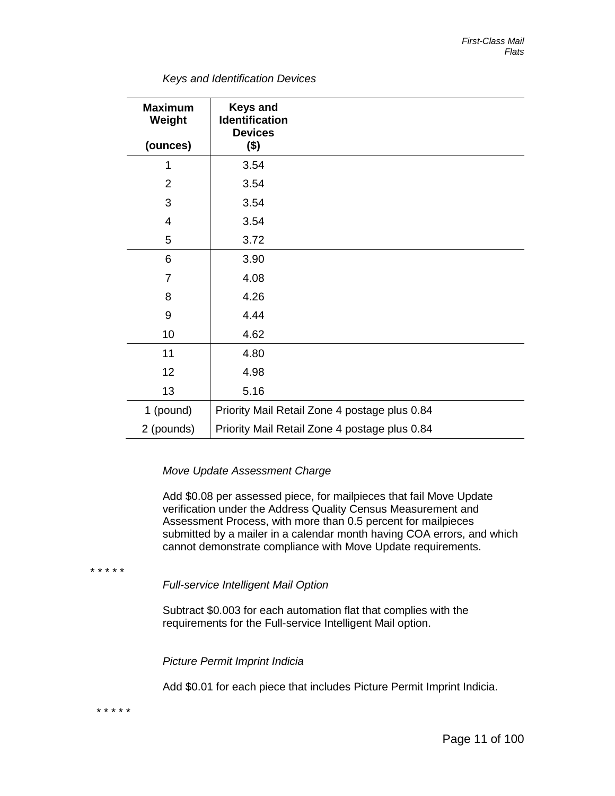| <b>Maximum</b><br>Weight | <b>Keys and</b><br><b>Identification</b><br><b>Devices</b> |                                               |
|--------------------------|------------------------------------------------------------|-----------------------------------------------|
| (ounces)                 | $($ \$)                                                    |                                               |
| 1                        | 3.54                                                       |                                               |
| $\overline{2}$           | 3.54                                                       |                                               |
| 3                        | 3.54                                                       |                                               |
| 4                        | 3.54                                                       |                                               |
| 5                        | 3.72                                                       |                                               |
| 6                        | 3.90                                                       |                                               |
| 7                        | 4.08                                                       |                                               |
| 8                        | 4.26                                                       |                                               |
| 9                        | 4.44                                                       |                                               |
| 10                       | 4.62                                                       |                                               |
| 11                       | 4.80                                                       |                                               |
| 12                       | 4.98                                                       |                                               |
| 13                       | 5.16                                                       |                                               |
| 1 (pound)                |                                                            | Priority Mail Retail Zone 4 postage plus 0.84 |
| 2 (pounds)               |                                                            | Priority Mail Retail Zone 4 postage plus 0.84 |

*Keys and Identification Devices*

#### *Move Update Assessment Charge*

Add \$0.08 per assessed piece, for mailpieces that fail Move Update verification under the Address Quality Census Measurement and Assessment Process, with more than 0.5 percent for mailpieces submitted by a mailer in a calendar month having COA errors, and which cannot demonstrate compliance with Move Update requirements.

\* \* \* \* \*

*Full-service Intelligent Mail Option*

Subtract \$0.003 for each automation flat that complies with the requirements for the Full-service Intelligent Mail option.

*Picture Permit Imprint Indicia*

Add \$0.01 for each piece that includes Picture Permit Imprint Indicia.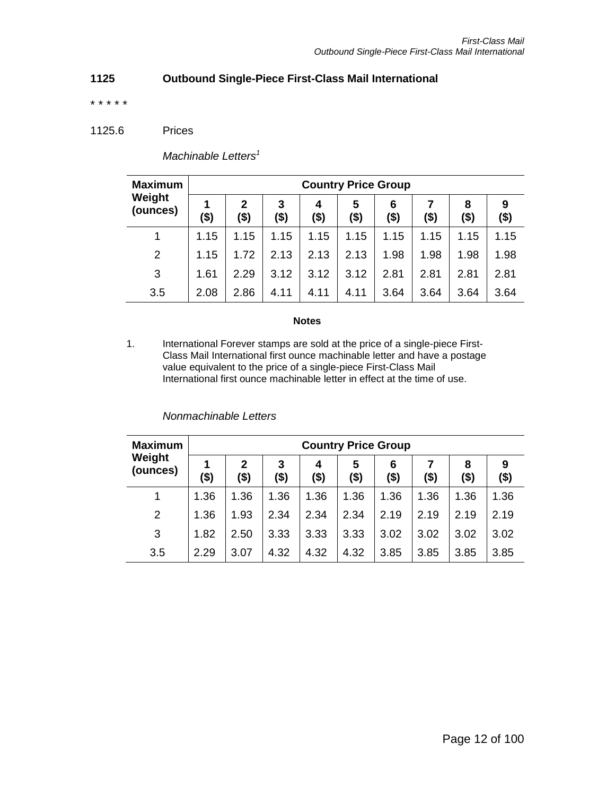## **1125 Outbound Single-Piece First-Class Mail International**

\* \* \* \* \*

1125.6 Prices

*Machinable Letters<sup>1</sup>*

| <b>Maximum</b>     | <b>Country Price Group</b> |           |           |           |           |              |      |           |          |  |
|--------------------|----------------------------|-----------|-----------|-----------|-----------|--------------|------|-----------|----------|--|
| Weight<br>(ounces) | 1<br>(\$)                  | 2<br>(\$) | 3<br>(\$) | 4<br>(\$) | 5<br>(\$) | 6<br>$($ \$) | (\$) | 8<br>(\$) | 9<br>\$) |  |
|                    | 1.15                       | 1.15      | 1.15      | 1.15      | 1.15      | 1.15         | 1.15 | 1.15      | 1.15     |  |
| 2                  | 1.15                       | 1.72      | 2.13      | 2.13      | 2.13      | 1.98         | 1.98 | 1.98      | 1.98     |  |
| 3                  | 1.61                       | 2.29      | 3.12      | 3.12      | 3.12      | 2.81         | 2.81 | 2.81      | 2.81     |  |
| 3.5                | 2.08                       | 2.86      | 4.11      | 4.11      | 4.11      | 3.64         | 3.64 | 3.64      | 3.64     |  |

#### **Notes**

1. International Forever stamps are sold at the price of a single-piece First-Class Mail International first ounce machinable letter and have a postage value equivalent to the price of a single-piece First-Class Mail International first ounce machinable letter in effect at the time of use.

| <b>Maximum</b>     | <b>Country Price Group</b> |                      |           |           |              |              |         |              |              |  |
|--------------------|----------------------------|----------------------|-----------|-----------|--------------|--------------|---------|--------------|--------------|--|
| Weight<br>(ounces) | (\$)                       | $\mathbf{2}$<br>(\$) | 3<br>(\$) | 4<br>(\$) | 5<br>$($ \$) | 6<br>$($ \$) | $($ \$) | 8<br>$($ \$) | 9<br>$($ \$) |  |
|                    | 1.36                       | 1.36                 | 1.36      | 1.36      | 1.36         | 1.36         | 1.36    | 1.36         | 1.36         |  |
| 2                  | 1.36                       | 1.93                 | 2.34      | 2.34      | 2.34         | 2.19         | 2.19    | 2.19         | 2.19         |  |
| 3                  | 1.82                       | 2.50                 | 3.33      | 3.33      | 3.33         | 3.02         | 3.02    | 3.02         | 3.02         |  |
| 3.5                | 2.29                       | 3.07                 | 4.32      | 4.32      | 4.32         | 3.85         | 3.85    | 3.85         | 3.85         |  |

#### *Nonmachinable Letters*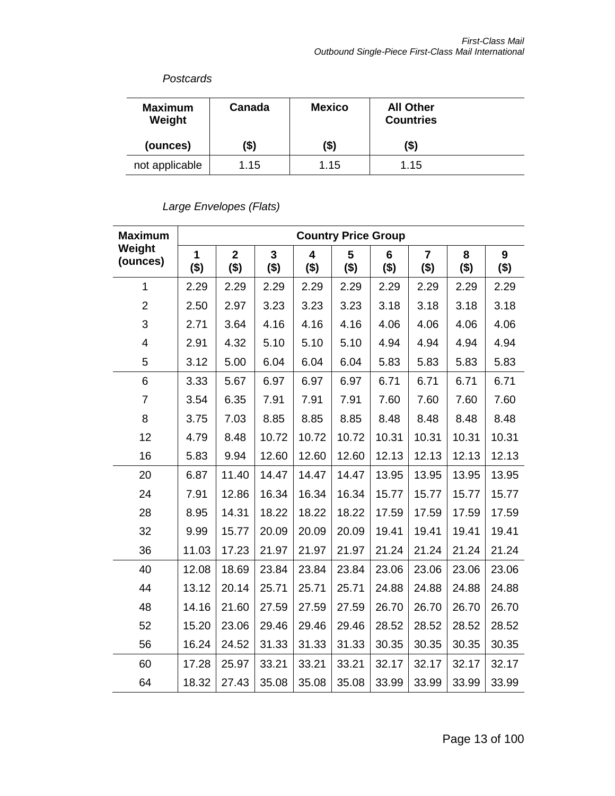## *Postcards*

| <b>Maximum</b><br>Weight | Canada | <b>Mexico</b> | <b>All Other</b><br><b>Countries</b> |  |
|--------------------------|--------|---------------|--------------------------------------|--|
| (ounces)                 | (\$)   | (\$)          | (\$)                                 |  |
| not applicable           | 1.15   | 1.15          | 1.15                                 |  |

# *Large Envelopes (Flats)*

| <b>Maximum</b>     | <b>Country Price Group</b> |                           |                           |              |              |              |                           |              |              |
|--------------------|----------------------------|---------------------------|---------------------------|--------------|--------------|--------------|---------------------------|--------------|--------------|
| Weight<br>(ounces) | 1<br>$($ \$)               | $\overline{2}$<br>$($ \$) | $\overline{3}$<br>$($ \$) | 4<br>$($ \$) | 5<br>$($ \$) | 6<br>$($ \$) | $\overline{7}$<br>$($ \$) | 8<br>$($ \$) | 9<br>$($ \$) |
| $\mathbf{1}$       | 2.29                       | 2.29                      | 2.29                      | 2.29         | 2.29         | 2.29         | 2.29                      | 2.29         | 2.29         |
| $\overline{2}$     | 2.50                       | 2.97                      | 3.23                      | 3.23         | 3.23         | 3.18         | 3.18                      | 3.18         | 3.18         |
| 3                  | 2.71                       | 3.64                      | 4.16                      | 4.16         | 4.16         | 4.06         | 4.06                      | 4.06         | 4.06         |
| 4                  | 2.91                       | 4.32                      | 5.10                      | 5.10         | 5.10         | 4.94         | 4.94                      | 4.94         | 4.94         |
| 5                  | 3.12                       | 5.00                      | 6.04                      | 6.04         | 6.04         | 5.83         | 5.83                      | 5.83         | 5.83         |
| 6                  | 3.33                       | 5.67                      | 6.97                      | 6.97         | 6.97         | 6.71         | 6.71                      | 6.71         | 6.71         |
| $\overline{7}$     | 3.54                       | 6.35                      | 7.91                      | 7.91         | 7.91         | 7.60         | 7.60                      | 7.60         | 7.60         |
| 8                  | 3.75                       | 7.03                      | 8.85                      | 8.85         | 8.85         | 8.48         | 8.48                      | 8.48         | 8.48         |
| 12                 | 4.79                       | 8.48                      | 10.72                     | 10.72        | 10.72        | 10.31        | 10.31                     | 10.31        | 10.31        |
| 16                 | 5.83                       | 9.94                      | 12.60                     | 12.60        | 12.60        | 12.13        | 12.13                     | 12.13        | 12.13        |
| 20                 | 6.87                       | 11.40                     | 14.47                     | 14.47        | 14.47        | 13.95        | 13.95                     | 13.95        | 13.95        |
| 24                 | 7.91                       | 12.86                     | 16.34                     | 16.34        | 16.34        | 15.77        | 15.77                     | 15.77        | 15.77        |
| 28                 | 8.95                       | 14.31                     | 18.22                     | 18.22        | 18.22        | 17.59        | 17.59                     | 17.59        | 17.59        |
| 32                 | 9.99                       | 15.77                     | 20.09                     | 20.09        | 20.09        | 19.41        | 19.41                     | 19.41        | 19.41        |
| 36                 | 11.03                      | 17.23                     | 21.97                     | 21.97        | 21.97        | 21.24        | 21.24                     | 21.24        | 21.24        |
| 40                 | 12.08                      | 18.69                     | 23.84                     | 23.84        | 23.84        | 23.06        | 23.06                     | 23.06        | 23.06        |
| 44                 | 13.12                      | 20.14                     | 25.71                     | 25.71        | 25.71        | 24.88        | 24.88                     | 24.88        | 24.88        |
| 48                 | 14.16                      | 21.60                     | 27.59                     | 27.59        | 27.59        | 26.70        | 26.70                     | 26.70        | 26.70        |
| 52                 | 15.20                      | 23.06                     | 29.46                     | 29.46        | 29.46        | 28.52        | 28.52                     | 28.52        | 28.52        |
| 56                 | 16.24                      | 24.52                     | 31.33                     | 31.33        | 31.33        | 30.35        | 30.35                     | 30.35        | 30.35        |
| 60                 | 17.28                      | 25.97                     | 33.21                     | 33.21        | 33.21        | 32.17        | 32.17                     | 32.17        | 32.17        |
| 64                 | 18.32                      | 27.43                     | 35.08                     | 35.08        | 35.08        | 33.99        | 33.99                     | 33.99        | 33.99        |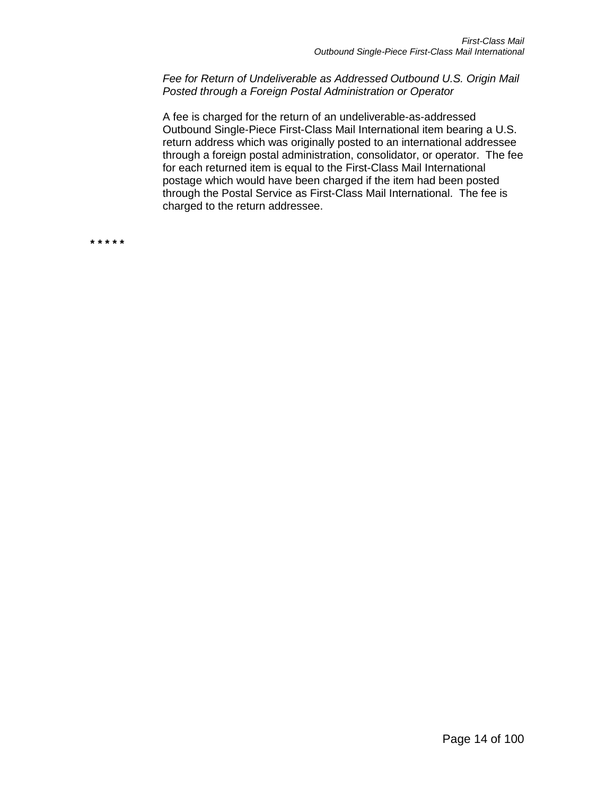*Fee for Return of Undeliverable as Addressed Outbound U.S. Origin Mail Posted through a Foreign Postal Administration or Operator*

A fee is charged for the return of an undeliverable-as-addressed Outbound Single-Piece First-Class Mail International item bearing a U.S. return address which was originally posted to an international addressee through a foreign postal administration, consolidator, or operator. The fee for each returned item is equal to the First-Class Mail International postage which would have been charged if the item had been posted through the Postal Service as First-Class Mail International. The fee is charged to the return addressee.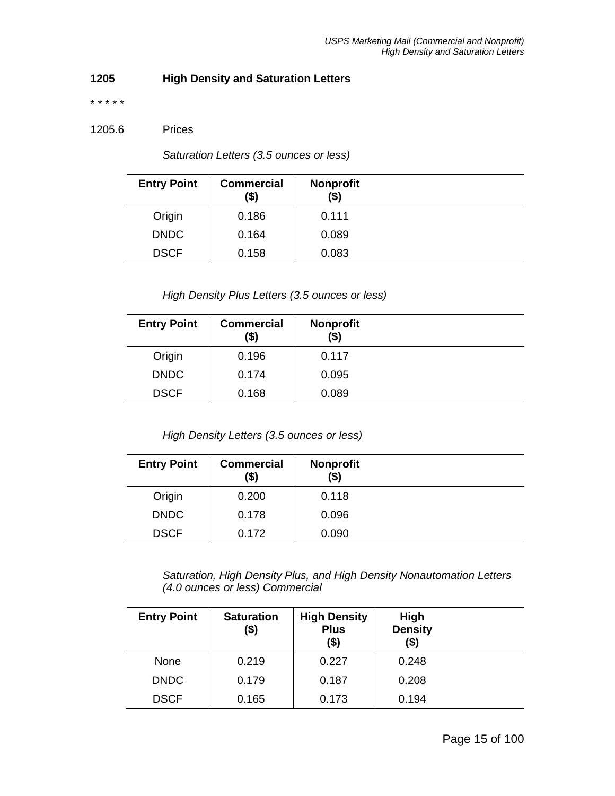# **1205 High Density and Saturation Letters**

\* \* \* \* \*

#### 1205.6 Prices

*Saturation Letters (3.5 ounces or less)*

| <b>Entry Point</b> | <b>Commercial</b><br>(\$) | <b>Nonprofit</b><br>(\$) |  |
|--------------------|---------------------------|--------------------------|--|
| Origin             | 0.186                     | 0.111                    |  |
| <b>DNDC</b>        | 0.164                     | 0.089                    |  |
| <b>DSCF</b>        | 0.158                     | 0.083                    |  |

*High Density Plus Letters (3.5 ounces or less)*

| <b>Entry Point</b> | <b>Commercial</b><br>(\$) | <b>Nonprofit</b><br>(\$) |  |
|--------------------|---------------------------|--------------------------|--|
| Origin             | 0.196                     | 0.117                    |  |
| <b>DNDC</b>        | 0.174                     | 0.095                    |  |
| <b>DSCF</b>        | 0.168                     | 0.089                    |  |

*High Density Letters (3.5 ounces or less)*

| <b>Entry Point</b> | <b>Commercial</b><br>(\$) | <b>Nonprofit</b><br>(\$) |  |
|--------------------|---------------------------|--------------------------|--|
| Origin             | 0.200                     | 0.118                    |  |
| <b>DNDC</b>        | 0.178                     | 0.096                    |  |
| <b>DSCF</b>        | 0.172                     | 0.090                    |  |

*Saturation, High Density Plus, and High Density Nonautomation Letters (4.0 ounces or less) Commercial*

| <b>Entry Point</b> | <b>Saturation</b><br>(\$) | <b>High Density</b><br><b>Plus</b><br>$($ \$) | High<br><b>Density</b><br>(\$) |  |
|--------------------|---------------------------|-----------------------------------------------|--------------------------------|--|
| <b>None</b>        | 0.219                     | 0.227                                         | 0.248                          |  |
| <b>DNDC</b>        | 0.179                     | 0.187                                         | 0.208                          |  |
| <b>DSCF</b>        | 0.165                     | 0.173                                         | 0.194                          |  |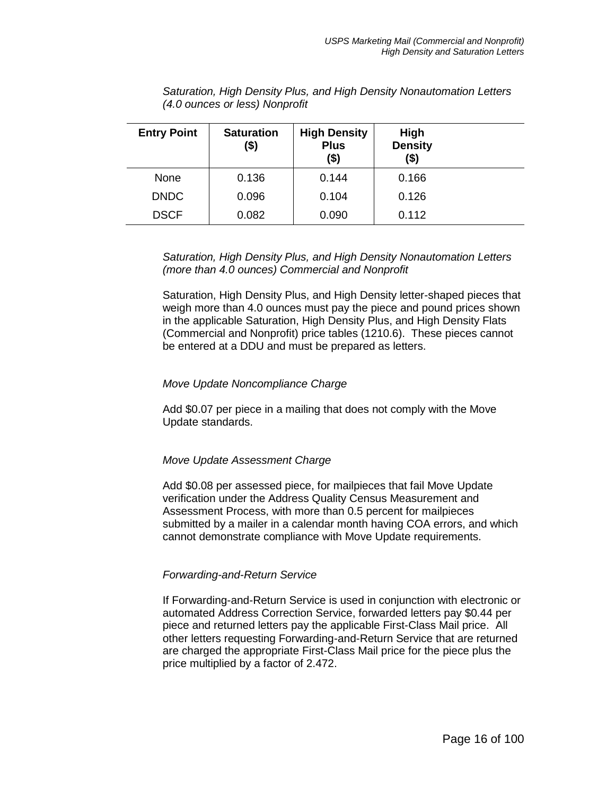| <b>Entry Point</b> | <b>Saturation</b><br>(\$) | <b>High Density</b><br><b>Plus</b><br>$($ \$) | High<br><b>Density</b><br>(\$) |  |
|--------------------|---------------------------|-----------------------------------------------|--------------------------------|--|
| None               | 0.136                     | 0.144                                         | 0.166                          |  |
| <b>DNDC</b>        | 0.096                     | 0.104                                         | 0.126                          |  |
| <b>DSCF</b>        | 0.082                     | 0.090                                         | 0.112                          |  |

*Saturation, High Density Plus, and High Density Nonautomation Letters (4.0 ounces or less) Nonprofit*

*Saturation, High Density Plus, and High Density Nonautomation Letters (more than 4.0 ounces) Commercial and Nonprofit*

Saturation, High Density Plus, and High Density letter-shaped pieces that weigh more than 4.0 ounces must pay the piece and pound prices shown in the applicable Saturation, High Density Plus, and High Density Flats (Commercial and Nonprofit) price tables (1210.6). These pieces cannot be entered at a DDU and must be prepared as letters.

#### *Move Update Noncompliance Charge*

Add \$0.07 per piece in a mailing that does not comply with the Move Update standards.

#### *Move Update Assessment Charge*

Add \$0.08 per assessed piece, for mailpieces that fail Move Update verification under the Address Quality Census Measurement and Assessment Process, with more than 0.5 percent for mailpieces submitted by a mailer in a calendar month having COA errors, and which cannot demonstrate compliance with Move Update requirements.

#### *Forwarding-and-Return Service*

If Forwarding-and-Return Service is used in conjunction with electronic or automated Address Correction Service, forwarded letters pay \$0.44 per piece and returned letters pay the applicable First-Class Mail price. All other letters requesting Forwarding-and-Return Service that are returned are charged the appropriate First-Class Mail price for the piece plus the price multiplied by a factor of 2.472.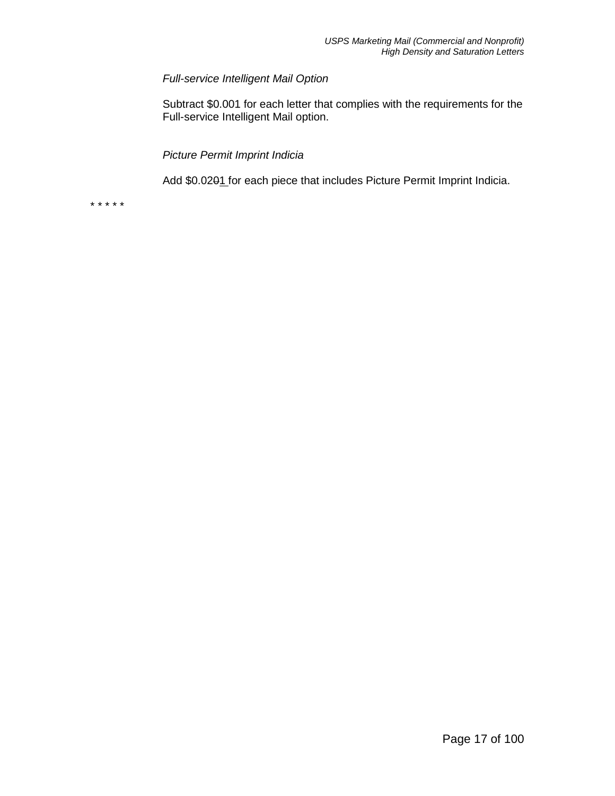## *Full-service Intelligent Mail Option*

Subtract \$0.001 for each letter that complies with the requirements for the Full-service Intelligent Mail option.

*Picture Permit Imprint Indicia*

Add \$0.0201 for each piece that includes Picture Permit Imprint Indicia.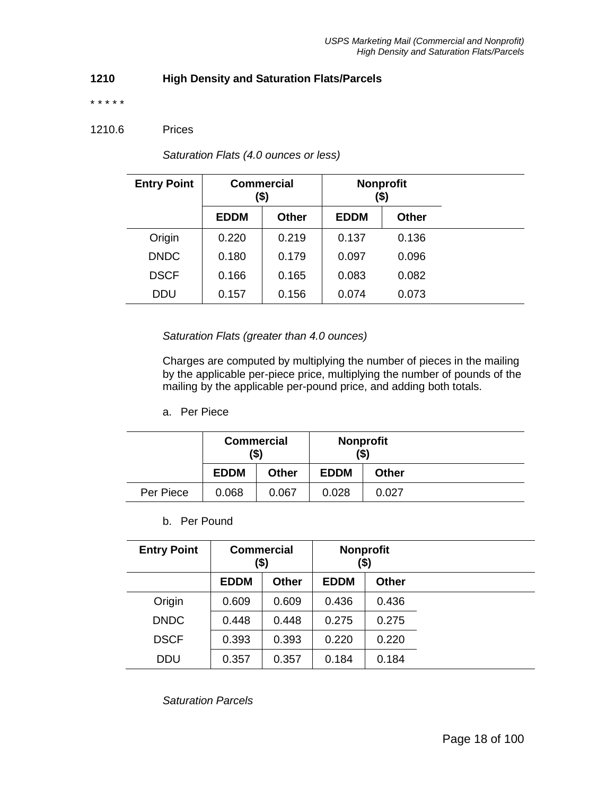## **1210 High Density and Saturation Flats/Parcels**

\* \* \* \* \*

#### 1210.6 Prices

| <b>Entry Point</b> | <b>Commercial</b><br>(\$) |              | <b>Nonprofit</b> | (\$)  |  |
|--------------------|---------------------------|--------------|------------------|-------|--|
|                    | <b>EDDM</b>               | <b>Other</b> | <b>EDDM</b>      | Other |  |
| Origin             | 0.220                     | 0.219        | 0.137            | 0.136 |  |
| <b>DNDC</b>        | 0.180                     | 0.179        | 0.097            | 0.096 |  |
| <b>DSCF</b>        | 0.166                     | 0.165        | 0.083            | 0.082 |  |
| <b>DDU</b>         | 0.157                     | 0.156        | 0.074            | 0.073 |  |

*Saturation Flats (4.0 ounces or less)*

#### *Saturation Flats (greater than 4.0 ounces)*

Charges are computed by multiplying the number of pieces in the mailing by the applicable per-piece price, multiplying the number of pounds of the mailing by the applicable per-pound price, and adding both totals.

a. Per Piece

|           |             | <b>Commercial</b><br>(\$) |             | <b>Nonprofit</b><br>(\$) |
|-----------|-------------|---------------------------|-------------|--------------------------|
|           | <b>EDDM</b> | <b>Other</b>              | <b>EDDM</b> | <b>Other</b>             |
| Per Piece | 0.068       | 0.067                     | 0.028       | 0.027                    |

## b. Per Pound

| <b>Entry Point</b> | <b>Commercial</b><br>(\$) |       | <b>Nonprofit</b><br>(\$) |              |  |
|--------------------|---------------------------|-------|--------------------------|--------------|--|
|                    | <b>EDDM</b>               | Other | <b>EDDM</b>              | <b>Other</b> |  |
| Origin             | 0.609                     | 0.609 | 0.436                    | 0.436        |  |
| <b>DNDC</b>        | 0.448                     | 0.448 | 0.275                    | 0.275        |  |
| <b>DSCF</b>        | 0.393                     | 0.393 | 0.220                    | 0.220        |  |
| <b>DDU</b>         | 0.357                     | 0.357 | 0.184                    | 0.184        |  |

*Saturation Parcels*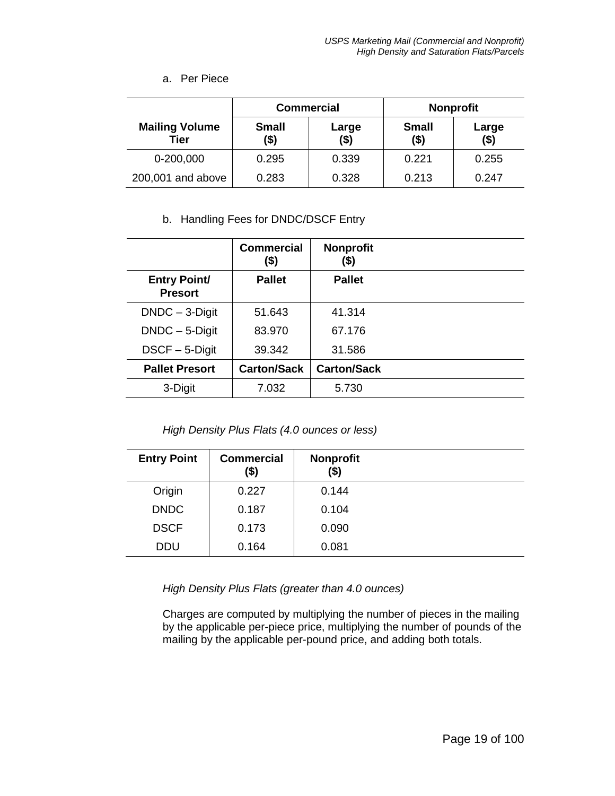#### a. Per Piece

|                               |                      | <b>Commercial</b> | <b>Nonprofit</b>        |                  |
|-------------------------------|----------------------|-------------------|-------------------------|------------------|
| <b>Mailing Volume</b><br>Tier | <b>Small</b><br>(\$) | Large<br>(\$)     | <b>Small</b><br>$($ \$) | Large<br>$($ \$) |
| 0-200,000                     | 0.295                | 0.339             | 0.221                   | 0.255            |
| 200,001 and above             | 0.283                | 0.328             | 0.213                   | 0.247            |

## b. Handling Fees for DNDC/DSCF Entry

|                                       | <b>Commercial</b><br>(\$) | <b>Nonprofit</b><br>(\$) |  |
|---------------------------------------|---------------------------|--------------------------|--|
| <b>Entry Point/</b><br><b>Presort</b> | <b>Pallet</b>             | <b>Pallet</b>            |  |
| $DNDC - 3-Digit$                      | 51.643                    | 41.314                   |  |
| $DNDC - 5-Digit$                      | 83.970                    | 67.176                   |  |
| $DSCF - 5-Digit$                      | 39.342                    | 31.586                   |  |
| <b>Pallet Presort</b>                 | <b>Carton/Sack</b>        | <b>Carton/Sack</b>       |  |
| 3-Digit                               | 7.032                     | 5.730                    |  |

*High Density Plus Flats (4.0 ounces or less)*

| <b>Entry Point</b> | <b>Commercial</b><br>(\$) | <b>Nonprofit</b><br>(\$) |  |
|--------------------|---------------------------|--------------------------|--|
| Origin             | 0.227                     | 0.144                    |  |
| <b>DNDC</b>        | 0.187                     | 0.104                    |  |
| <b>DSCF</b>        | 0.173                     | 0.090                    |  |
| <b>DDU</b>         | 0.164                     | 0.081                    |  |

*High Density Plus Flats (greater than 4.0 ounces)*

Charges are computed by multiplying the number of pieces in the mailing by the applicable per-piece price, multiplying the number of pounds of the mailing by the applicable per-pound price, and adding both totals.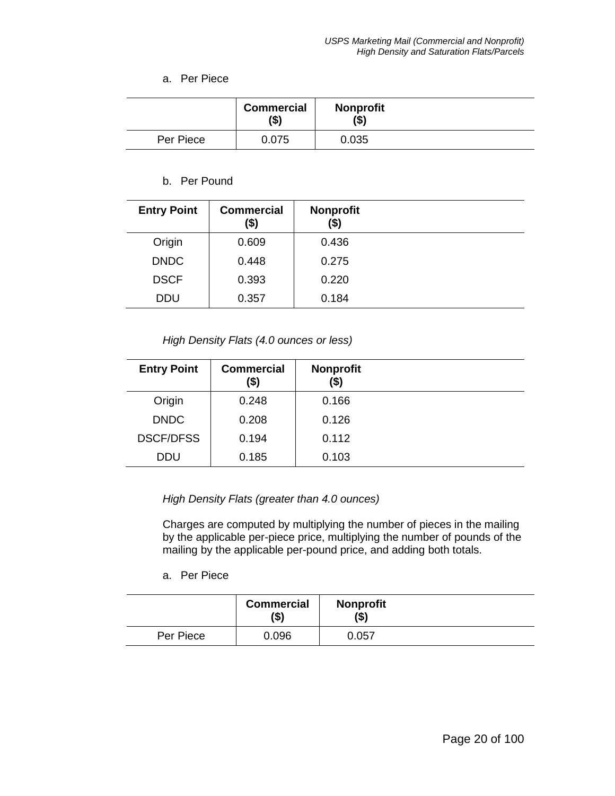#### a. Per Piece

|           | <b>Commercial</b><br>(\$) | <b>Nonprofit</b><br>(\$) |  |
|-----------|---------------------------|--------------------------|--|
| Per Piece | 0.075                     | 0.035                    |  |

#### b. Per Pound

| <b>Entry Point</b> | <b>Commercial</b><br>(\$) | <b>Nonprofit</b><br>(\$) |  |
|--------------------|---------------------------|--------------------------|--|
| Origin             | 0.609                     | 0.436                    |  |
| <b>DNDC</b>        | 0.448                     | 0.275                    |  |
| <b>DSCF</b>        | 0.393                     | 0.220                    |  |
| <b>DDU</b>         | 0.357                     | 0.184                    |  |

#### *High Density Flats (4.0 ounces or less)*

| <b>Entry Point</b> | <b>Commercial</b><br>(\$) | <b>Nonprofit</b><br>(\$) |  |
|--------------------|---------------------------|--------------------------|--|
| Origin             | 0.248                     | 0.166                    |  |
| <b>DNDC</b>        | 0.208                     | 0.126                    |  |
| <b>DSCF/DFSS</b>   | 0.194                     | 0.112                    |  |
| <b>DDU</b>         | 0.185                     | 0.103                    |  |

#### *High Density Flats (greater than 4.0 ounces)*

Charges are computed by multiplying the number of pieces in the mailing by the applicable per-piece price, multiplying the number of pounds of the mailing by the applicable per-pound price, and adding both totals.

a. Per Piece

|           | <b>Commercial</b><br>(\$) | <b>Nonprofit</b><br>$($ \$) |  |
|-----------|---------------------------|-----------------------------|--|
| Per Piece | 0.096                     | 0.057                       |  |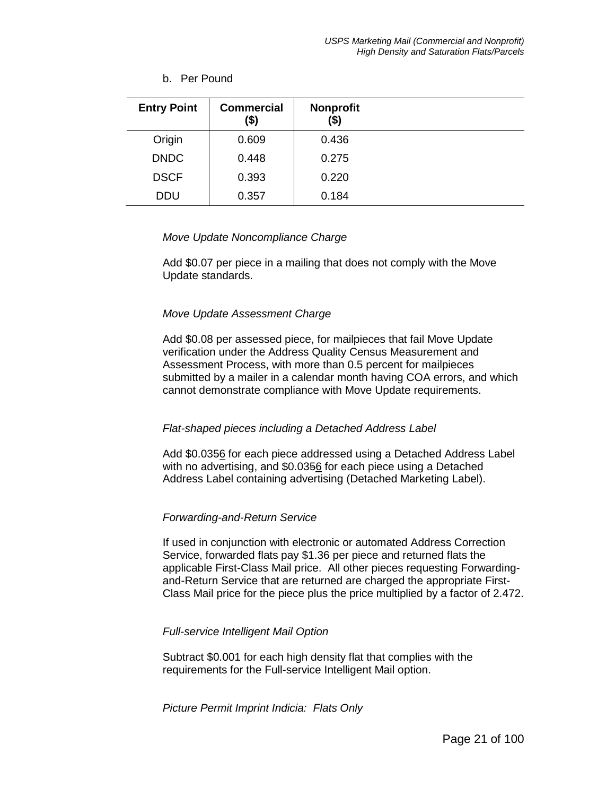#### b. Per Pound

| <b>Entry Point</b> | <b>Commercial</b><br>(\$) | <b>Nonprofit</b><br>(\$) |  |
|--------------------|---------------------------|--------------------------|--|
| Origin             | 0.609                     | 0.436                    |  |
| <b>DNDC</b>        | 0.448                     | 0.275                    |  |
| <b>DSCF</b>        | 0.393                     | 0.220                    |  |
| <b>DDU</b>         | 0.357                     | 0.184                    |  |

#### *Move Update Noncompliance Charge*

Add \$0.07 per piece in a mailing that does not comply with the Move Update standards.

#### *Move Update Assessment Charge*

Add \$0.08 per assessed piece, for mailpieces that fail Move Update verification under the Address Quality Census Measurement and Assessment Process, with more than 0.5 percent for mailpieces submitted by a mailer in a calendar month having COA errors, and which cannot demonstrate compliance with Move Update requirements.

#### *Flat-shaped pieces including a Detached Address Label*

Add \$0.0356 for each piece addressed using a Detached Address Label with no advertising, and \$0.0356 for each piece using a Detached Address Label containing advertising (Detached Marketing Label).

## *Forwarding-and-Return Service*

If used in conjunction with electronic or automated Address Correction Service, forwarded flats pay \$1.36 per piece and returned flats the applicable First-Class Mail price. All other pieces requesting Forwardingand-Return Service that are returned are charged the appropriate First-Class Mail price for the piece plus the price multiplied by a factor of 2.472.

#### *Full-service Intelligent Mail Option*

Subtract \$0.001 for each high density flat that complies with the requirements for the Full-service Intelligent Mail option.

*Picture Permit Imprint Indicia: Flats Only*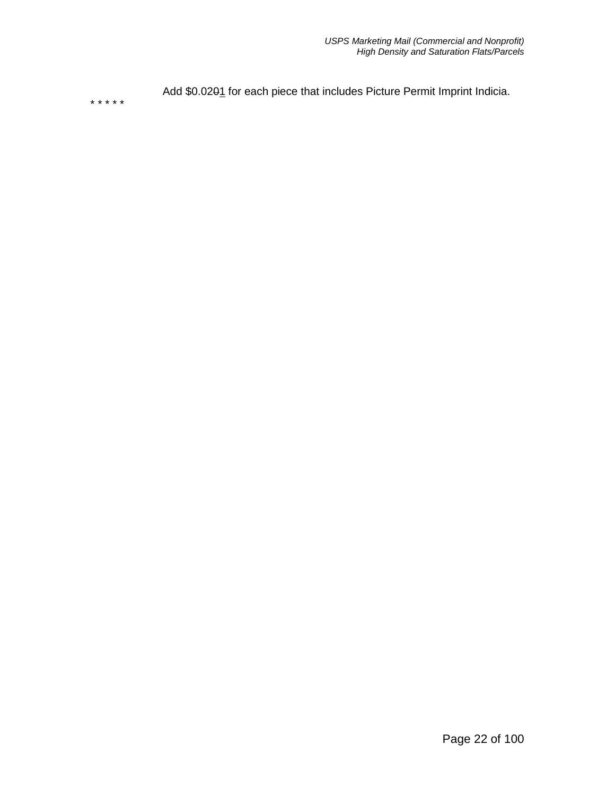Add \$0.0201 for each piece that includes Picture Permit Imprint Indicia.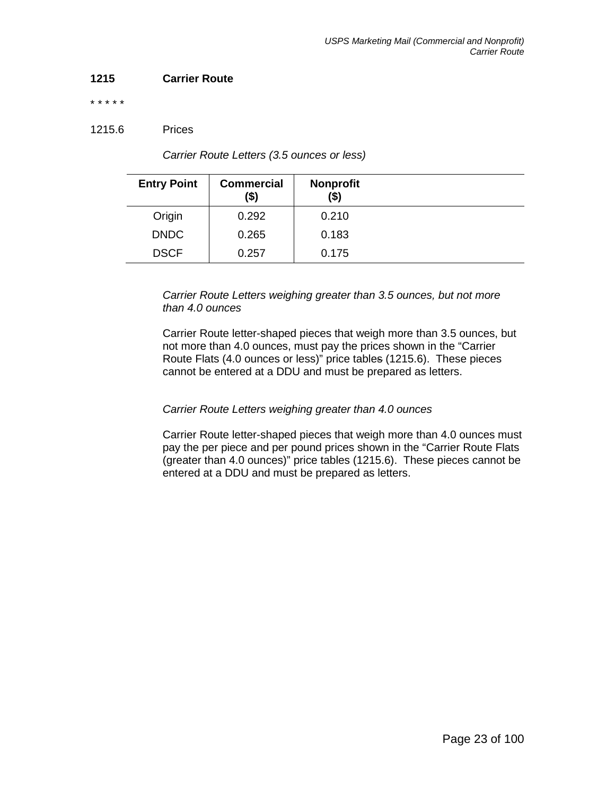## **1215 Carrier Route**

#### \* \* \* \* \*

## 1215.6 Prices

| <b>Entry Point</b> | <b>Commercial</b><br>(\$) | <b>Nonprofit</b><br>(\$) |  |
|--------------------|---------------------------|--------------------------|--|
| Origin             | 0.292                     | 0.210                    |  |
| <b>DNDC</b>        | 0.265                     | 0.183                    |  |
| <b>DSCF</b>        | 0.257                     | 0.175                    |  |

*Carrier Route Letters (3.5 ounces or less)*

*Carrier Route Letters weighing greater than 3.5 ounces, but not more than 4.0 ounces*

Carrier Route letter-shaped pieces that weigh more than 3.5 ounces, but not more than 4.0 ounces, must pay the prices shown in the "Carrier Route Flats (4.0 ounces or less)" price tables (1215.6). These pieces cannot be entered at a DDU and must be prepared as letters.

# *Carrier Route Letters weighing greater than 4.0 ounces*

Carrier Route letter-shaped pieces that weigh more than 4.0 ounces must pay the per piece and per pound prices shown in the "Carrier Route Flats (greater than 4.0 ounces)" price tables (1215.6). These pieces cannot be entered at a DDU and must be prepared as letters.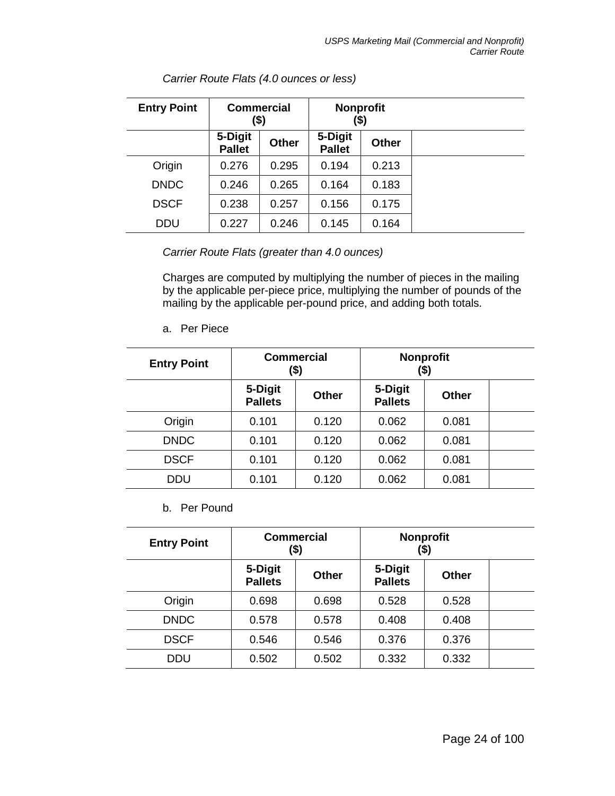| <b>Entry Point</b> | <b>Commercial</b><br>(\$) |              | <b>Nonprofit</b><br>(\$) |              |  |
|--------------------|---------------------------|--------------|--------------------------|--------------|--|
|                    | 5-Digit<br><b>Pallet</b>  | <b>Other</b> | 5-Digit<br><b>Pallet</b> | <b>Other</b> |  |
| Origin             | 0.276                     | 0.295        | 0.194                    | 0.213        |  |
| <b>DNDC</b>        | 0.246                     | 0.265        | 0.164                    | 0.183        |  |
| <b>DSCF</b>        | 0.238                     | 0.257        | 0.156                    | 0.175        |  |
| <b>DDU</b>         | 0.227                     | 0.246        | 0.145                    | 0.164        |  |

*Carrier Route Flats (4.0 ounces or less)*

*Carrier Route Flats (greater than 4.0 ounces)*

Charges are computed by multiplying the number of pieces in the mailing by the applicable per-piece price, multiplying the number of pounds of the mailing by the applicable per-pound price, and adding both totals.

a. Per Piece

| <b>Entry Point</b> | <b>Commercial</b><br>(\$) |              | <b>Nonprofit</b><br>(\$)  |              |  |
|--------------------|---------------------------|--------------|---------------------------|--------------|--|
|                    | 5-Digit<br><b>Pallets</b> | <b>Other</b> | 5-Digit<br><b>Pallets</b> | <b>Other</b> |  |
| Origin             | 0.101                     | 0.120        | 0.062                     | 0.081        |  |
| <b>DNDC</b>        | 0.101                     | 0.120        | 0.062                     | 0.081        |  |
| <b>DSCF</b>        | 0.101                     | 0.120        | 0.062                     | 0.081        |  |
| <b>DDU</b>         | 0.101                     | 0.120        | 0.062                     | 0.081        |  |

b. Per Pound

| <b>Entry Point</b> | <b>Commercial</b><br>(\$) |              | <b>Nonprofit</b><br>(\$)  |              |  |
|--------------------|---------------------------|--------------|---------------------------|--------------|--|
|                    | 5-Digit<br><b>Pallets</b> | <b>Other</b> | 5-Digit<br><b>Pallets</b> | <b>Other</b> |  |
| Origin             | 0.698                     | 0.698        | 0.528                     | 0.528        |  |
| <b>DNDC</b>        | 0.578                     | 0.578        | 0.408                     | 0.408        |  |
| <b>DSCF</b>        | 0.546                     | 0.546        | 0.376                     | 0.376        |  |
| DDU                | 0.502                     | 0.502        | 0.332                     | 0.332        |  |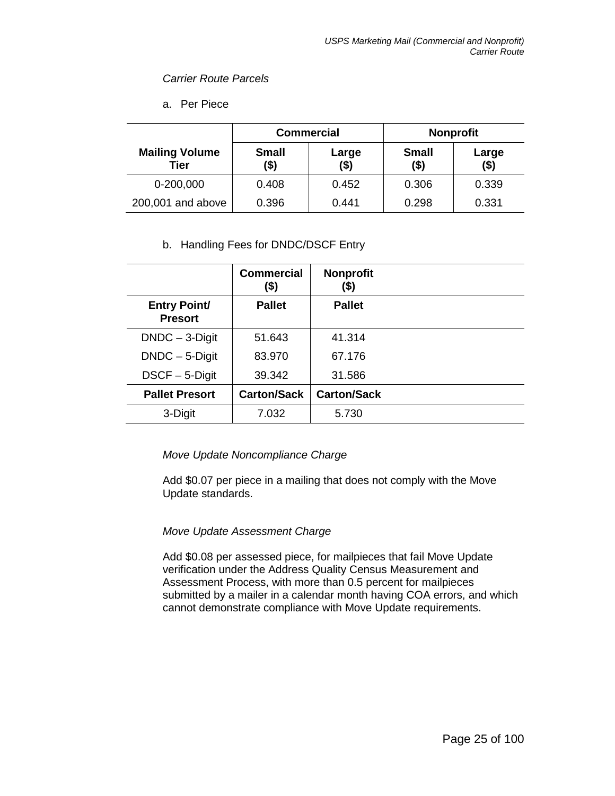#### *Carrier Route Parcels*

a. Per Piece

|                               | <b>Commercial</b>    |               |                         | <b>Nonprofit</b> |
|-------------------------------|----------------------|---------------|-------------------------|------------------|
| <b>Mailing Volume</b><br>Tier | <b>Small</b><br>(\$) | Large<br>(\$) | <b>Small</b><br>$($ \$) | Large<br>$($ \$) |
| 0-200,000                     | 0.408                | 0.452         | 0.306                   | 0.339            |
| 200,001 and above             | 0.396                | 0.441         | 0.298                   | 0.331            |

## b. Handling Fees for DNDC/DSCF Entry

|                                       | <b>Commercial</b><br>$($ \$) | <b>Nonprofit</b><br>(\$) |  |
|---------------------------------------|------------------------------|--------------------------|--|
| <b>Entry Point/</b><br><b>Presort</b> | <b>Pallet</b>                | <b>Pallet</b>            |  |
| $DNDC - 3-Digit$                      | 51.643                       | 41.314                   |  |
| $DNDC - 5-Digit$                      | 83.970                       | 67.176                   |  |
| $DSCF - 5-Digit$                      | 39.342                       | 31.586                   |  |
| <b>Pallet Presort</b>                 | <b>Carton/Sack</b>           | <b>Carton/Sack</b>       |  |
| 3-Digit                               | 7.032                        | 5.730                    |  |

## *Move Update Noncompliance Charge*

Add \$0.07 per piece in a mailing that does not comply with the Move Update standards.

## *Move Update Assessment Charge*

Add \$0.08 per assessed piece, for mailpieces that fail Move Update verification under the Address Quality Census Measurement and Assessment Process, with more than 0.5 percent for mailpieces submitted by a mailer in a calendar month having COA errors, and which cannot demonstrate compliance with Move Update requirements.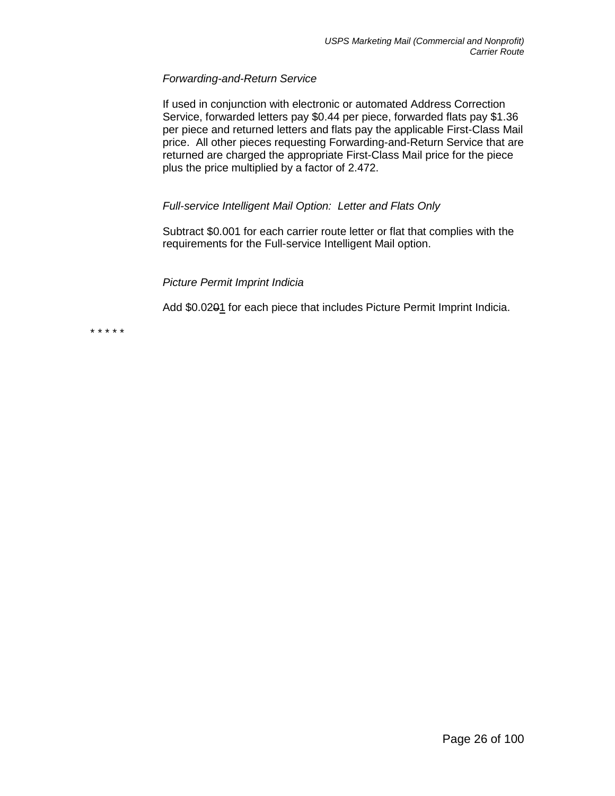## *Forwarding-and-Return Service*

If used in conjunction with electronic or automated Address Correction Service, forwarded letters pay \$0.44 per piece, forwarded flats pay \$1.36 per piece and returned letters and flats pay the applicable First-Class Mail price. All other pieces requesting Forwarding-and-Return Service that are returned are charged the appropriate First-Class Mail price for the piece plus the price multiplied by a factor of 2.472.

## *Full-service Intelligent Mail Option: Letter and Flats Only*

Subtract \$0.001 for each carrier route letter or flat that complies with the requirements for the Full-service Intelligent Mail option.

## *Picture Permit Imprint Indicia*

Add \$0.0201 for each piece that includes Picture Permit Imprint Indicia.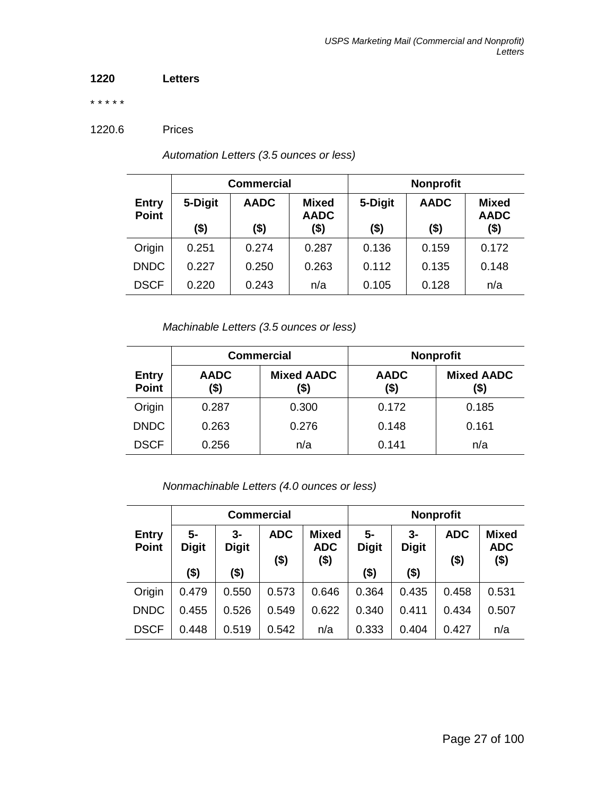## **1220 Letters**

\* \* \* \* \*

1220.6 Prices

|                              | <b>Commercial</b> |             |                             | <b>Nonprofit</b> |             |                             |
|------------------------------|-------------------|-------------|-----------------------------|------------------|-------------|-----------------------------|
| <b>Entry</b><br><b>Point</b> | 5-Digit           | <b>AADC</b> | <b>Mixed</b><br><b>AADC</b> | 5-Digit          | <b>AADC</b> | <b>Mixed</b><br><b>AADC</b> |
|                              | \$)               | (\$)        | (\$)                        | $($ \$)          | $($ \$)     | $($ \$)                     |
| Origin                       | 0.251             | 0.274       | 0.287                       | 0.136            | 0.159       | 0.172                       |
| <b>DNDC</b>                  | 0.227             | 0.250       | 0.263                       | 0.112            | 0.135       | 0.148                       |
| <b>DSCF</b>                  | 0.220             | 0.243       | n/a                         | 0.105            | 0.128       | n/a                         |

*Automation Letters (3.5 ounces or less)*

*Machinable Letters (3.5 ounces or less)*

|                              |                     | <b>Commercial</b>         |                     | <b>Nonprofit</b>          |
|------------------------------|---------------------|---------------------------|---------------------|---------------------------|
| <b>Entry</b><br><b>Point</b> | <b>AADC</b><br>(\$) | <b>Mixed AADC</b><br>(\$) | <b>AADC</b><br>(\$) | <b>Mixed AADC</b><br>(\$) |
| Origin                       | 0.287               | 0.300                     | 0.172               | 0.185                     |
| <b>DNDC</b>                  | 0.263               | 0.276                     | 0.148               | 0.161                     |
| <b>DSCF</b>                  | 0.256               | n/a                       | 0.141               | n/a                       |

*Nonmachinable Letters (4.0 ounces or less)*

|                              |                      |                      | <b>Commercial</b>     |                                    | <b>Nonprofit</b>   |                    |                       |                                       |
|------------------------------|----------------------|----------------------|-----------------------|------------------------------------|--------------------|--------------------|-----------------------|---------------------------------------|
| <b>Entry</b><br><b>Point</b> | $5-$<br><b>Digit</b> | $3-$<br><b>Digit</b> | <b>ADC</b><br>$($ \$) | <b>Mixed</b><br><b>ADC</b><br>(\$) | 5-<br><b>Digit</b> | 3-<br><b>Digit</b> | <b>ADC</b><br>$($ \$) | <b>Mixed</b><br><b>ADC</b><br>$($ \$) |
|                              | (\$)                 | (\$)                 |                       |                                    | (\$)               | $($ \$)            |                       |                                       |
| Origin                       | 0.479                | 0.550                | 0.573                 | 0.646                              | 0.364              | 0.435              | 0.458                 | 0.531                                 |
| <b>DNDC</b>                  | 0.455                | 0.526                | 0.549                 | 0.622                              | 0.340              | 0.411              | 0.434                 | 0.507                                 |
| <b>DSCF</b>                  | 0.448                | 0.519                | 0.542                 | n/a                                | 0.333              | 0.404              | 0.427                 | n/a                                   |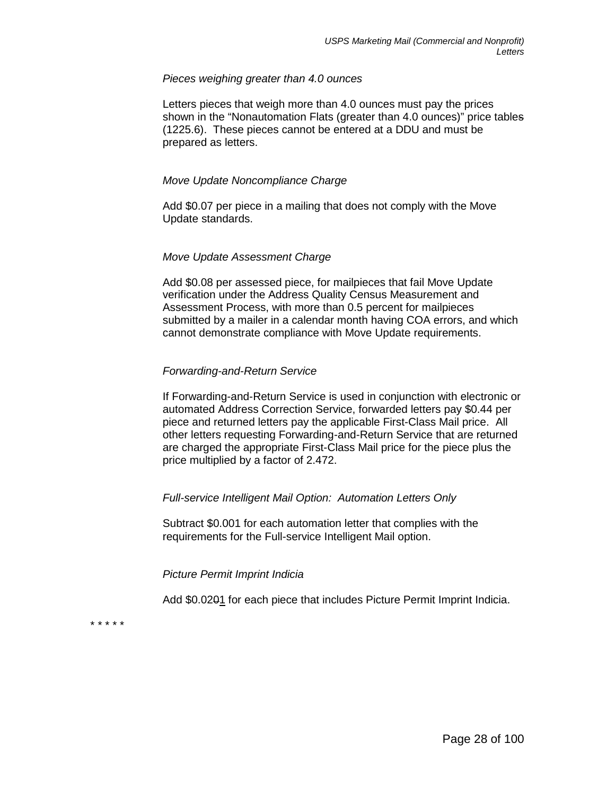#### *Pieces weighing greater than 4.0 ounces*

Letters pieces that weigh more than 4.0 ounces must pay the prices shown in the "Nonautomation Flats (greater than 4.0 ounces)" price tables (1225.6). These pieces cannot be entered at a DDU and must be prepared as letters.

## *Move Update Noncompliance Charge*

Add \$0.07 per piece in a mailing that does not comply with the Move Update standards.

#### *Move Update Assessment Charge*

Add \$0.08 per assessed piece, for mailpieces that fail Move Update verification under the Address Quality Census Measurement and Assessment Process, with more than 0.5 percent for mailpieces submitted by a mailer in a calendar month having COA errors, and which cannot demonstrate compliance with Move Update requirements.

## *Forwarding-and-Return Service*

If Forwarding-and-Return Service is used in conjunction with electronic or automated Address Correction Service, forwarded letters pay \$0.44 per piece and returned letters pay the applicable First-Class Mail price. All other letters requesting Forwarding-and-Return Service that are returned are charged the appropriate First-Class Mail price for the piece plus the price multiplied by a factor of 2.472.

## *Full-service Intelligent Mail Option: Automation Letters Only*

Subtract \$0.001 for each automation letter that complies with the requirements for the Full-service Intelligent Mail option.

## *Picture Permit Imprint Indicia*

Add \$0.0201 for each piece that includes Picture Permit Imprint Indicia.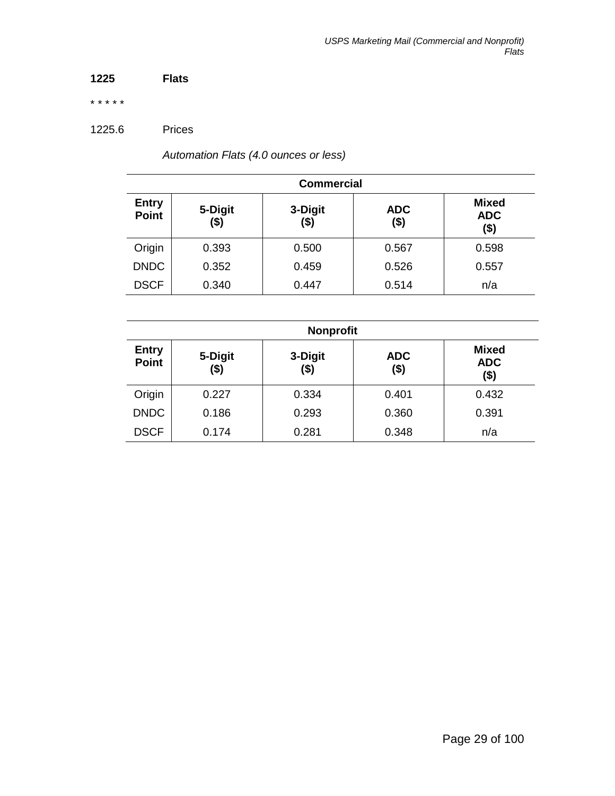## **1225 Flats**

\* \* \* \* \*

1225.6 Prices

*Automation Flats (4.0 ounces or less)*

| <b>Commercial</b>            |                 |                 |                   |                                    |  |
|------------------------------|-----------------|-----------------|-------------------|------------------------------------|--|
| <b>Entry</b><br><b>Point</b> | 5-Digit<br>(\$) | 3-Digit<br>(\$) | <b>ADC</b><br>\$) | <b>Mixed</b><br><b>ADC</b><br>(\$) |  |
| Origin                       | 0.393           | 0.500           | 0.567             | 0.598                              |  |
| <b>DNDC</b>                  | 0.352           | 0.459           | 0.526             | 0.557                              |  |
| <b>DSCF</b>                  | 0.340           | 0.447           | 0.514             | n/a                                |  |

| <b>Nonprofit</b>             |                 |                 |                    |                                       |  |
|------------------------------|-----------------|-----------------|--------------------|---------------------------------------|--|
| <b>Entry</b><br><b>Point</b> | 5-Digit<br>(\$) | 3-Digit<br>(\$) | <b>ADC</b><br>(\$) | <b>Mixed</b><br><b>ADC</b><br>$($ \$) |  |
| Origin                       | 0.227           | 0.334           | 0.401              | 0.432                                 |  |
| <b>DNDC</b>                  | 0.186           | 0.293           | 0.360              | 0.391                                 |  |
| <b>DSCF</b>                  | 0.174           | 0.281           | 0.348              | n/a                                   |  |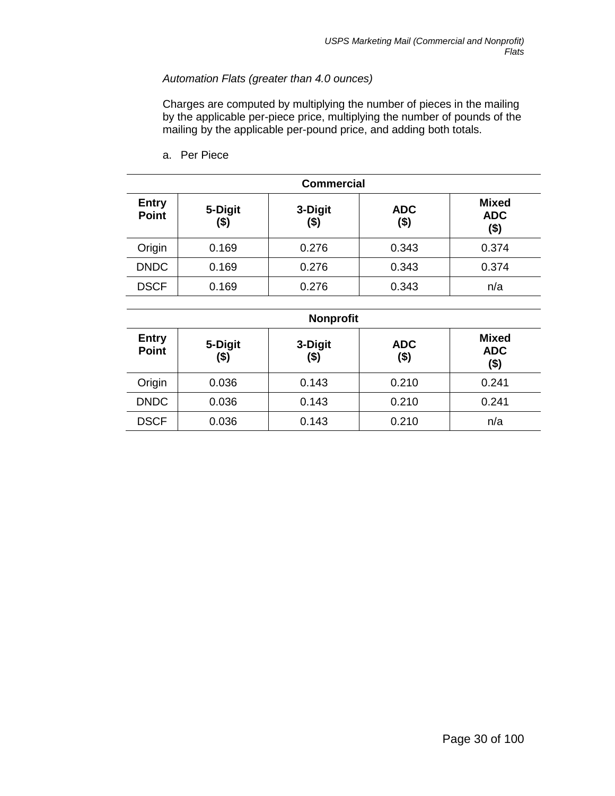# *Automation Flats (greater than 4.0 ounces)*

Charges are computed by multiplying the number of pieces in the mailing by the applicable per-piece price, multiplying the number of pounds of the mailing by the applicable per-pound price, and adding both totals.

a. Per Piece

| <b>Commercial</b>            |                 |                    |                    |                                       |  |
|------------------------------|-----------------|--------------------|--------------------|---------------------------------------|--|
| <b>Entry</b><br><b>Point</b> | 5-Digit<br>(\$) | 3-Digit<br>$($ \$) | <b>ADC</b><br>(\$) | <b>Mixed</b><br><b>ADC</b><br>$($ \$) |  |
| Origin                       | 0.169           | 0.276              | 0.343              | 0.374                                 |  |
| <b>DNDC</b>                  | 0.169           | 0.276              | 0.343              | 0.374                                 |  |
| <b>DSCF</b>                  | 0.169           | 0.276              | 0.343              | n/a                                   |  |

| <b>Nonprofit</b>             |                 |                    |                       |                                       |  |
|------------------------------|-----------------|--------------------|-----------------------|---------------------------------------|--|
| <b>Entry</b><br><b>Point</b> | 5-Digit<br>(\$) | 3-Digit<br>$($ \$) | <b>ADC</b><br>$($ \$) | <b>Mixed</b><br><b>ADC</b><br>$($ \$) |  |
| Origin                       | 0.036           | 0.143              | 0.210                 | 0.241                                 |  |
| <b>DNDC</b>                  | 0.036           | 0.143              | 0.210                 | 0.241                                 |  |
| <b>DSCF</b>                  | 0.036           | 0.143              | 0.210                 | n/a                                   |  |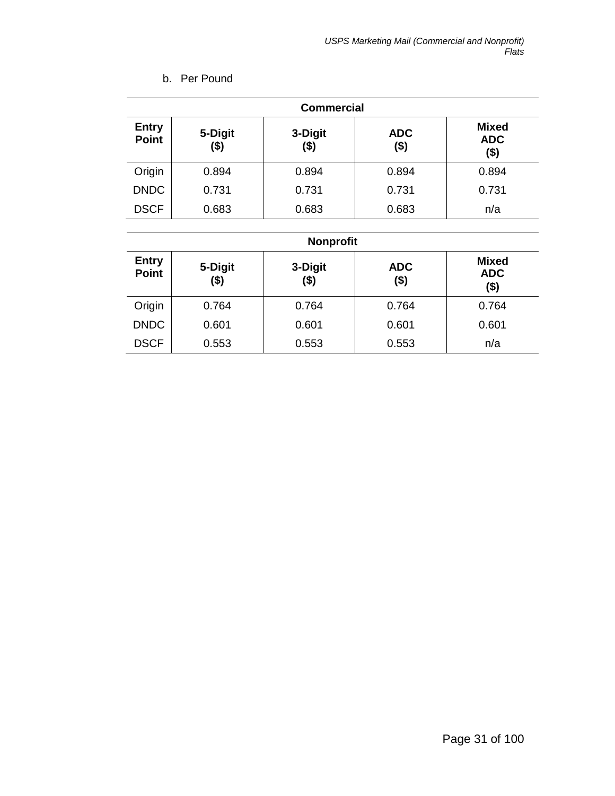| <b>Commercial</b>            |                 |                 |                       |                                       |
|------------------------------|-----------------|-----------------|-----------------------|---------------------------------------|
| <b>Entry</b><br><b>Point</b> | 5-Digit<br>(\$) | 3-Digit<br>(\$) | <b>ADC</b><br>$($ \$) | <b>Mixed</b><br><b>ADC</b><br>$($ \$) |
| Origin                       | 0.894           | 0.894           | 0.894                 | 0.894                                 |
| <b>DNDC</b>                  | 0.731           | 0.731           | 0.731                 | 0.731                                 |
| <b>DSCF</b>                  | 0.683           | 0.683           | 0.683                 | n/a                                   |
|                              |                 |                 |                       |                                       |

# b. Per Pound

# **Nonprofit**

| <b>Entry</b> | 5-Digit | 3-Digit | <b>ADC</b> | <b>Mixed</b>       |
|--------------|---------|---------|------------|--------------------|
| <b>Point</b> | (\$)    | $($ \$) | (\$)       | <b>ADC</b><br>(\$) |
| Origin       | 0.764   | 0.764   | 0.764      | 0.764              |
| <b>DNDC</b>  | 0.601   | 0.601   | 0.601      | 0.601              |
| <b>DSCF</b>  | 0.553   | 0.553   | 0.553      | n/a                |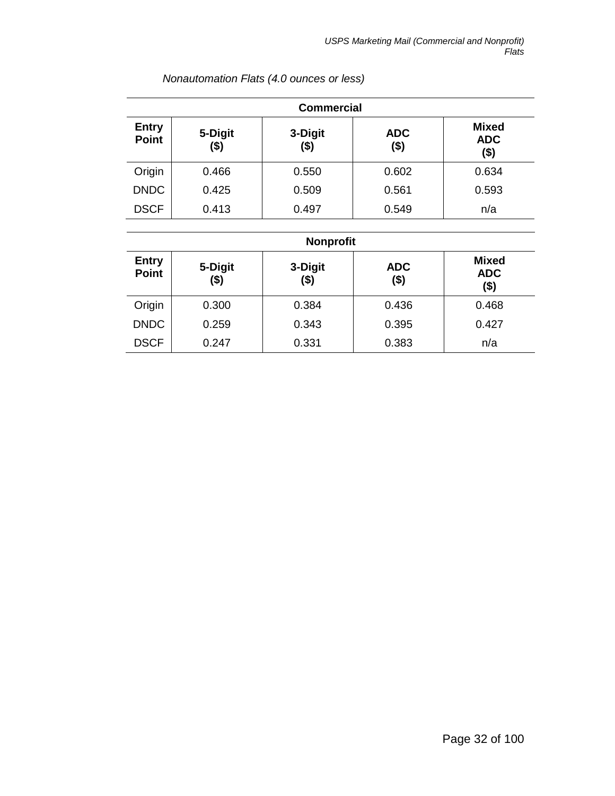| <b>Commercial</b>            |                 |                  |                    |                                       |  |
|------------------------------|-----------------|------------------|--------------------|---------------------------------------|--|
| <b>Entry</b><br><b>Point</b> | 5-Digit<br>(\$) | 3-Digit<br>(\$)  | <b>ADC</b><br>(\$) | <b>Mixed</b><br><b>ADC</b><br>$($ \$) |  |
| Origin                       | 0.466           | 0.550            | 0.602              | 0.634                                 |  |
| <b>DNDC</b>                  | 0.425           | 0.509            | 0.561              | 0.593                                 |  |
| <b>DSCF</b>                  | 0.413           | 0.497            | 0.549              | n/a                                   |  |
|                              |                 | <b>Nonprofit</b> |                    |                                       |  |
| <b>Entry</b>                 | 5-Digit         | 3-Digit          | <b>ADC</b>         | <b>Mixed</b>                          |  |
| <b>Point</b>                 | <b>141</b>      | <b>141</b>       | <b>141</b>         | <b>ADC</b>                            |  |

*Nonautomation Flats (4.0 ounces or less)*

|                              | <b>Nonprofit</b> |                 |                    |                                    |  |  |
|------------------------------|------------------|-----------------|--------------------|------------------------------------|--|--|
| <b>Entry</b><br><b>Point</b> | 5-Digit<br>(\$)  | 3-Digit<br>(\$) | <b>ADC</b><br>(\$) | <b>Mixed</b><br><b>ADC</b><br>(\$) |  |  |
| Origin                       | 0.300            | 0.384           | 0.436              | 0.468                              |  |  |
| <b>DNDC</b>                  | 0.259            | 0.343           | 0.395              | 0.427                              |  |  |
| <b>DSCF</b>                  | 0.247            | 0.331           | 0.383              | n/a                                |  |  |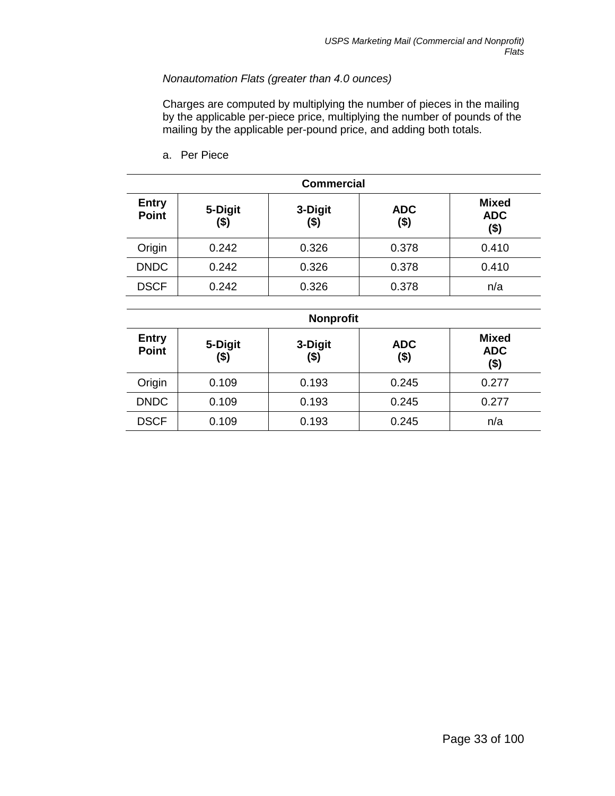## *Nonautomation Flats (greater than 4.0 ounces)*

Charges are computed by multiplying the number of pieces in the mailing by the applicable per-piece price, multiplying the number of pounds of the mailing by the applicable per-pound price, and adding both totals.

a. Per Piece

| <b>Commercial</b>            |                    |                    |                       |                                       |  |
|------------------------------|--------------------|--------------------|-----------------------|---------------------------------------|--|
| <b>Entry</b><br><b>Point</b> | 5-Digit<br>$($ \$) | 3-Digit<br>$($ \$) | <b>ADC</b><br>$($ \$) | <b>Mixed</b><br><b>ADC</b><br>$($ \$) |  |
| Origin                       | 0.242              | 0.326              | 0.378                 | 0.410                                 |  |
| <b>DNDC</b>                  | 0.242              | 0.326              | 0.378                 | 0.410                                 |  |
| <b>DSCF</b>                  | 0.242              | 0.326              | 0.378                 | n/a                                   |  |

| <b>Nonprofit</b>             |                 |                 |                    |                                    |  |
|------------------------------|-----------------|-----------------|--------------------|------------------------------------|--|
| <b>Entry</b><br><b>Point</b> | 5-Digit<br>(\$) | 3-Digit<br>(\$) | <b>ADC</b><br>(\$) | <b>Mixed</b><br><b>ADC</b><br>(\$) |  |
| Origin                       | 0.109           | 0.193           | 0.245              | 0.277                              |  |
| <b>DNDC</b>                  | 0.109           | 0.193           | 0.245              | 0.277                              |  |
| <b>DSCF</b>                  | 0.109           | 0.193           | 0.245              | n/a                                |  |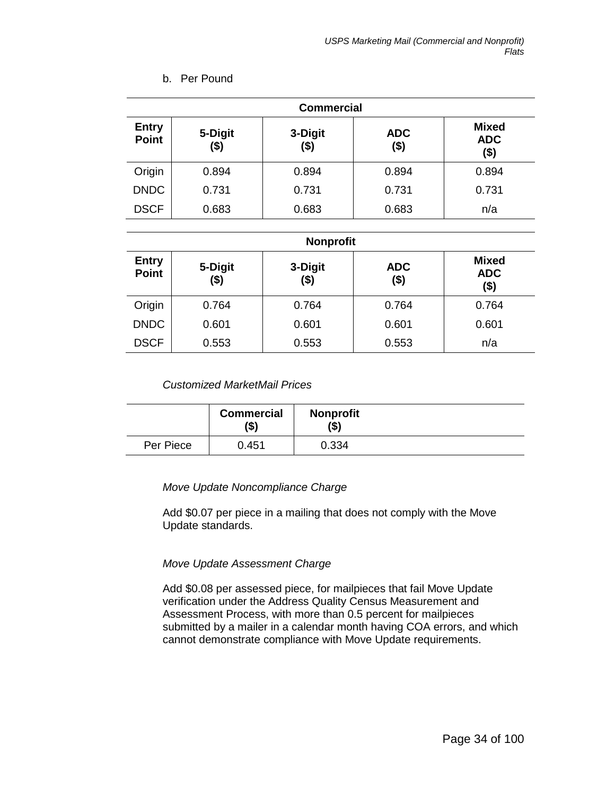| <b>Commercial</b>            |                 |                 |                       |                                       |  |
|------------------------------|-----------------|-----------------|-----------------------|---------------------------------------|--|
| <b>Entry</b><br><b>Point</b> | 5-Digit<br>(\$) | 3-Digit<br>(\$) | <b>ADC</b><br>$($ \$) | <b>Mixed</b><br><b>ADC</b><br>$($ \$) |  |
| Origin                       | 0.894           | 0.894           | 0.894                 | 0.894                                 |  |
| <b>DNDC</b>                  | 0.731           | 0.731           | 0.731                 | 0.731                                 |  |
| <b>DSCF</b>                  | 0.683           | 0.683           | 0.683                 | n/a                                   |  |

# b. Per Pound

#### **Nonprofit**

| <b>Entry</b><br><b>Point</b> | 5-Digit<br>$($ \$) | 3-Digit<br>(\$) | <b>ADC</b><br>(\$) | <b>Mixed</b><br><b>ADC</b><br>(\$) |  |
|------------------------------|--------------------|-----------------|--------------------|------------------------------------|--|
| Origin                       | 0.764              | 0.764           | 0.764              | 0.764                              |  |
| <b>DNDC</b>                  | 0.601              | 0.601           | 0.601              | 0.601                              |  |
| <b>DSCF</b>                  | 0.553              | 0.553           | 0.553              | n/a                                |  |

## *Customized MarketMail Prices*

|           | <b>Commercial</b><br>'\$) | <b>Nonprofit</b><br>(\$) |  |
|-----------|---------------------------|--------------------------|--|
| Per Piece | 0.451                     | 0.334                    |  |

## *Move Update Noncompliance Charge*

Add \$0.07 per piece in a mailing that does not comply with the Move Update standards.

## *Move Update Assessment Charge*

Add \$0.08 per assessed piece, for mailpieces that fail Move Update verification under the Address Quality Census Measurement and Assessment Process, with more than 0.5 percent for mailpieces submitted by a mailer in a calendar month having COA errors, and which cannot demonstrate compliance with Move Update requirements.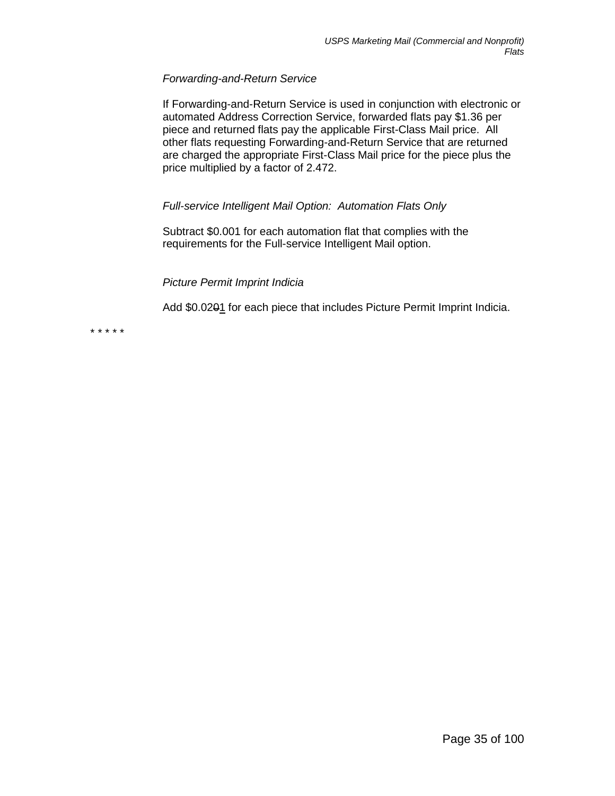#### *Forwarding-and-Return Service*

If Forwarding-and-Return Service is used in conjunction with electronic or automated Address Correction Service, forwarded flats pay \$1.36 per piece and returned flats pay the applicable First-Class Mail price. All other flats requesting Forwarding-and-Return Service that are returned are charged the appropriate First-Class Mail price for the piece plus the price multiplied by a factor of 2.472.

## *Full-service Intelligent Mail Option: Automation Flats Only*

Subtract \$0.001 for each automation flat that complies with the requirements for the Full-service Intelligent Mail option.

## *Picture Permit Imprint Indicia*

Add \$0.0201 for each piece that includes Picture Permit Imprint Indicia.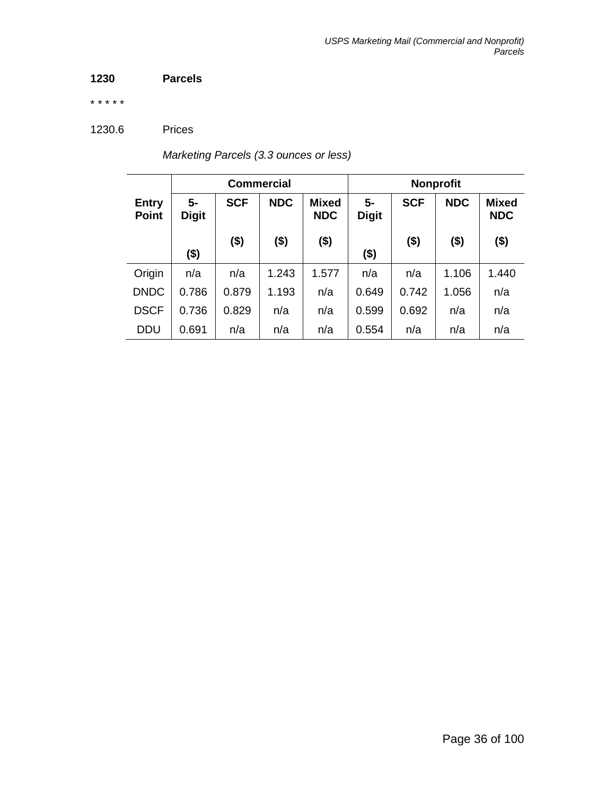# **1230 Parcels**

\* \* \* \* \*

1230.6 Prices

| Marketing Parcels (3.3 ounces or less) |  |  |
|----------------------------------------|--|--|
|----------------------------------------|--|--|

|                              | <b>Commercial</b>  |            |            | <b>Nonprofit</b>           |                      |            |            |                            |
|------------------------------|--------------------|------------|------------|----------------------------|----------------------|------------|------------|----------------------------|
| <b>Entry</b><br><b>Point</b> | 5-<br><b>Digit</b> | <b>SCF</b> | <b>NDC</b> | <b>Mixed</b><br><b>NDC</b> | $5-$<br><b>Digit</b> | <b>SCF</b> | <b>NDC</b> | <b>Mixed</b><br><b>NDC</b> |
|                              | $($ \$)            | $($ \$)    | $($ \$)    | $($ \$)                    | (\$)                 | $($ \$)    | $($ \$)    | $($ \$)                    |
| Origin                       | n/a                | n/a        | 1.243      | 1.577                      | n/a                  | n/a        | 1.106      | 1.440                      |
| <b>DNDC</b>                  | 0.786              | 0.879      | 1.193      | n/a                        | 0.649                | 0.742      | 1.056      | n/a                        |
| <b>DSCF</b>                  | 0.736              | 0.829      | n/a        | n/a                        | 0.599                | 0.692      | n/a        | n/a                        |
| <b>DDU</b>                   | 0.691              | n/a        | n/a        | n/a                        | 0.554                | n/a        | n/a        | n/a                        |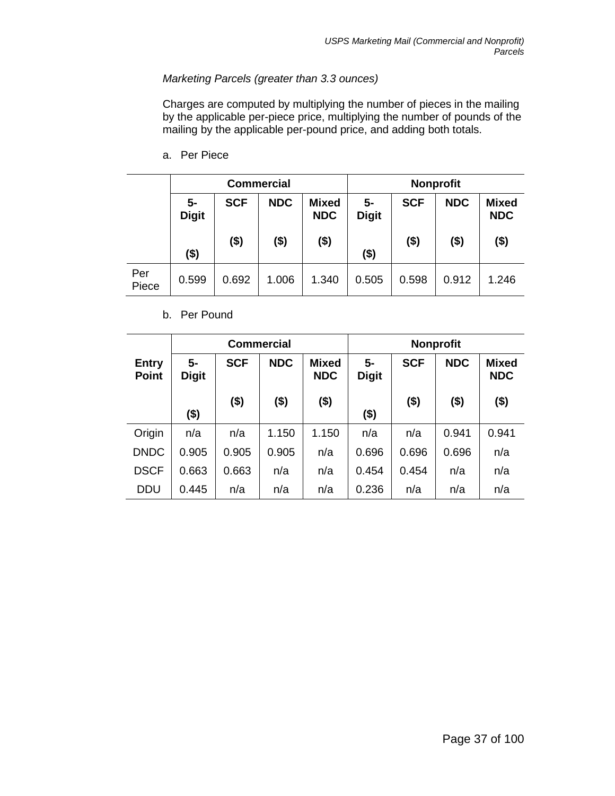# *Marketing Parcels (greater than 3.3 ounces)*

Charges are computed by multiplying the number of pieces in the mailing by the applicable per-piece price, multiplying the number of pounds of the mailing by the applicable per-pound price, and adding both totals.

a. Per Piece

|       | <b>Commercial</b>  |            |            |                            |                    |            | <b>Nonprofit</b> |                            |
|-------|--------------------|------------|------------|----------------------------|--------------------|------------|------------------|----------------------------|
|       | 5-<br><b>Digit</b> | <b>SCF</b> | <b>NDC</b> | <b>Mixed</b><br><b>NDC</b> | 5-<br><b>Digit</b> | <b>SCF</b> | <b>NDC</b>       | <b>Mixed</b><br><b>NDC</b> |
|       | $($ \$)            | $($ \$)    | $($ \$)    | ( \$)                      | $($ \$)            | $($ \$)    | $($ \$)          | $($ \$)                    |
| Per   | 0.599              | 0.692      | 1.006      | 1.340                      | 0.505              | 0.598      | 0.912            | 1.246                      |
| Piece |                    |            |            |                            |                    |            |                  |                            |

#### b. Per Pound

|                              | <b>Commercial</b>  |            |            |                            |                      | <b>Nonprofit</b> |            |                            |
|------------------------------|--------------------|------------|------------|----------------------------|----------------------|------------------|------------|----------------------------|
| <b>Entry</b><br><b>Point</b> | 5-<br><b>Digit</b> | <b>SCF</b> | <b>NDC</b> | <b>Mixed</b><br><b>NDC</b> | $5-$<br><b>Digit</b> | <b>SCF</b>       | <b>NDC</b> | <b>Mixed</b><br><b>NDC</b> |
|                              | $($ \$)            | $($ \$)    | $($ \$)    | $($ \$)                    | (\$)                 | \$)              | $($ \$)    | \$)                        |
| Origin                       | n/a                | n/a        | 1.150      | 1.150                      | n/a                  | n/a              | 0.941      | 0.941                      |
| <b>DNDC</b>                  | 0.905              | 0.905      | 0.905      | n/a                        | 0.696                | 0.696            | 0.696      | n/a                        |
| <b>DSCF</b>                  | 0.663              | 0.663      | n/a        | n/a                        | 0.454                | 0.454            | n/a        | n/a                        |
| <b>DDU</b>                   | 0.445              | n/a        | n/a        | n/a                        | 0.236                | n/a              | n/a        | n/a                        |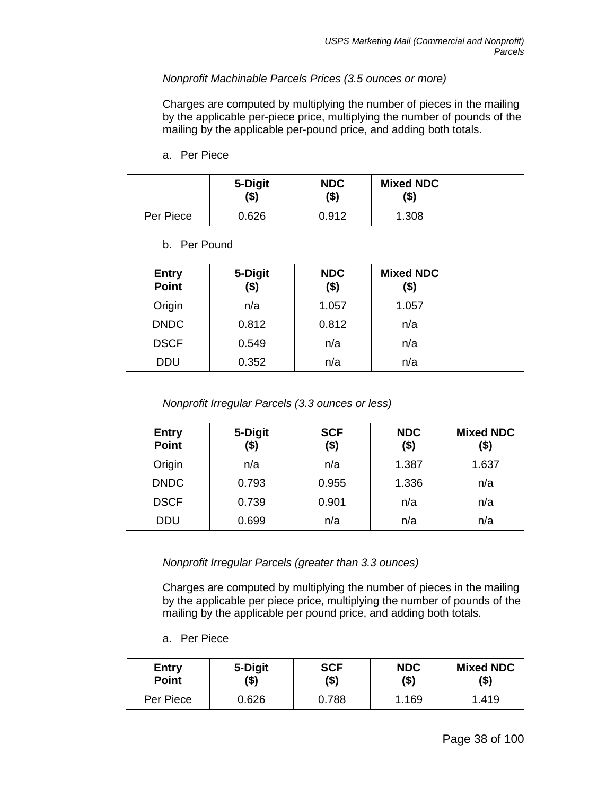## *Nonprofit Machinable Parcels Prices (3.5 ounces or more)*

Charges are computed by multiplying the number of pieces in the mailing by the applicable per-piece price, multiplying the number of pounds of the mailing by the applicable per-pound price, and adding both totals.

a. Per Piece

|           | 5-Digit<br>\$) | <b>NDC</b><br>(\$) | <b>Mixed NDC</b><br>(\$) |  |
|-----------|----------------|--------------------|--------------------------|--|
| Per Piece | 0.626          | 0.912              | 1.308                    |  |

b. Per Pound

| <b>Entry</b><br><b>Point</b> | 5-Digit<br>\$) | <b>NDC</b><br>$($ \$) | <b>Mixed NDC</b><br>(\$) |  |
|------------------------------|----------------|-----------------------|--------------------------|--|
| Origin                       | n/a            | 1.057                 | 1.057                    |  |
| <b>DNDC</b>                  | 0.812          | 0.812                 | n/a                      |  |
| <b>DSCF</b>                  | 0.549          | n/a                   | n/a                      |  |
| <b>DDU</b>                   | 0.352          | n/a                   | n/a                      |  |

*Nonprofit Irregular Parcels (3.3 ounces or less)*

| <b>Entry</b><br><b>Point</b> | 5-Digit<br>(\$) | <b>SCF</b><br>\$) | <b>NDC</b><br>\$) | <b>Mixed NDC</b><br>(\$) |
|------------------------------|-----------------|-------------------|-------------------|--------------------------|
| Origin                       | n/a             | n/a               | 1.387             | 1.637                    |
| <b>DNDC</b>                  | 0.793           | 0.955             | 1.336             | n/a                      |
| <b>DSCF</b>                  | 0.739           | 0.901             | n/a               | n/a                      |
| <b>DDU</b>                   | 0.699           | n/a               | n/a               | n/a                      |

*Nonprofit Irregular Parcels (greater than 3.3 ounces)*

Charges are computed by multiplying the number of pieces in the mailing by the applicable per piece price, multiplying the number of pounds of the mailing by the applicable per pound price, and adding both totals.

a. Per Piece

| <b>Entry</b> | 5-Digit | <b>SCF</b> | <b>NDC</b> | <b>Mixed NDC</b> |
|--------------|---------|------------|------------|------------------|
| <b>Point</b> | (\$)    | (\$)       | (\$)       | (\$)             |
| Per Piece    | 0.626   | 0.788      | .169       | 1.419            |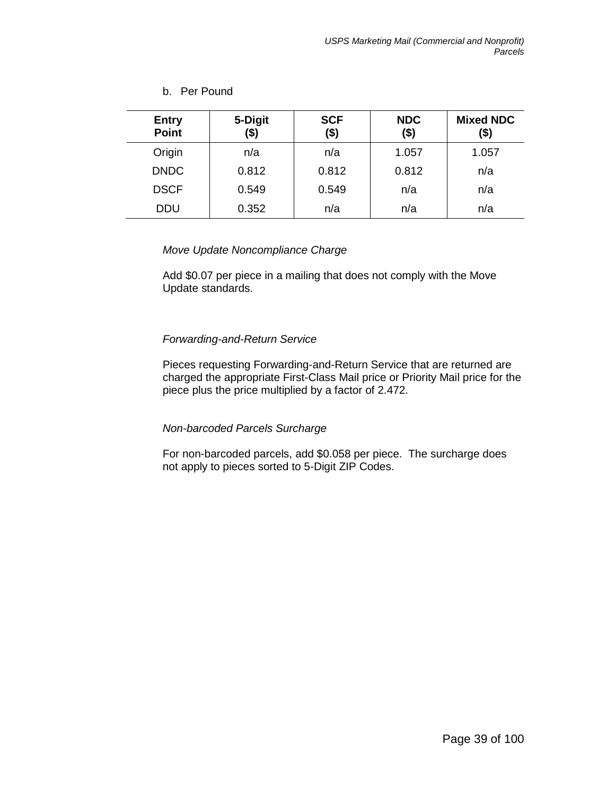## b. Per Pound

| <b>Entry</b><br><b>Point</b> | 5-Digit<br>(\$) | <b>SCF</b><br>(\$) | <b>NDC</b><br>$($ \$) | <b>Mixed NDC</b><br>(\$) |
|------------------------------|-----------------|--------------------|-----------------------|--------------------------|
| Origin                       | n/a             | n/a                | 1.057                 | 1.057                    |
| <b>DNDC</b>                  | 0.812           | 0.812              | 0.812                 | n/a                      |
| <b>DSCF</b>                  | 0.549           | 0.549              | n/a                   | n/a                      |
| <b>DDU</b>                   | 0.352           | n/a                | n/a                   | n/a                      |

### *Move Update Noncompliance Charge*

Add \$0.07 per piece in a mailing that does not comply with the Move Update standards.

## *Forwarding-and-Return Service*

Pieces requesting Forwarding-and-Return Service that are returned are charged the appropriate First-Class Mail price or Priority Mail price for the piece plus the price multiplied by a factor of 2.472.

### *Non-barcoded Parcels Surcharge*

For non-barcoded parcels, add \$0.058 per piece. The surcharge does not apply to pieces sorted to 5-Digit ZIP Codes.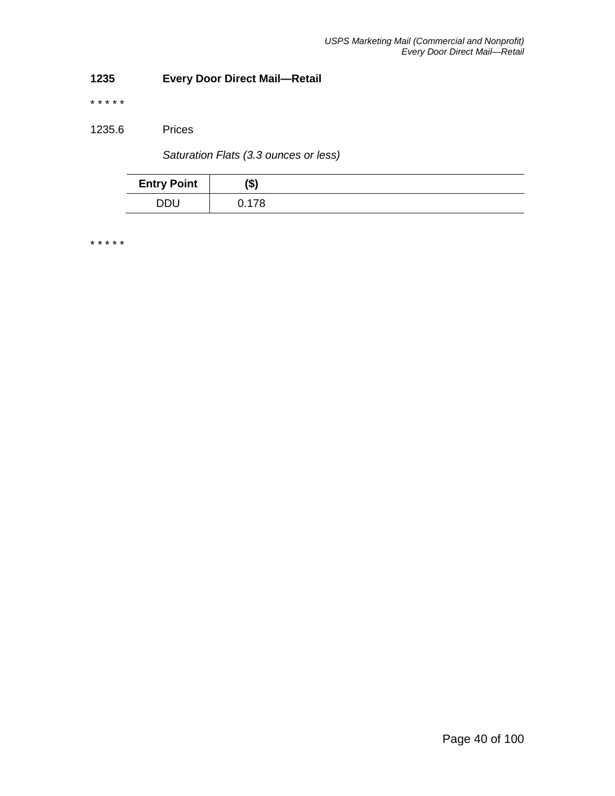# **1235 Every Door Direct Mail—Retail**

\* \* \* \* \*

1235.6 Prices

*Saturation Flats (3.3 ounces or less)*

| <b>Entry Point</b> | $\rightarrow$<br>۱⊅. |  |
|--------------------|----------------------|--|
| <b>DDU</b>         | ገ 17Ջ                |  |

\* \* \* \* \*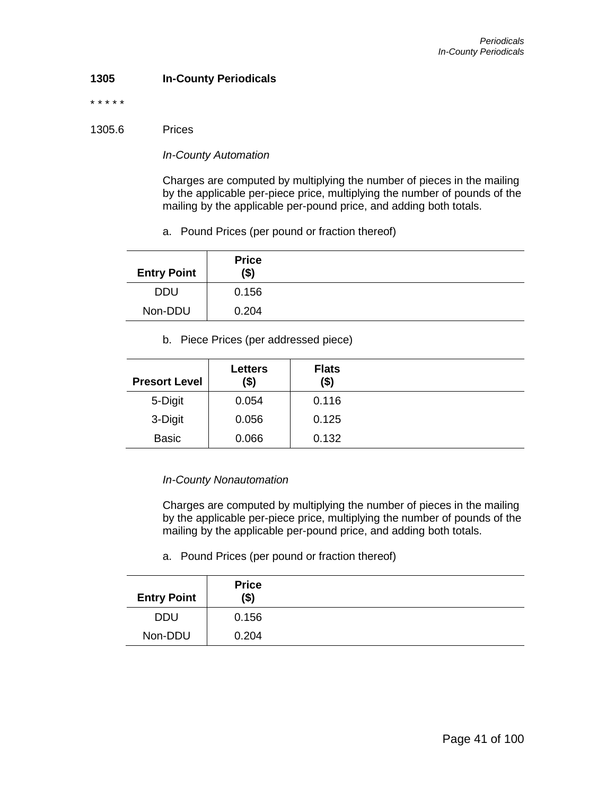### **1305 In-County Periodicals**

\* \* \* \* \*

#### 1305.6 Prices

#### *In-County Automation*

Charges are computed by multiplying the number of pieces in the mailing by the applicable per-piece price, multiplying the number of pounds of the mailing by the applicable per-pound price, and adding both totals.

a. Pound Prices (per pound or fraction thereof)

| <b>Entry Point</b> | <b>Price</b><br>(\$) |  |
|--------------------|----------------------|--|
| <b>DDU</b>         | 0.156                |  |
| Non-DDU            | 0.204                |  |

b. Piece Prices (per addressed piece)

| <b>Presort Level</b> | <b>Letters</b><br>(\$) | <b>Flats</b><br>$($ \$) |  |
|----------------------|------------------------|-------------------------|--|
| 5-Digit              | 0.054                  | 0.116                   |  |
| 3-Digit              | 0.056                  | 0.125                   |  |
| <b>Basic</b>         | 0.066                  | 0.132                   |  |

### *In-County Nonautomation*

Charges are computed by multiplying the number of pieces in the mailing by the applicable per-piece price, multiplying the number of pounds of the mailing by the applicable per-pound price, and adding both totals.

a. Pound Prices (per pound or fraction thereof)

| <b>Entry Point</b> | <b>Price</b><br>$($ \$) |  |
|--------------------|-------------------------|--|
| <b>DDU</b>         | 0.156                   |  |
| Non-DDU            | 0.204                   |  |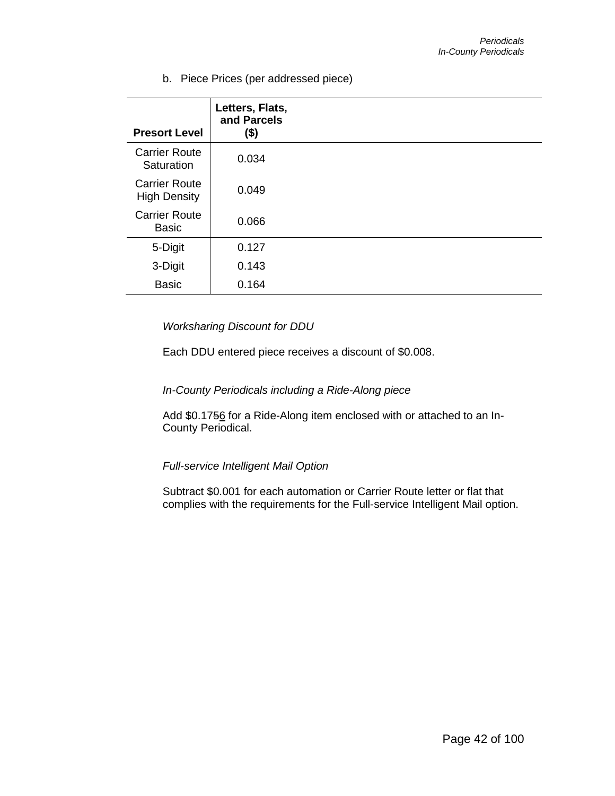b. Piece Prices (per addressed piece)

| <b>Presort Level</b>                        | Letters, Flats,<br>and Parcels<br>(\$) |  |
|---------------------------------------------|----------------------------------------|--|
| <b>Carrier Route</b><br>Saturation          | 0.034                                  |  |
| <b>Carrier Route</b><br><b>High Density</b> | 0.049                                  |  |
| <b>Carrier Route</b><br><b>Basic</b>        | 0.066                                  |  |
| 5-Digit                                     | 0.127                                  |  |
| 3-Digit                                     | 0.143                                  |  |
| <b>Basic</b>                                | 0.164                                  |  |

### *Worksharing Discount for DDU*

Each DDU entered piece receives a discount of \$0.008.

### *In-County Periodicals including a Ride-Along piece*

Add \$0.1756 for a Ride-Along item enclosed with or attached to an In-County Periodical.

*Full-service Intelligent Mail Option*

Subtract \$0.001 for each automation or Carrier Route letter or flat that complies with the requirements for the Full-service Intelligent Mail option.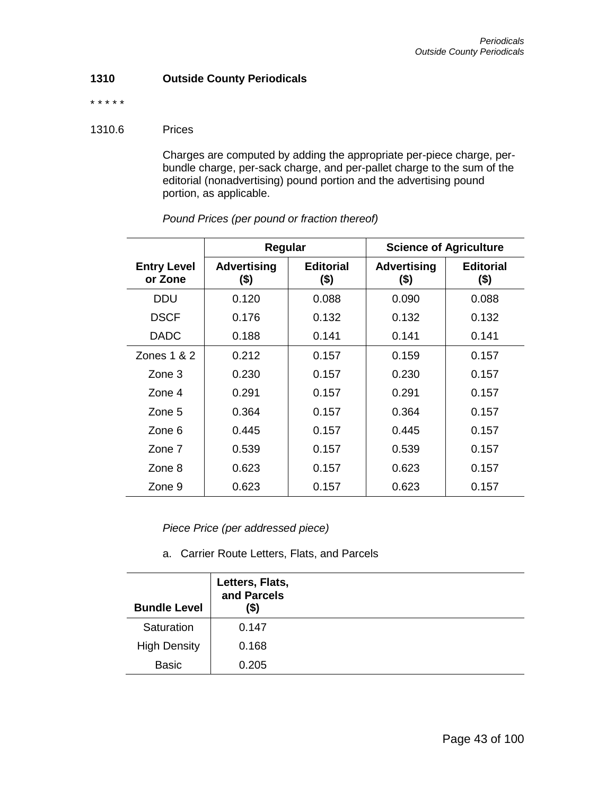### **1310 Outside County Periodicals**

\* \* \* \* \*

### 1310.6 Prices

Charges are computed by adding the appropriate per-piece charge, perbundle charge, per-sack charge, and per-pallet charge to the sum of the editorial (nonadvertising) pound portion and the advertising pound portion, as applicable.

|                               | Regular                       |                             | <b>Science of Agriculture</b> |                             |
|-------------------------------|-------------------------------|-----------------------------|-------------------------------|-----------------------------|
| <b>Entry Level</b><br>or Zone | <b>Advertising</b><br>$($ \$) | <b>Editorial</b><br>$($ \$) | <b>Advertising</b><br>$($ \$) | <b>Editorial</b><br>$($ \$) |
| DDU                           | 0.120                         | 0.088                       | 0.090                         | 0.088                       |
| <b>DSCF</b>                   | 0.176                         | 0.132                       | 0.132                         | 0.132                       |
| <b>DADC</b>                   | 0.188                         | 0.141                       | 0.141                         | 0.141                       |
| Zones $1 & 2$                 | 0.212                         | 0.157                       | 0.159                         | 0.157                       |
| $\mathsf{Zone}\,3$            | 0.230                         | 0.157                       | 0.230                         | 0.157                       |
| Zone 4                        | 0.291                         | 0.157                       | 0.291                         | 0.157                       |
| Zone 5                        | 0.364                         | 0.157                       | 0.364                         | 0.157                       |
| Zone 6                        | 0.445                         | 0.157                       | 0.445                         | 0.157                       |
| Zone 7                        | 0.539                         | 0.157                       | 0.539                         | 0.157                       |
| Zone 8                        | 0.623                         | 0.157                       | 0.623                         | 0.157                       |
| Zone 9                        | 0.623                         | 0.157                       | 0.623                         | 0.157                       |

*Pound Prices (per pound or fraction thereof)*

*Piece Price (per addressed piece)*

a. Carrier Route Letters, Flats, and Parcels

| <b>Bundle Level</b> | Letters, Flats,<br>and Parcels<br>(\$) |  |
|---------------------|----------------------------------------|--|
| Saturation          | 0.147                                  |  |
| <b>High Density</b> | 0.168                                  |  |
| <b>Basic</b>        | 0.205                                  |  |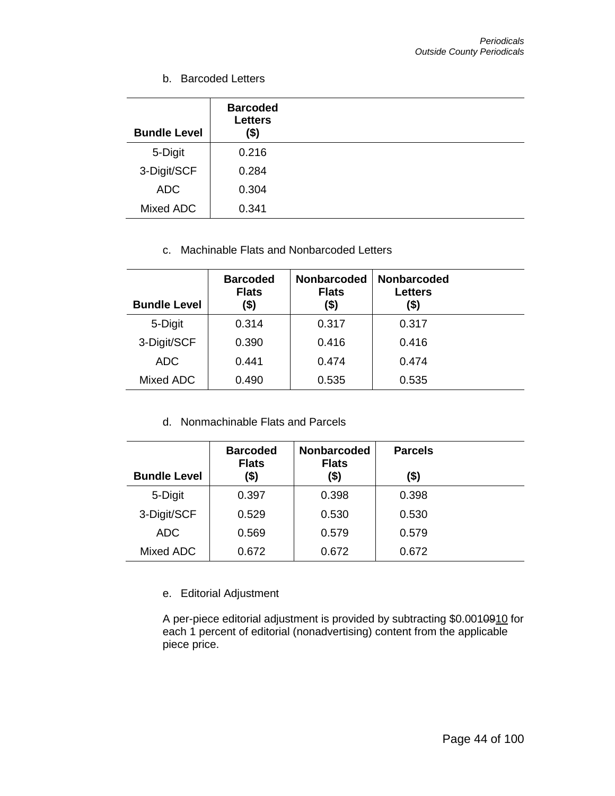b. Barcoded Letters

| <b>Bundle Level</b> | <b>Barcoded</b><br><b>Letters</b><br>\$) |  |
|---------------------|------------------------------------------|--|
| 5-Digit             | 0.216                                    |  |
| 3-Digit/SCF         | 0.284                                    |  |
| <b>ADC</b>          | 0.304                                    |  |
| Mixed ADC           | 0.341                                    |  |

# c. Machinable Flats and Nonbarcoded Letters

| <b>Bundle Level</b> | <b>Barcoded</b><br><b>Flats</b><br>(\$) | <b>Nonbarcoded</b><br><b>Nonbarcoded</b><br><b>Flats</b><br>(\$) |       |  |
|---------------------|-----------------------------------------|------------------------------------------------------------------|-------|--|
| 5-Digit             | 0.314                                   | 0.317                                                            | 0.317 |  |
| 3-Digit/SCF         | 0.390                                   | 0.416                                                            | 0.416 |  |
| <b>ADC</b>          | 0.441                                   | 0.474                                                            | 0.474 |  |
| Mixed ADC           | 0.490                                   | 0.535                                                            | 0.535 |  |

d. Nonmachinable Flats and Parcels

| <b>Bundle Level</b> | <b>Barcoded</b><br><b>Flats</b><br>(\$) | <b>Nonbarcoded</b><br><b>Flats</b><br>(\$) | <b>Parcels</b><br>(\$) |  |
|---------------------|-----------------------------------------|--------------------------------------------|------------------------|--|
| 5-Digit             | 0.397                                   | 0.398                                      | 0.398                  |  |
| 3-Digit/SCF         | 0.529                                   | 0.530                                      | 0.530                  |  |
| <b>ADC</b>          | 0.569                                   | 0.579                                      | 0.579                  |  |
| Mixed ADC           | 0.672                                   | 0.672                                      | 0.672                  |  |

## e. Editorial Adjustment

A per-piece editorial adjustment is provided by subtracting \$0.0010910 for each 1 percent of editorial (nonadvertising) content from the applicable piece price.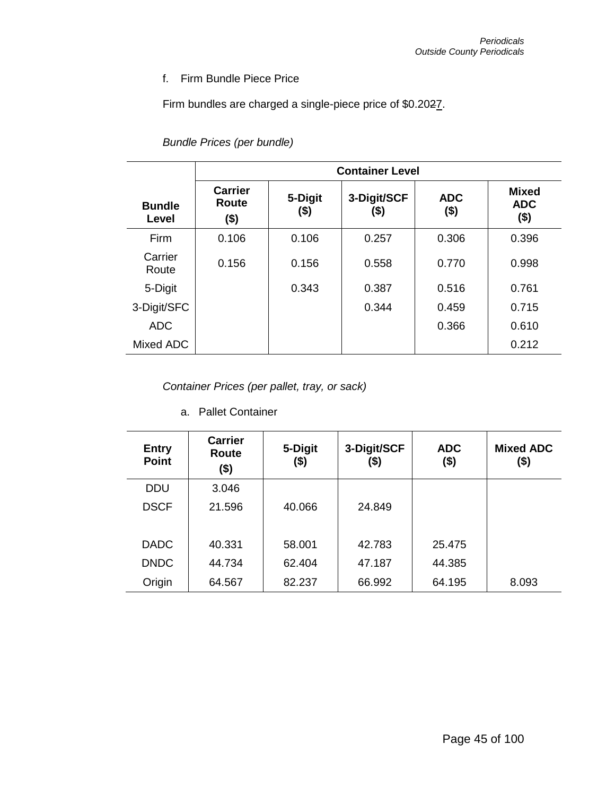## f. Firm Bundle Piece Price

Firm bundles are charged a single-piece price of \$0.2027.

*Bundle Prices (per bundle)*

|                        | <b>Container Level</b>          |                 |                     |                     |                                       |  |  |
|------------------------|---------------------------------|-----------------|---------------------|---------------------|---------------------------------------|--|--|
| <b>Bundle</b><br>Level | <b>Carrier</b><br>Route<br>(\$) | 5-Digit<br>(\$) | 3-Digit/SCF<br>(\$) | <b>ADC</b><br>( \$) | <b>Mixed</b><br><b>ADC</b><br>$($ \$) |  |  |
| Firm                   | 0.106                           | 0.106           | 0.257               | 0.306               | 0.396                                 |  |  |
| Carrier<br>Route       | 0.156                           | 0.156           | 0.558               | 0.770               | 0.998                                 |  |  |
| 5-Digit                |                                 | 0.343           | 0.387               | 0.516               | 0.761                                 |  |  |
| 3-Digit/SFC            |                                 |                 | 0.344               | 0.459               | 0.715                                 |  |  |
| <b>ADC</b>             |                                 |                 |                     | 0.366               | 0.610                                 |  |  |
| Mixed ADC              |                                 |                 |                     |                     | 0.212                                 |  |  |

*Container Prices (per pallet, tray, or sack)*

a. Pallet Container

| <b>Entry</b><br><b>Point</b> | <b>Carrier</b><br>Route<br>(\$) | 5-Digit<br>(\$) | 3-Digit/SCF<br>(\$) | <b>ADC</b><br>(\$) | <b>Mixed ADC</b><br>(\$) |
|------------------------------|---------------------------------|-----------------|---------------------|--------------------|--------------------------|
| <b>DDU</b>                   | 3.046                           |                 |                     |                    |                          |
| <b>DSCF</b>                  | 21.596                          | 40.066          | 24.849              |                    |                          |
| <b>DADC</b>                  | 40.331                          | 58.001          | 42.783              | 25.475             |                          |
| <b>DNDC</b>                  | 44.734                          | 62.404          | 47.187              | 44.385             |                          |
| Origin                       | 64.567                          | 82.237          | 66.992              | 64.195             | 8.093                    |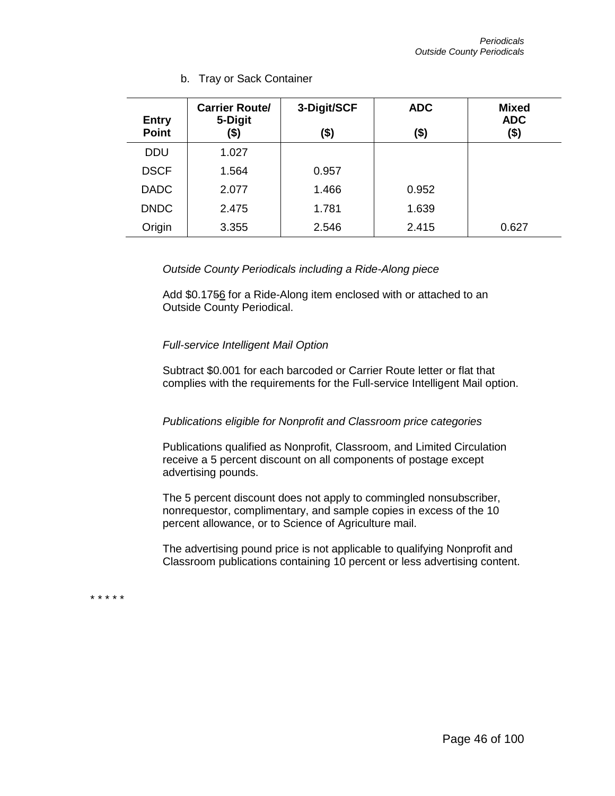| <b>Entry</b> | <b>Carrier Route/</b><br>5-Digit | 3-Digit/SCF | <b>ADC</b> | <b>Mixed</b><br><b>ADC</b> |
|--------------|----------------------------------|-------------|------------|----------------------------|
| <b>Point</b> | (\$)                             | (\$)        | (\$)       | (\$)                       |
| <b>DDU</b>   | 1.027                            |             |            |                            |
| <b>DSCF</b>  | 1.564                            | 0.957       |            |                            |
| <b>DADC</b>  | 2.077                            | 1.466       | 0.952      |                            |
| <b>DNDC</b>  | 2.475                            | 1.781       | 1.639      |                            |
| Origin       | 3.355                            | 2.546       | 2.415      | 0.627                      |

b. Tray or Sack Container

*Outside County Periodicals including a Ride-Along piece*

Add \$0.1756 for a Ride-Along item enclosed with or attached to an Outside County Periodical.

### *Full-service Intelligent Mail Option*

Subtract \$0.001 for each barcoded or Carrier Route letter or flat that complies with the requirements for the Full-service Intelligent Mail option.

### *Publications eligible for Nonprofit and Classroom price categories*

Publications qualified as Nonprofit, Classroom, and Limited Circulation receive a 5 percent discount on all components of postage except advertising pounds.

The 5 percent discount does not apply to commingled nonsubscriber, nonrequestor, complimentary, and sample copies in excess of the 10 percent allowance, or to Science of Agriculture mail.

The advertising pound price is not applicable to qualifying Nonprofit and Classroom publications containing 10 percent or less advertising content.

\* \* \* \* \*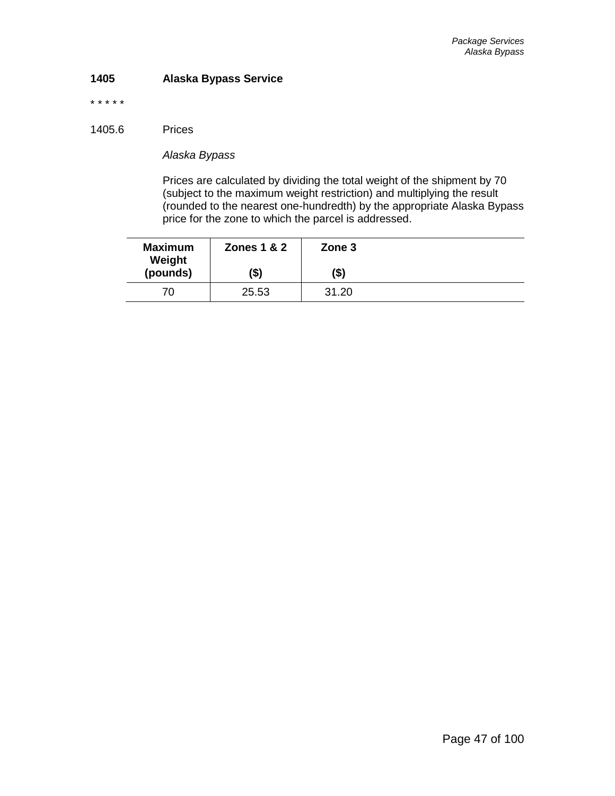### **1405 Alaska Bypass Service**

\* \* \* \* \*

1405.6 Prices

*Alaska Bypass*

Prices are calculated by dividing the total weight of the shipment by 70 (subject to the maximum weight restriction) and multiplying the result (rounded to the nearest one-hundredth) by the appropriate Alaska Bypass price for the zone to which the parcel is addressed.

| <b>Maximum</b><br>Weight | <b>Zones 1 &amp; 2</b> | Zone 3 |  |
|--------------------------|------------------------|--------|--|
| (pounds)                 | (\$)                   | (\$)   |  |
| 70                       | 25.53                  | 31.20  |  |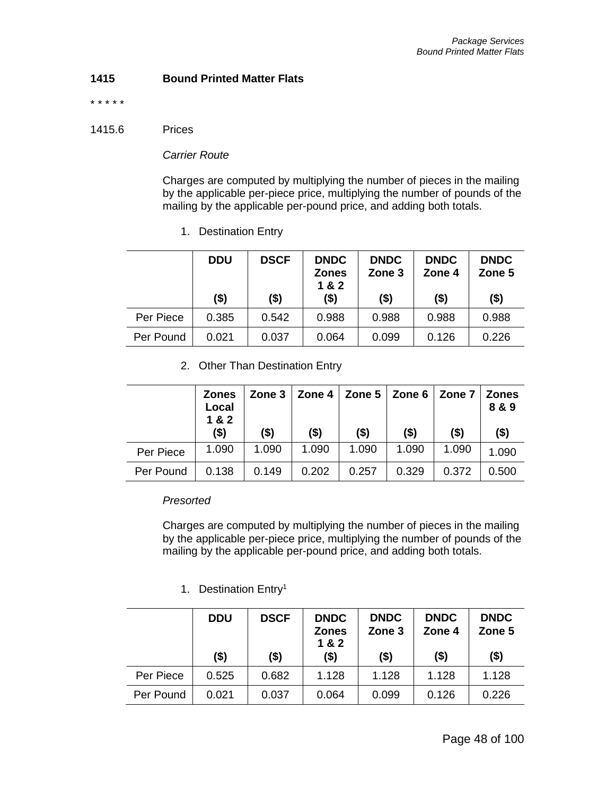## **1415 Bound Printed Matter Flats**

\* \* \* \* \*

#### 1415.6 Prices

### *Carrier Route*

Charges are computed by multiplying the number of pieces in the mailing by the applicable per-piece price, multiplying the number of pounds of the mailing by the applicable per-pound price, and adding both totals.

1. Destination Entry

|           | <b>DDU</b> | <b>DSCF</b> | <b>DNDC</b><br><b>Zones</b><br>1&2 | <b>DNDC</b><br>Zone 3 | <b>DNDC</b><br>Zone 4 | <b>DNDC</b><br>Zone 5 |
|-----------|------------|-------------|------------------------------------|-----------------------|-----------------------|-----------------------|
|           | (\$)       | $($ \$)     | $($ \$)                            | $($ \$)               | $($ \$)               | $($ \$)               |
| Per Piece | 0.385      | 0.542       | 0.988                              | 0.988                 | 0.988                 | 0.988                 |
| Per Pound | 0.021      | 0.037       | 0.064                              | 0.099                 | 0.126                 | 0.226                 |

## 2. Other Than Destination Entry

|           | <b>Zones</b><br>Local<br>1 & 2 | Zone 3  | <b>Zone 4</b> | Zone $5 \mid$ Zone 6 |         | Zone 7   Zones | 8 & 9   |
|-----------|--------------------------------|---------|---------------|----------------------|---------|----------------|---------|
|           | $($ \$)                        | $($ \$) | $($ \$)       | \$)                  | $($ \$) | $($ \$)        | $($ \$) |
| Per Piece | 1.090                          | 1.090   | 1.090         | 1.090                | 1.090   | 1.090          | 1.090   |
| Per Pound | 0.138                          | 0.149   | 0.202         | 0.257                | 0.329   | 0.372          | 0.500   |

### *Presorted*

Charges are computed by multiplying the number of pieces in the mailing by the applicable per-piece price, multiplying the number of pounds of the mailing by the applicable per-pound price, and adding both totals.

# 1. Destination Entry<sup>1</sup>

|           | <b>DDU</b><br>$($ \$) | <b>DSCF</b><br>\$) | <b>DNDC</b><br><b>Zones</b><br>1 & 2<br>$($ \$) | <b>DNDC</b><br>Zone 3<br>$($ \$) | <b>DNDC</b><br>Zone 4<br>$($ \$) | <b>DNDC</b><br>Zone 5<br>$($ \$) |
|-----------|-----------------------|--------------------|-------------------------------------------------|----------------------------------|----------------------------------|----------------------------------|
| Per Piece | 0.525                 | 0.682              | 1.128                                           | 1.128                            | 1.128                            | 1.128                            |
| Per Pound | 0.021                 | 0.037              | 0.064                                           | 0.099                            | 0.126                            | 0.226                            |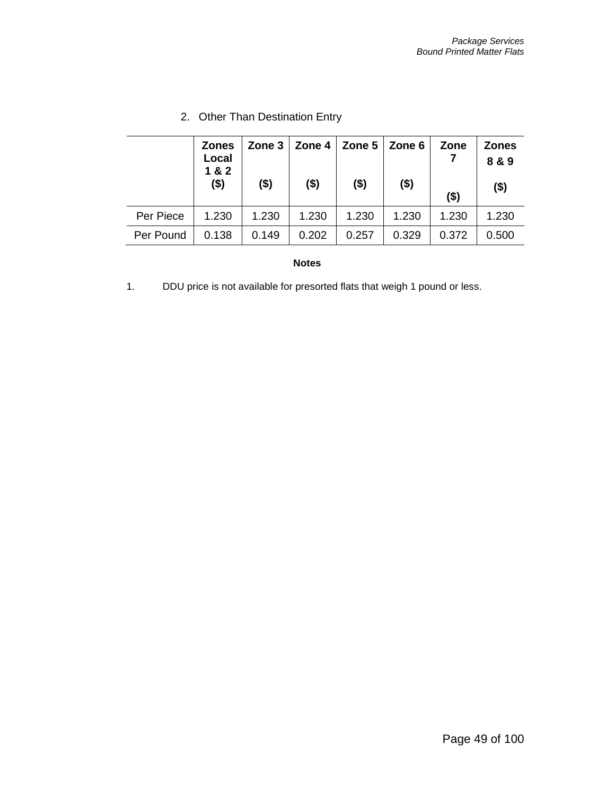|           | <b>Zones</b><br>Local<br>1 & 2 | Zone $31$ | Zone 4  | Zone $5 \mid$ Zone 6 |         | Zone    | <b>Zones</b><br>8 & 9 |
|-----------|--------------------------------|-----------|---------|----------------------|---------|---------|-----------------------|
|           | $($ \$)                        | $($ \$)   | $($ \$) | $($ \$)              | $($ \$) | $($ \$) | $($ \$)               |
| Per Piece | 1.230                          | 1.230     | 1.230   | 1.230                | 1.230   | 1.230   | 1.230                 |
| Per Pound | 0.138                          | 0.149     | 0.202   | 0.257                | 0.329   | 0.372   | 0.500                 |

# 2. Other Than Destination Entry

#### **Notes**

1. DDU price is not available for presorted flats that weigh 1 pound or less.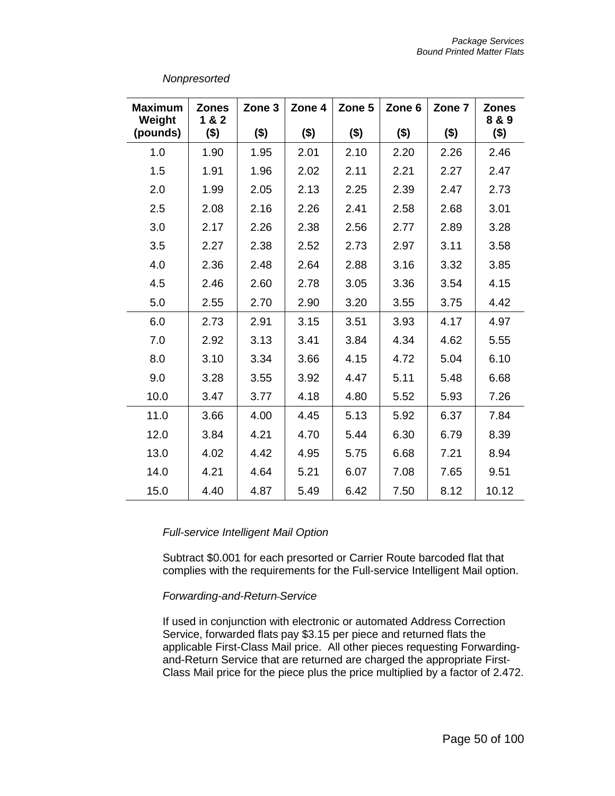| <b>Maximum</b><br>Weight | <b>Zones</b><br>1 & 2 | Zone 3  | Zone 4  | Zone 5  | Zone 6 | Zone 7  | <b>Zones</b><br>8 & 9 |
|--------------------------|-----------------------|---------|---------|---------|--------|---------|-----------------------|
| (pounds)                 | $($ \$)               | $($ \$) | $($ \$) | $($ \$) | \$)    | $($ \$) | \$)                   |
| 1.0                      | 1.90                  | 1.95    | 2.01    | 2.10    | 2.20   | 2.26    | 2.46                  |
| 1.5                      | 1.91                  | 1.96    | 2.02    | 2.11    | 2.21   | 2.27    | 2.47                  |
| 2.0                      | 1.99                  | 2.05    | 2.13    | 2.25    | 2.39   | 2.47    | 2.73                  |
| 2.5                      | 2.08                  | 2.16    | 2.26    | 2.41    | 2.58   | 2.68    | 3.01                  |
| 3.0                      | 2.17                  | 2.26    | 2.38    | 2.56    | 2.77   | 2.89    | 3.28                  |
| 3.5                      | 2.27                  | 2.38    | 2.52    | 2.73    | 2.97   | 3.11    | 3.58                  |
| 4.0                      | 2.36                  | 2.48    | 2.64    | 2.88    | 3.16   | 3.32    | 3.85                  |
| 4.5                      | 2.46                  | 2.60    | 2.78    | 3.05    | 3.36   | 3.54    | 4.15                  |
| 5.0                      | 2.55                  | 2.70    | 2.90    | 3.20    | 3.55   | 3.75    | 4.42                  |
| 6.0                      | 2.73                  | 2.91    | 3.15    | 3.51    | 3.93   | 4.17    | 4.97                  |
| 7.0                      | 2.92                  | 3.13    | 3.41    | 3.84    | 4.34   | 4.62    | 5.55                  |
| 8.0                      | 3.10                  | 3.34    | 3.66    | 4.15    | 4.72   | 5.04    | 6.10                  |
| 9.0                      | 3.28                  | 3.55    | 3.92    | 4.47    | 5.11   | 5.48    | 6.68                  |
| 10.0                     | 3.47                  | 3.77    | 4.18    | 4.80    | 5.52   | 5.93    | 7.26                  |
| 11.0                     | 3.66                  | 4.00    | 4.45    | 5.13    | 5.92   | 6.37    | 7.84                  |
| 12.0                     | 3.84                  | 4.21    | 4.70    | 5.44    | 6.30   | 6.79    | 8.39                  |
| 13.0                     | 4.02                  | 4.42    | 4.95    | 5.75    | 6.68   | 7.21    | 8.94                  |
| 14.0                     | 4.21                  | 4.64    | 5.21    | 6.07    | 7.08   | 7.65    | 9.51                  |
| 15.0                     | 4.40                  | 4.87    | 5.49    | 6.42    | 7.50   | 8.12    | 10.12                 |

### *Full-service Intelligent Mail Option*

Subtract \$0.001 for each presorted or Carrier Route barcoded flat that complies with the requirements for the Full-service Intelligent Mail option.

### *Forwarding-and-Return Service*

If used in conjunction with electronic or automated Address Correction Service, forwarded flats pay \$3.15 per piece and returned flats the applicable First-Class Mail price. All other pieces requesting Forwardingand-Return Service that are returned are charged the appropriate First-Class Mail price for the piece plus the price multiplied by a factor of 2.472.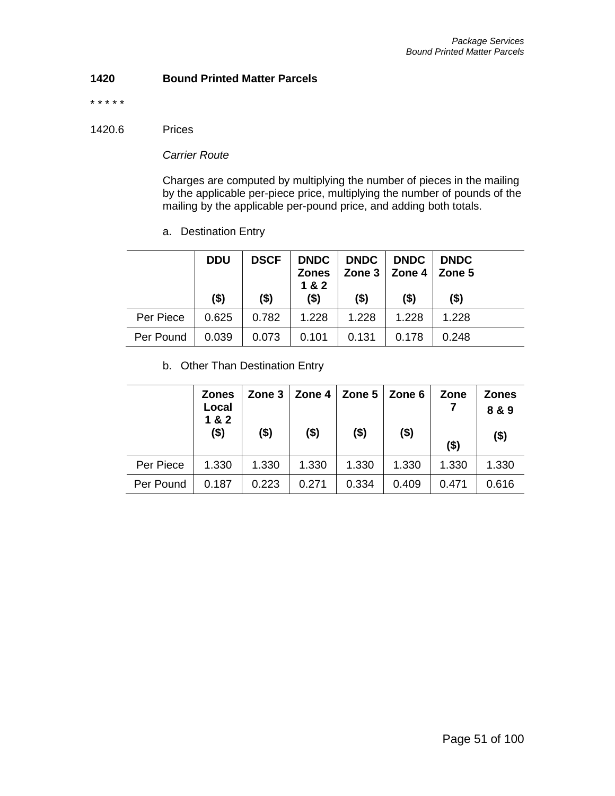## **1420 Bound Printed Matter Parcels**

\* \* \* \* \*

#### 1420.6 Prices

*Carrier Route*

Charges are computed by multiplying the number of pieces in the mailing by the applicable per-piece price, multiplying the number of pounds of the mailing by the applicable per-pound price, and adding both totals.

a. Destination Entry

|           | <b>DDU</b><br>$($ \$) | <b>DSCF</b><br>$($ \$) | <b>Zones</b><br>1 & 2<br>$($ \$) | DNDC   DNDC   DNDC   DNDC<br>$($ \$) | Zone $3 \mid$ Zone $4 \mid$ Zone $5$<br>$($ \$) | $($ \$) |
|-----------|-----------------------|------------------------|----------------------------------|--------------------------------------|-------------------------------------------------|---------|
| Per Piece | 0.625                 | 0.782                  | 1.228                            | 1.228                                | 1.228                                           | 1.228   |
| Per Pound | 0.039                 | 0.073                  | 0.101                            | 0.131                                | 0.178                                           | 0.248   |

b. Other Than Destination Entry

|           | <b>Zones</b><br>Local<br>1 & 2 |         | Zone $3 \mid$ Zone 4 | Zone $5 \mid$ Zone 6 |         | Zone    | <b>Zones</b><br>8 & 9 |
|-----------|--------------------------------|---------|----------------------|----------------------|---------|---------|-----------------------|
|           | $($ \$)                        | $($ \$) | $($ \$)              | $($ \$)              | $($ \$) | $($ \$) | $($ \$)               |
| Per Piece | 1.330                          | 1.330   | 1.330                | 1.330                | 1.330   | 1.330   | 1.330                 |
| Per Pound | 0.187                          | 0.223   | 0.271                | 0.334                | 0.409   | 0.471   | 0.616                 |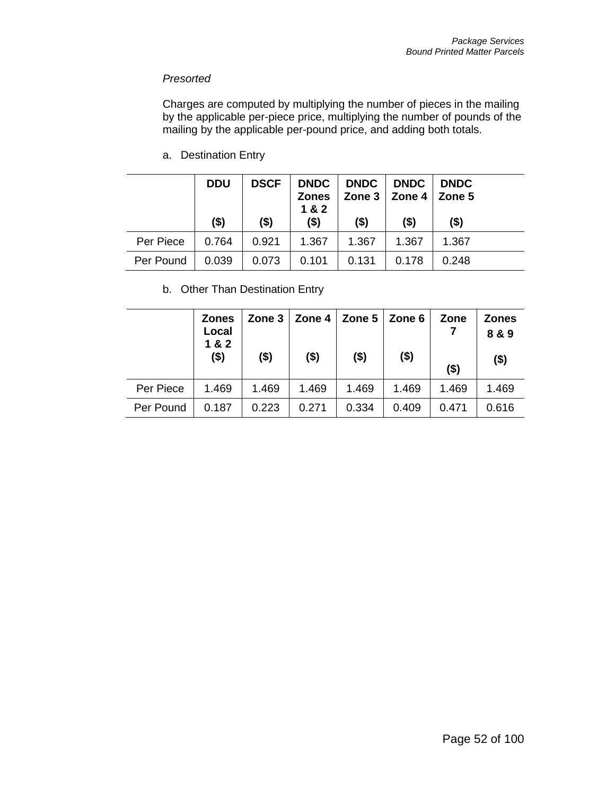## *Presorted*

Charges are computed by multiplying the number of pieces in the mailing by the applicable per-piece price, multiplying the number of pounds of the mailing by the applicable per-pound price, and adding both totals.

a. Destination Entry

|           | <b>DDU</b> | <b>DSCF</b> | <b>DNDC</b><br><b>Zones</b><br>1 & 2 | DNDC    | <b>DNDC</b><br>Zone $3 \mid$ Zone $4 \mid$ Zone $5$ | <b>DNDC</b> |
|-----------|------------|-------------|--------------------------------------|---------|-----------------------------------------------------|-------------|
|           | (\$)       | $($ \$)     | $($ \$)                              | $($ \$) | $($ \$)                                             | $($ \$)     |
| Per Piece | 0.764      | 0.921       | 1.367                                | 1.367   | 1.367                                               | 1.367       |
| Per Pound | 0.039      | 0.073       | 0.101                                | 0.131   | 0.178                                               | 0.248       |

b. Other Than Destination Entry

|           | <b>Zones</b><br>Local<br>1 & 2 |         | Zone $3 \mid$ Zone $4 \mid$ Zone $5 \mid$ Zone 6 |         |         | Zone    | <b>Zones</b><br>8 & 9 |
|-----------|--------------------------------|---------|--------------------------------------------------|---------|---------|---------|-----------------------|
|           | $($ \$)                        | $($ \$) | $($ \$)                                          | $($ \$) | $($ \$) | $($ \$) | $($ \$)               |
| Per Piece | 1.469                          | 1.469   | 1.469                                            | 1.469   | 1.469   | 1.469   | 1.469                 |
| Per Pound | 0.187                          | 0.223   | 0.271                                            | 0.334   | 0.409   | 0.471   | 0.616                 |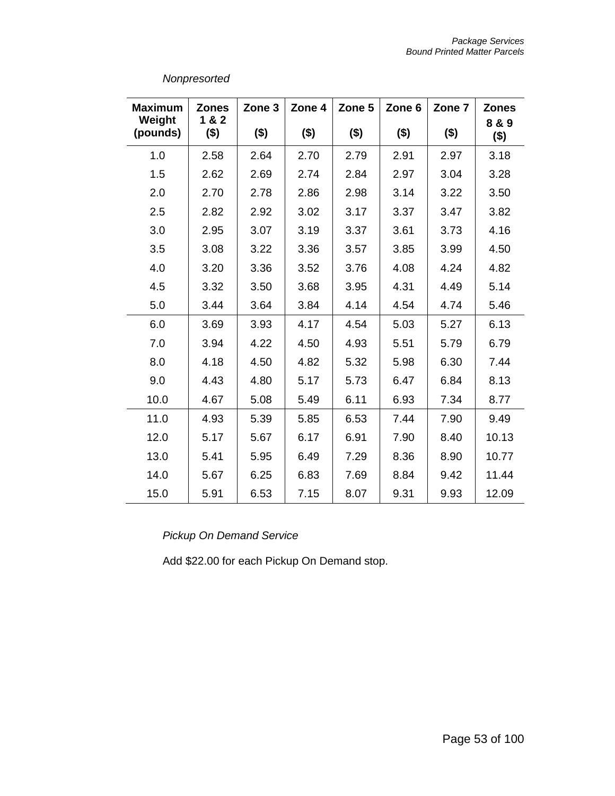| <b>Maximum</b>     | <b>Zones</b>     | Zone 3  | Zone 4  | Zone 5  | Zone 6  | Zone 7  | <b>Zones</b>     |
|--------------------|------------------|---------|---------|---------|---------|---------|------------------|
| Weight<br>(pounds) | 1 & 2<br>$($ \$) | $($ \$) | $($ \$) | $($ \$) | $($ \$) | $($ \$) | 8 & 9<br>$($ \$) |
| 1.0                | 2.58             | 2.64    | 2.70    | 2.79    | 2.91    | 2.97    | 3.18             |
| 1.5                | 2.62             | 2.69    | 2.74    | 2.84    | 2.97    | 3.04    | 3.28             |
| 2.0                | 2.70             | 2.78    | 2.86    | 2.98    | 3.14    | 3.22    | 3.50             |
| 2.5                | 2.82             | 2.92    | 3.02    | 3.17    | 3.37    | 3.47    | 3.82             |
| 3.0                | 2.95             | 3.07    | 3.19    | 3.37    | 3.61    | 3.73    | 4.16             |
| 3.5                | 3.08             | 3.22    | 3.36    | 3.57    | 3.85    | 3.99    | 4.50             |
| 4.0                | 3.20             | 3.36    | 3.52    | 3.76    | 4.08    | 4.24    | 4.82             |
| 4.5                | 3.32             | 3.50    | 3.68    | 3.95    | 4.31    | 4.49    | 5.14             |
| 5.0                | 3.44             | 3.64    | 3.84    | 4.14    | 4.54    | 4.74    | 5.46             |
| 6.0                | 3.69             | 3.93    | 4.17    | 4.54    | 5.03    | 5.27    | 6.13             |
| 7.0                | 3.94             | 4.22    | 4.50    | 4.93    | 5.51    | 5.79    | 6.79             |
| 8.0                | 4.18             | 4.50    | 4.82    | 5.32    | 5.98    | 6.30    | 7.44             |
| 9.0                | 4.43             | 4.80    | 5.17    | 5.73    | 6.47    | 6.84    | 8.13             |
| 10.0               | 4.67             | 5.08    | 5.49    | 6.11    | 6.93    | 7.34    | 8.77             |
| 11.0               | 4.93             | 5.39    | 5.85    | 6.53    | 7.44    | 7.90    | 9.49             |
| 12.0               | 5.17             | 5.67    | 6.17    | 6.91    | 7.90    | 8.40    | 10.13            |
| 13.0               | 5.41             | 5.95    | 6.49    | 7.29    | 8.36    | 8.90    | 10.77            |
| 14.0               | 5.67             | 6.25    | 6.83    | 7.69    | 8.84    | 9.42    | 11.44            |
| 15.0               | 5.91             | 6.53    | 7.15    | 8.07    | 9.31    | 9.93    | 12.09            |

*Pickup On Demand Service*

Add \$22.00 for each Pickup On Demand stop.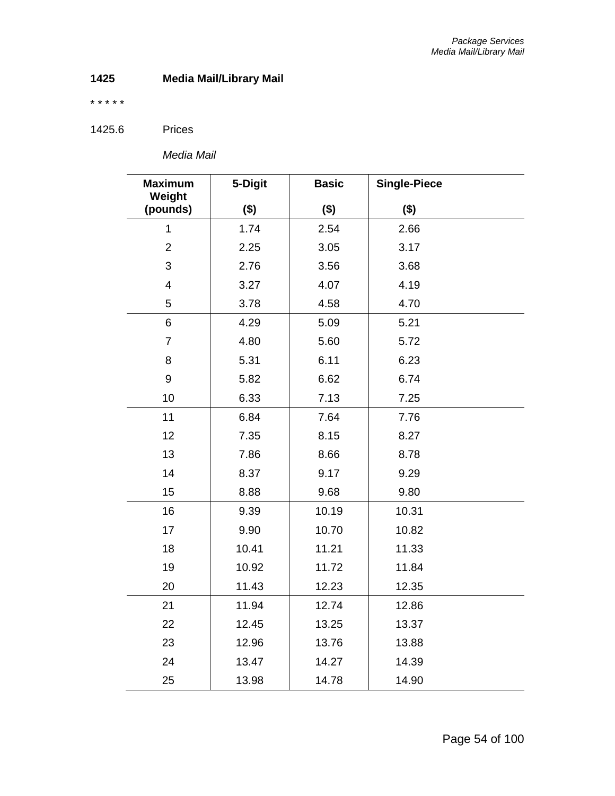# **Media Mail/Library Mail**

\* \* \* \* \*

1425.6 Prices

*Media Mail*

| <b>Maximum</b><br>Weight | 5-Digit | <b>Basic</b> | <b>Single-Piece</b> |
|--------------------------|---------|--------------|---------------------|
| (pounds)                 | $($ \$) | ( \$)        | $($ \$)             |
| $\mathbf{1}$             | 1.74    | 2.54         | 2.66                |
| $\overline{2}$           | 2.25    | 3.05         | 3.17                |
| 3                        | 2.76    | 3.56         | 3.68                |
| $\overline{\mathbf{4}}$  | 3.27    | 4.07         | 4.19                |
| 5                        | 3.78    | 4.58         | 4.70                |
| 6                        | 4.29    | 5.09         | 5.21                |
| $\overline{7}$           | 4.80    | 5.60         | 5.72                |
| 8                        | 5.31    | 6.11         | 6.23                |
| 9                        | 5.82    | 6.62         | 6.74                |
| 10                       | 6.33    | 7.13         | 7.25                |
| 11                       | 6.84    | 7.64         | 7.76                |
| 12                       | 7.35    | 8.15         | 8.27                |
| 13                       | 7.86    | 8.66         | 8.78                |
| 14                       | 8.37    | 9.17         | 9.29                |
| 15                       | 8.88    | 9.68         | 9.80                |
| 16                       | 9.39    | 10.19        | 10.31               |
| 17                       | 9.90    | 10.70        | 10.82               |
| 18                       | 10.41   | 11.21        | 11.33               |
| 19                       | 10.92   | 11.72        | 11.84               |
| 20                       | 11.43   | 12.23        | 12.35               |
| 21                       | 11.94   | 12.74        | 12.86               |
| 22                       | 12.45   | 13.25        | 13.37               |
| 23                       | 12.96   | 13.76        | 13.88               |
| 24                       | 13.47   | 14.27        | 14.39               |
| 25                       | 13.98   | 14.78        | 14.90               |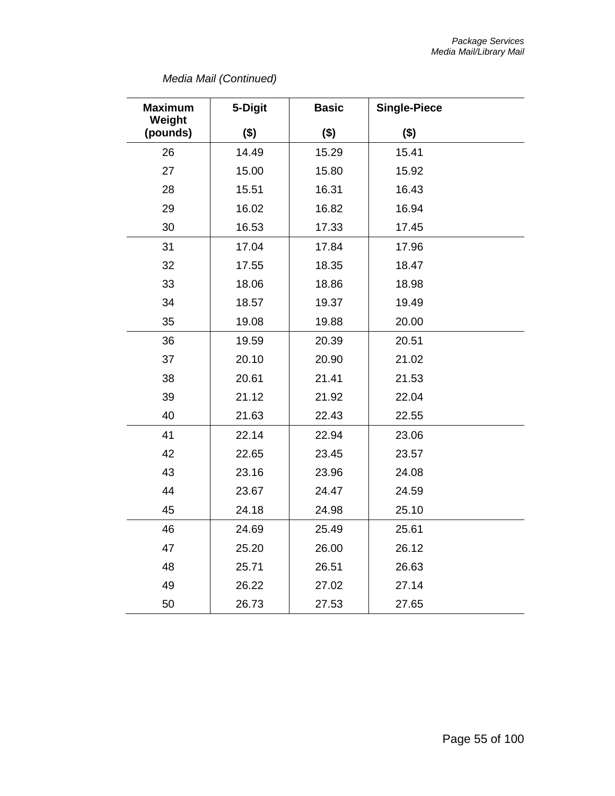# *Media Mail (Continued)*

| <b>Maximum</b>     | 5-Digit | <b>Basic</b> | <b>Single-Piece</b> |
|--------------------|---------|--------------|---------------------|
| Weight<br>(pounds) | $($ \$) | ( \$)        | $($ \$)             |
| 26                 | 14.49   | 15.29        | 15.41               |
| 27                 | 15.00   | 15.80        | 15.92               |
| 28                 | 15.51   | 16.31        | 16.43               |
| 29                 | 16.02   | 16.82        | 16.94               |
| 30                 | 16.53   | 17.33        | 17.45               |
| 31                 | 17.04   | 17.84        | 17.96               |
| 32                 | 17.55   | 18.35        | 18.47               |
| 33                 | 18.06   | 18.86        | 18.98               |
| 34                 | 18.57   | 19.37        | 19.49               |
| 35                 | 19.08   | 19.88        | 20.00               |
| 36                 | 19.59   | 20.39        | 20.51               |
| 37                 | 20.10   | 20.90        | 21.02               |
| 38                 | 20.61   | 21.41        | 21.53               |
| 39                 | 21.12   | 21.92        | 22.04               |
| 40                 | 21.63   | 22.43        | 22.55               |
| 41                 | 22.14   | 22.94        | 23.06               |
| 42                 | 22.65   | 23.45        | 23.57               |
| 43                 | 23.16   | 23.96        | 24.08               |
| 44                 | 23.67   | 24.47        | 24.59               |
| 45                 | 24.18   | 24.98        | 25.10               |
| 46                 | 24.69   | 25.49        | 25.61               |
| 47                 | 25.20   | 26.00        | 26.12               |
| 48                 | 25.71   | 26.51        | 26.63               |
| 49                 | 26.22   | 27.02        | 27.14               |
| 50                 | 26.73   | 27.53        | 27.65               |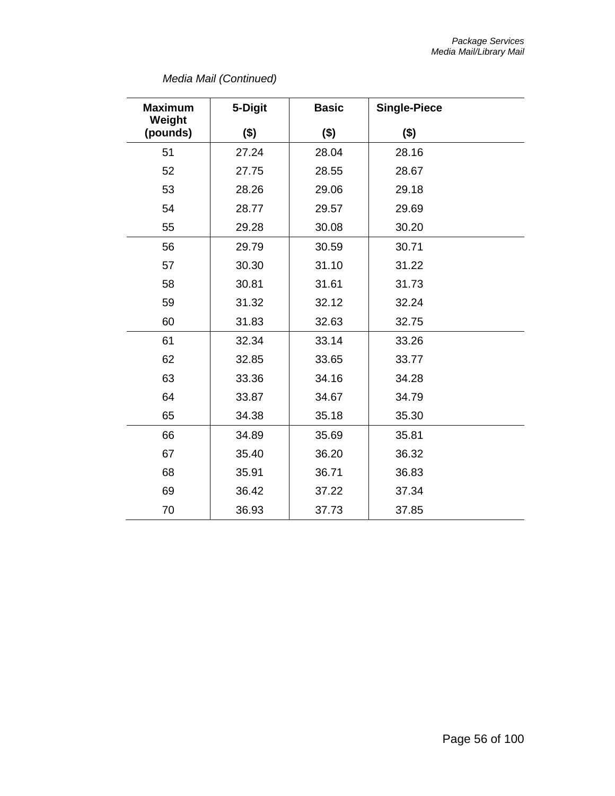# *Media Mail (Continued)*

| <b>Maximum</b><br>Weight | 5-Digit | <b>Basic</b> | <b>Single-Piece</b> |  |
|--------------------------|---------|--------------|---------------------|--|
| (pounds)                 | $($ \$) | (3)          | $($ \$)             |  |
| 51                       | 27.24   | 28.04        | 28.16               |  |
| 52                       | 27.75   | 28.55        | 28.67               |  |
| 53                       | 28.26   | 29.06        | 29.18               |  |
| 54                       | 28.77   | 29.57        | 29.69               |  |
| 55                       | 29.28   | 30.08        | 30.20               |  |
| 56                       | 29.79   | 30.59        | 30.71               |  |
| 57                       | 30.30   | 31.10        | 31.22               |  |
| 58                       | 30.81   | 31.61        | 31.73               |  |
| 59                       | 31.32   | 32.12        | 32.24               |  |
| 60                       | 31.83   | 32.63        | 32.75               |  |
| 61                       | 32.34   | 33.14        | 33.26               |  |
| 62                       | 32.85   | 33.65        | 33.77               |  |
| 63                       | 33.36   | 34.16        | 34.28               |  |
| 64                       | 33.87   | 34.67        | 34.79               |  |
| 65                       | 34.38   | 35.18        | 35.30               |  |
| 66                       | 34.89   | 35.69        | 35.81               |  |
| 67                       | 35.40   | 36.20        | 36.32               |  |
| 68                       | 35.91   | 36.71        | 36.83               |  |
| 69                       | 36.42   | 37.22        | 37.34               |  |
| 70                       | 36.93   | 37.73        | 37.85               |  |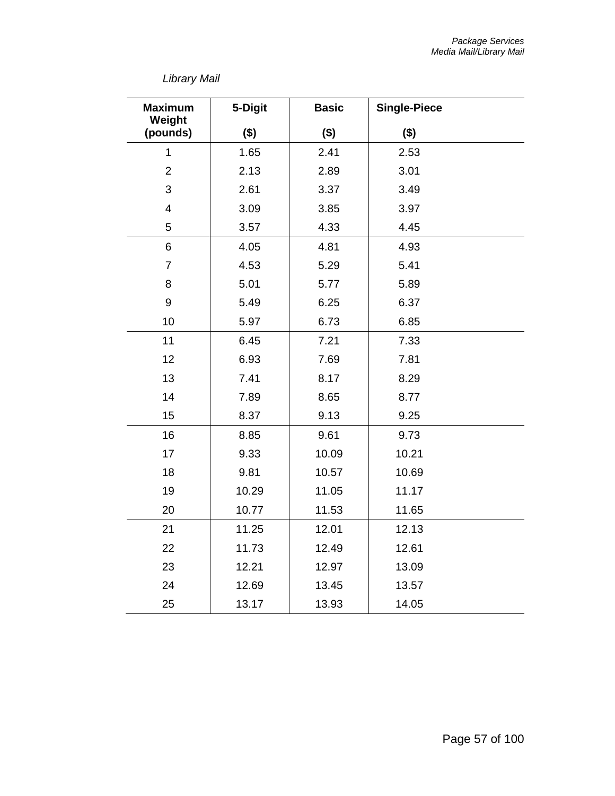# *Library Mail*

| <b>Maximum</b><br>Weight | 5-Digit | <b>Basic</b> | <b>Single-Piece</b> |
|--------------------------|---------|--------------|---------------------|
| (pounds)                 | $($ \$) | $($ \$)      | $($ \$)             |
| $\overline{1}$           | 1.65    | 2.41         | 2.53                |
| $\overline{2}$           | 2.13    | 2.89         | 3.01                |
| 3                        | 2.61    | 3.37         | 3.49                |
| $\overline{4}$           | 3.09    | 3.85         | 3.97                |
| 5                        | 3.57    | 4.33         | 4.45                |
| 6                        | 4.05    | 4.81         | 4.93                |
| $\overline{7}$           | 4.53    | 5.29         | 5.41                |
| 8                        | 5.01    | 5.77         | 5.89                |
| $\boldsymbol{9}$         | 5.49    | 6.25         | 6.37                |
| 10                       | 5.97    | 6.73         | 6.85                |
| 11                       | 6.45    | 7.21         | 7.33                |
| 12                       | 6.93    | 7.69         | 7.81                |
| 13                       | 7.41    | 8.17         | 8.29                |
| 14                       | 7.89    | 8.65         | 8.77                |
| 15                       | 8.37    | 9.13         | 9.25                |
| 16                       | 8.85    | 9.61         | 9.73                |
| 17                       | 9.33    | 10.09        | 10.21               |
| 18                       | 9.81    | 10.57        | 10.69               |
| 19                       | 10.29   | 11.05        | 11.17               |
| 20                       | 10.77   | 11.53        | 11.65               |
| 21                       | 11.25   | 12.01        | 12.13               |
| 22                       | 11.73   | 12.49        | 12.61               |
| 23                       | 12.21   | 12.97        | 13.09               |
| 24                       | 12.69   | 13.45        | 13.57               |
| 25                       | 13.17   | 13.93        | 14.05               |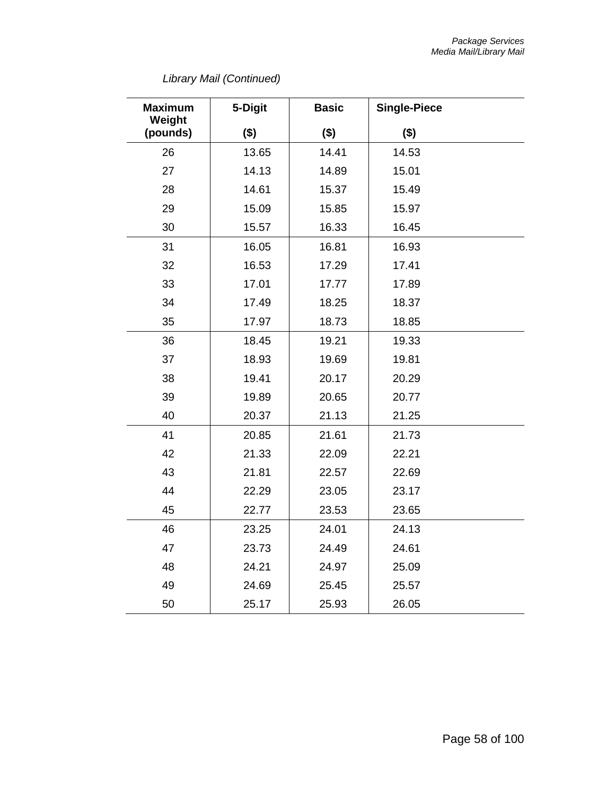# *Library Mail (Continued)*

| <b>Maximum</b><br>Weight | 5-Digit | <b>Basic</b> | <b>Single-Piece</b> |
|--------------------------|---------|--------------|---------------------|
| (pounds)                 | $($ \$) | $($ \$)      | $($ \$)             |
| 26                       | 13.65   | 14.41        | 14.53               |
| 27                       | 14.13   | 14.89        | 15.01               |
| 28                       | 14.61   | 15.37        | 15.49               |
| 29                       | 15.09   | 15.85        | 15.97               |
| 30                       | 15.57   | 16.33        | 16.45               |
| 31                       | 16.05   | 16.81        | 16.93               |
| 32                       | 16.53   | 17.29        | 17.41               |
| 33                       | 17.01   | 17.77        | 17.89               |
| 34                       | 17.49   | 18.25        | 18.37               |
| 35                       | 17.97   | 18.73        | 18.85               |
| 36                       | 18.45   | 19.21        | 19.33               |
| 37                       | 18.93   | 19.69        | 19.81               |
| 38                       | 19.41   | 20.17        | 20.29               |
| 39                       | 19.89   | 20.65        | 20.77               |
| 40                       | 20.37   | 21.13        | 21.25               |
| 41                       | 20.85   | 21.61        | 21.73               |
| 42                       | 21.33   | 22.09        | 22.21               |
| 43                       | 21.81   | 22.57        | 22.69               |
| 44                       | 22.29   | 23.05        | 23.17               |
| 45                       | 22.77   | 23.53        | 23.65               |
| 46                       | 23.25   | 24.01        | 24.13               |
| 47                       | 23.73   | 24.49        | 24.61               |
| 48                       | 24.21   | 24.97        | 25.09               |
| 49                       | 24.69   | 25.45        | 25.57               |
| 50                       | 25.17   | 25.93        | 26.05               |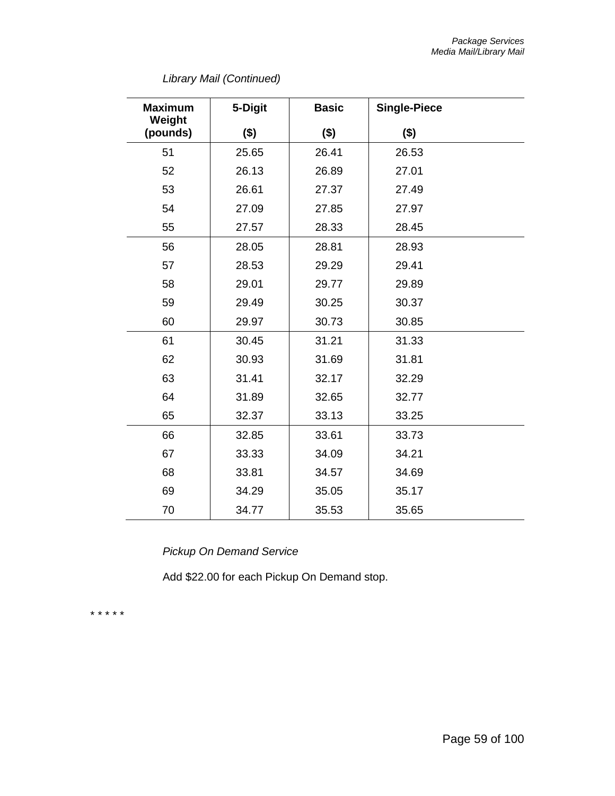|  | Library Mail (Continued) |  |
|--|--------------------------|--|
|--|--------------------------|--|

| <b>Maximum</b><br>Weight | 5-Digit | <b>Basic</b> | <b>Single-Piece</b> |  |
|--------------------------|---------|--------------|---------------------|--|
| (pounds)                 | (3)     | (3)          | $($ \$)             |  |
| 51                       | 25.65   | 26.41        | 26.53               |  |
| 52                       | 26.13   | 26.89        | 27.01               |  |
| 53                       | 26.61   | 27.37        | 27.49               |  |
| 54                       | 27.09   | 27.85        | 27.97               |  |
| 55                       | 27.57   | 28.33        | 28.45               |  |
| 56                       | 28.05   | 28.81        | 28.93               |  |
| 57                       | 28.53   | 29.29        | 29.41               |  |
| 58                       | 29.01   | 29.77        | 29.89               |  |
| 59                       | 29.49   | 30.25        | 30.37               |  |
| 60                       | 29.97   | 30.73        | 30.85               |  |
| 61                       | 30.45   | 31.21        | 31.33               |  |
| 62                       | 30.93   | 31.69        | 31.81               |  |
| 63                       | 31.41   | 32.17        | 32.29               |  |
| 64                       | 31.89   | 32.65        | 32.77               |  |
| 65                       | 32.37   | 33.13        | 33.25               |  |
| 66                       | 32.85   | 33.61        | 33.73               |  |
| 67                       | 33.33   | 34.09        | 34.21               |  |
| 68                       | 33.81   | 34.57        | 34.69               |  |
| 69                       | 34.29   | 35.05        | 35.17               |  |
| 70                       | 34.77   | 35.53        | 35.65               |  |

*Pickup On Demand Service*

Add \$22.00 for each Pickup On Demand stop.

\* \* \* \* \*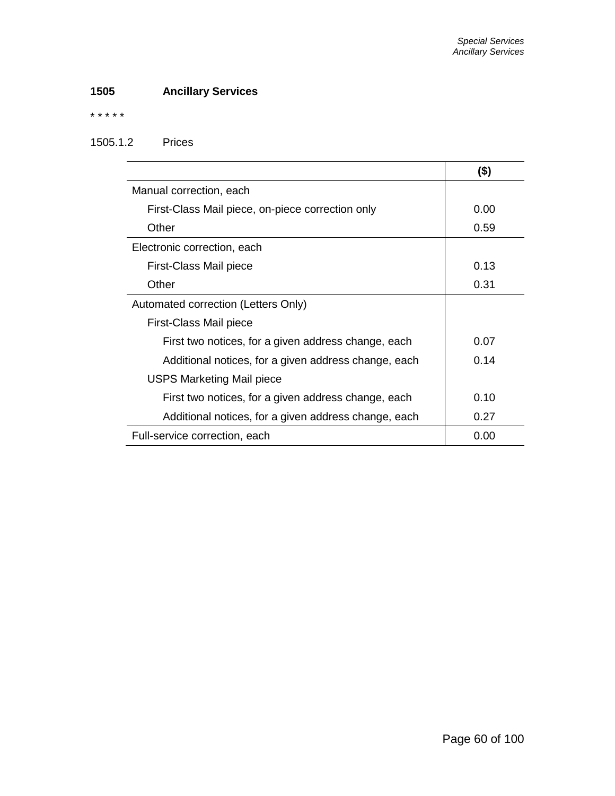# **1505 Ancillary Services**

\* \* \* \* \*

#### 1505.1.2 Prices

|                                                      | (\$) |
|------------------------------------------------------|------|
| Manual correction, each                              |      |
| First-Class Mail piece, on-piece correction only     | 0.00 |
| Other                                                | 0.59 |
| Electronic correction, each                          |      |
| First-Class Mail piece                               | 0.13 |
| Other                                                | 0.31 |
| Automated correction (Letters Only)                  |      |
| First-Class Mail piece                               |      |
| First two notices, for a given address change, each  | 0.07 |
| Additional notices, for a given address change, each | 0.14 |
| <b>USPS Marketing Mail piece</b>                     |      |
| First two notices, for a given address change, each  | 0.10 |
| Additional notices, for a given address change, each | 0.27 |
| Full-service correction, each                        | 0.00 |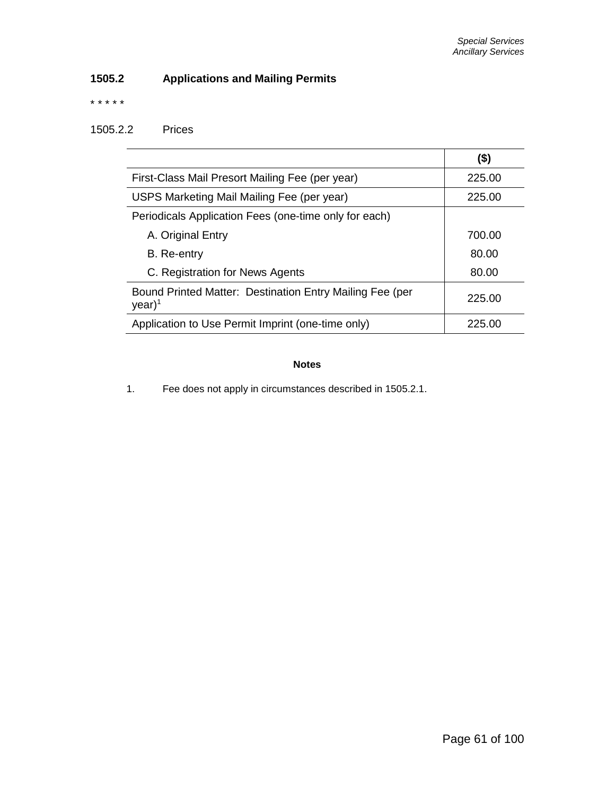# **1505.2 Applications and Mailing Permits**

\* \* \* \* \*

### 1505.2.2 Prices

|                                                                       | (\$)   |
|-----------------------------------------------------------------------|--------|
| First-Class Mail Presort Mailing Fee (per year)                       | 225.00 |
| USPS Marketing Mail Mailing Fee (per year)                            | 225.00 |
| Periodicals Application Fees (one-time only for each)                 |        |
| A. Original Entry                                                     | 700.00 |
| B. Re-entry                                                           | 80.00  |
| C. Registration for News Agents                                       | 80.00  |
| Bound Printed Matter: Destination Entry Mailing Fee (per<br>$year)^1$ | 225.00 |
| Application to Use Permit Imprint (one-time only)                     | 225.00 |

#### **Notes**

1. Fee does not apply in circumstances described in 1505.2.1.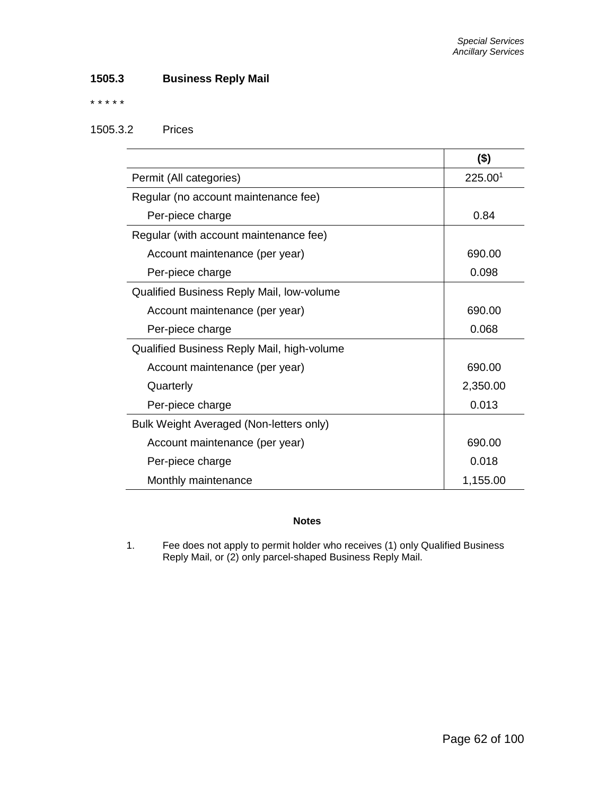## **1505.3 Business Reply Mail**

\* \* \* \* \*

### 1505.3.2 Prices

|                                            | $($ \$)  |
|--------------------------------------------|----------|
| Permit (All categories)                    | 225.001  |
| Regular (no account maintenance fee)       |          |
| Per-piece charge                           | 0.84     |
| Regular (with account maintenance fee)     |          |
| Account maintenance (per year)             | 690.00   |
| Per-piece charge                           | 0.098    |
| Qualified Business Reply Mail, low-volume  |          |
| Account maintenance (per year)             | 690.00   |
| Per-piece charge                           | 0.068    |
| Qualified Business Reply Mail, high-volume |          |
| Account maintenance (per year)             | 690.00   |
| Quarterly                                  | 2,350.00 |
| Per-piece charge                           | 0.013    |
| Bulk Weight Averaged (Non-letters only)    |          |
| Account maintenance (per year)             | 690.00   |
| Per-piece charge                           | 0.018    |
| Monthly maintenance                        | 1,155.00 |

#### **Notes**

1. Fee does not apply to permit holder who receives (1) only Qualified Business Reply Mail, or (2) only parcel-shaped Business Reply Mail.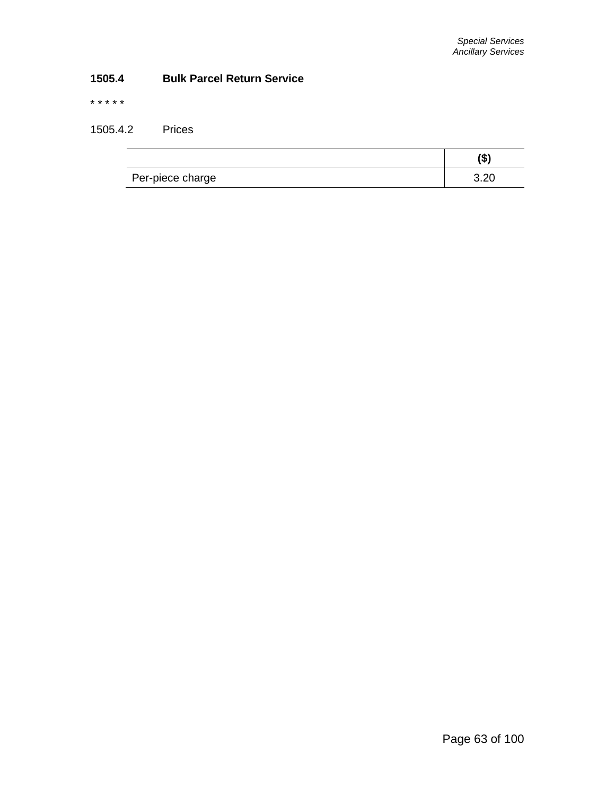# **1505.4 Bulk Parcel Return Service**

\* \* \* \* \*

1505.4.2 Prices

| Per-piece charge | າ ລປ |
|------------------|------|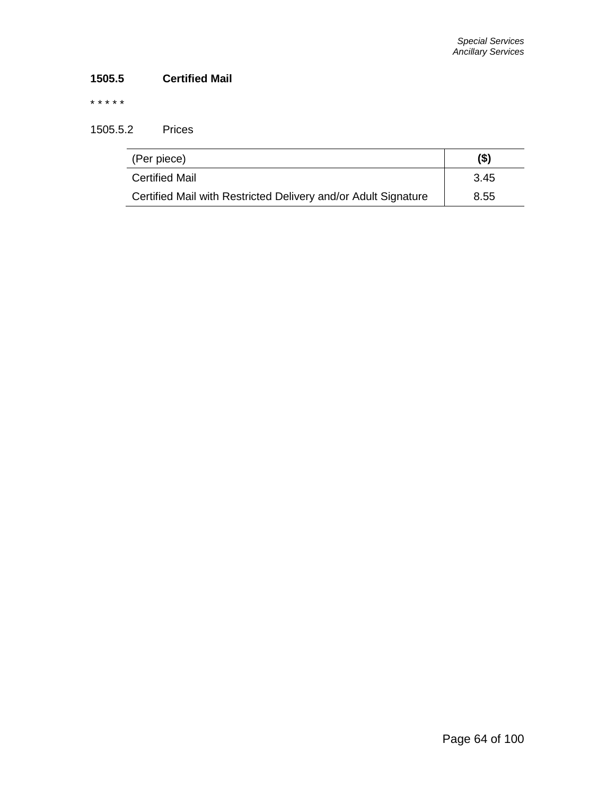# **1505.5 Certified Mail**

\* \* \* \* \*

1505.5.2 Prices

| (Per piece)                                                    | (\$) |
|----------------------------------------------------------------|------|
| <b>Certified Mail</b>                                          | 3.45 |
| Certified Mail with Restricted Delivery and/or Adult Signature | 8.55 |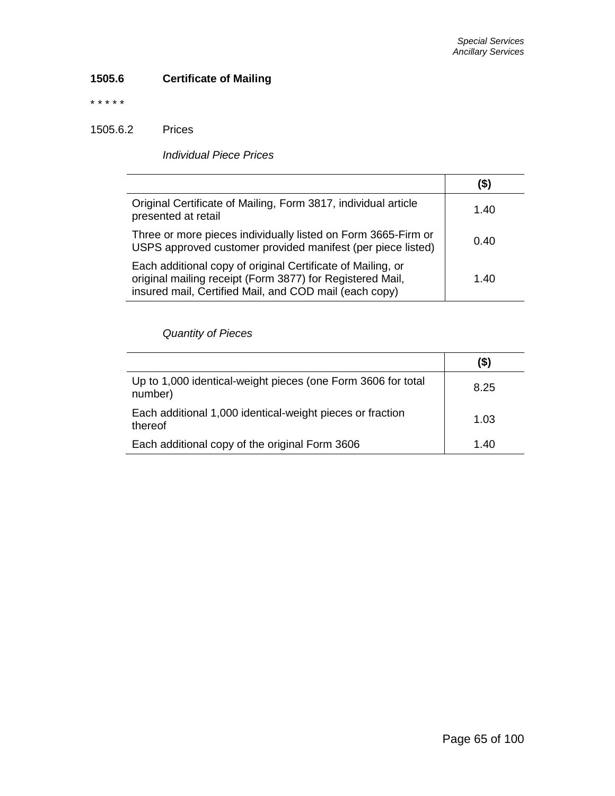# **1505.6 Certificate of Mailing**

\* \* \* \* \*

1505.6.2 Prices

*Individual Piece Prices*

|                                                                                                                                                                                    | (\$) |
|------------------------------------------------------------------------------------------------------------------------------------------------------------------------------------|------|
| Original Certificate of Mailing, Form 3817, individual article<br>presented at retail                                                                                              | 1.40 |
| Three or more pieces individually listed on Form 3665-Firm or<br>USPS approved customer provided manifest (per piece listed)                                                       | 0.40 |
| Each additional copy of original Certificate of Mailing, or<br>original mailing receipt (Form 3877) for Registered Mail,<br>insured mail, Certified Mail, and COD mail (each copy) | 1.40 |

*Quantity of Pieces*

|                                                                         | $($ \$ |
|-------------------------------------------------------------------------|--------|
| Up to 1,000 identical-weight pieces (one Form 3606 for total<br>number) | 8.25   |
| Each additional 1,000 identical-weight pieces or fraction<br>thereof    | 1.03   |
| Each additional copy of the original Form 3606                          | 1.40   |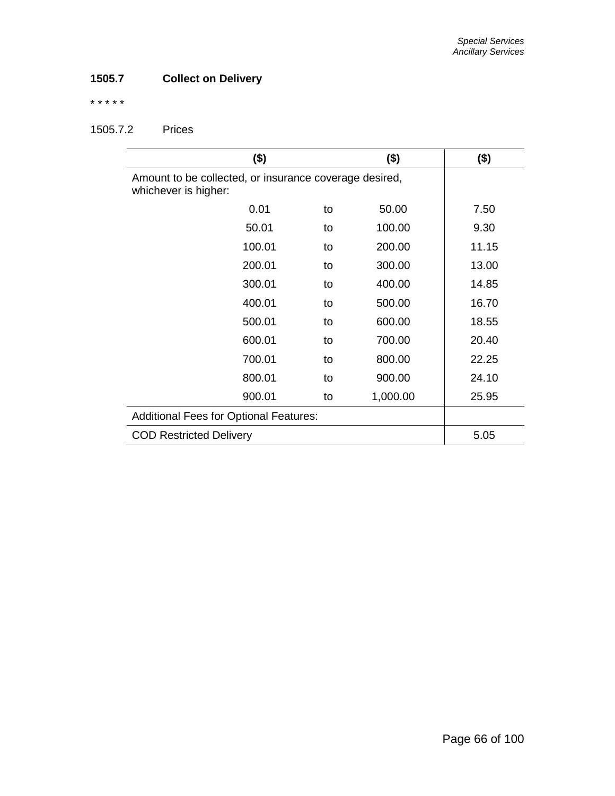# **1505.7 Collect on Delivery**

\* \* \* \* \*

# 1505.7.2 Prices

| $($ \$)                                                                        |    | $($ \$)  | $($ \$) |
|--------------------------------------------------------------------------------|----|----------|---------|
| Amount to be collected, or insurance coverage desired,<br>whichever is higher: |    |          |         |
| 0.01                                                                           | to | 50.00    | 7.50    |
| 50.01                                                                          | to | 100.00   | 9.30    |
| 100.01                                                                         | to | 200.00   | 11.15   |
| 200.01                                                                         | to | 300.00   | 13.00   |
| 300.01                                                                         | to | 400.00   | 14.85   |
| 400.01                                                                         | to | 500.00   | 16.70   |
| 500.01                                                                         | to | 600.00   | 18.55   |
| 600.01                                                                         | to | 700.00   | 20.40   |
| 700.01                                                                         | to | 800.00   | 22.25   |
| 800.01                                                                         | to | 900.00   | 24.10   |
| 900.01                                                                         | to | 1,000.00 | 25.95   |
| <b>Additional Fees for Optional Features:</b>                                  |    |          |         |
| <b>COD Restricted Delivery</b>                                                 |    |          | 5.05    |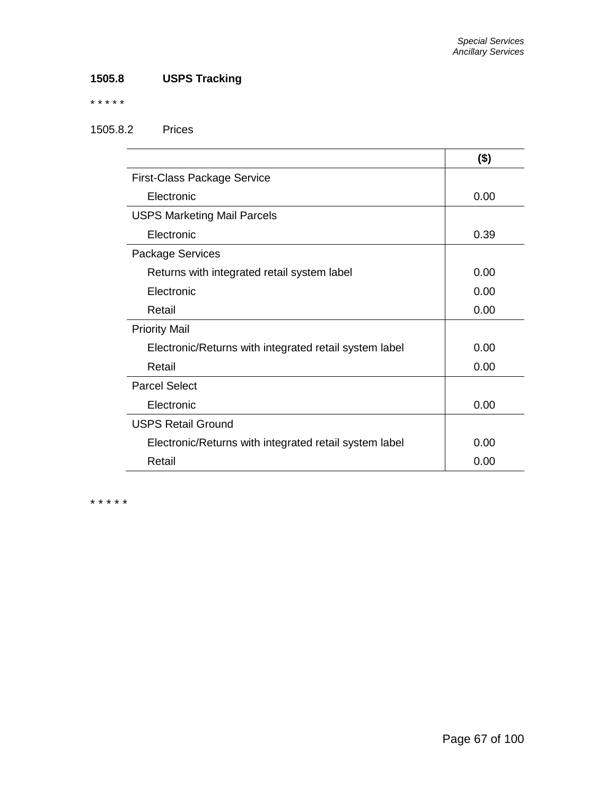# **1505.8 USPS Tracking**

\* \* \* \* \*

# 1505.8.2 Prices

|                                                        | $($ \$) |
|--------------------------------------------------------|---------|
| <b>First-Class Package Service</b>                     |         |
| Electronic                                             | 0.00    |
| <b>USPS Marketing Mail Parcels</b>                     |         |
| Electronic                                             | 0.39    |
| Package Services                                       |         |
| Returns with integrated retail system label            | 0.00    |
| Electronic                                             | 0.00    |
| Retail                                                 | 0.00    |
| <b>Priority Mail</b>                                   |         |
| Electronic/Returns with integrated retail system label | 0.00    |
| Retail                                                 | 0.00    |
| <b>Parcel Select</b>                                   |         |
| Electronic                                             | 0.00    |
| <b>USPS Retail Ground</b>                              |         |
| Electronic/Returns with integrated retail system label | 0.00    |
| Retail                                                 | 0.00    |

\* \* \* \* \*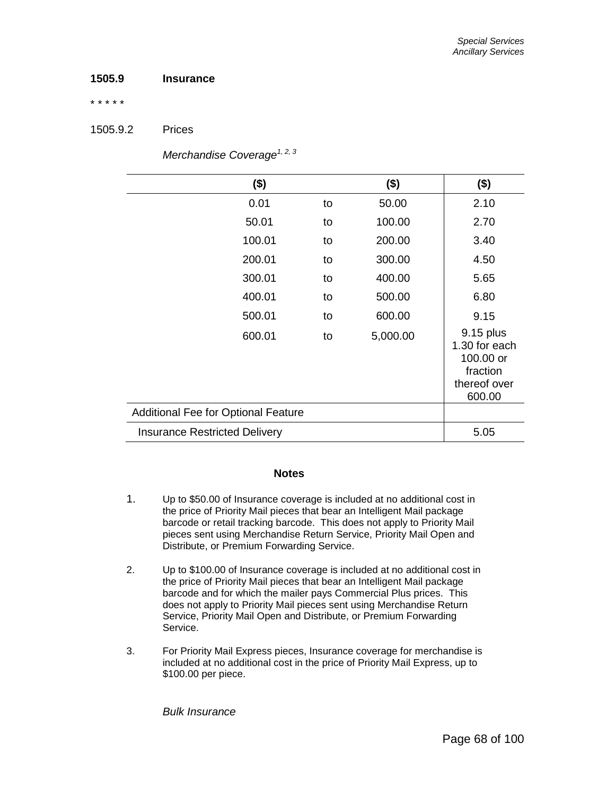### **1505.9 Insurance**

\* \* \* \* \*

#### 1505.9.2 Prices

| $($ \$)                                    |    | $($ \$)  | $($ \$)                                                                       |
|--------------------------------------------|----|----------|-------------------------------------------------------------------------------|
| 0.01                                       | to | 50.00    | 2.10                                                                          |
| 50.01                                      | to | 100.00   | 2.70                                                                          |
| 100.01                                     | to | 200.00   | 3.40                                                                          |
| 200.01                                     | to | 300.00   | 4.50                                                                          |
| 300.01                                     | to | 400.00   | 5.65                                                                          |
| 400.01                                     | to | 500.00   | 6.80                                                                          |
| 500.01                                     | to | 600.00   | 9.15                                                                          |
| 600.01                                     | to | 5,000.00 | 9.15 plus<br>1.30 for each<br>100.00 or<br>fraction<br>thereof over<br>600.00 |
| <b>Additional Fee for Optional Feature</b> |    |          |                                                                               |
| <b>Insurance Restricted Delivery</b>       |    |          | 5.05                                                                          |

*Merchandise Coverage1, 2, 3*

#### **Notes**

- 1. Up to \$50.00 of Insurance coverage is included at no additional cost in the price of Priority Mail pieces that bear an Intelligent Mail package barcode or retail tracking barcode. This does not apply to Priority Mail pieces sent using Merchandise Return Service, Priority Mail Open and Distribute, or Premium Forwarding Service.
- 2. Up to \$100.00 of Insurance coverage is included at no additional cost in the price of Priority Mail pieces that bear an Intelligent Mail package barcode and for which the mailer pays Commercial Plus prices. This does not apply to Priority Mail pieces sent using Merchandise Return Service, Priority Mail Open and Distribute, or Premium Forwarding Service.
- 3. For Priority Mail Express pieces, Insurance coverage for merchandise is included at no additional cost in the price of Priority Mail Express, up to \$100.00 per piece.

*Bulk Insurance*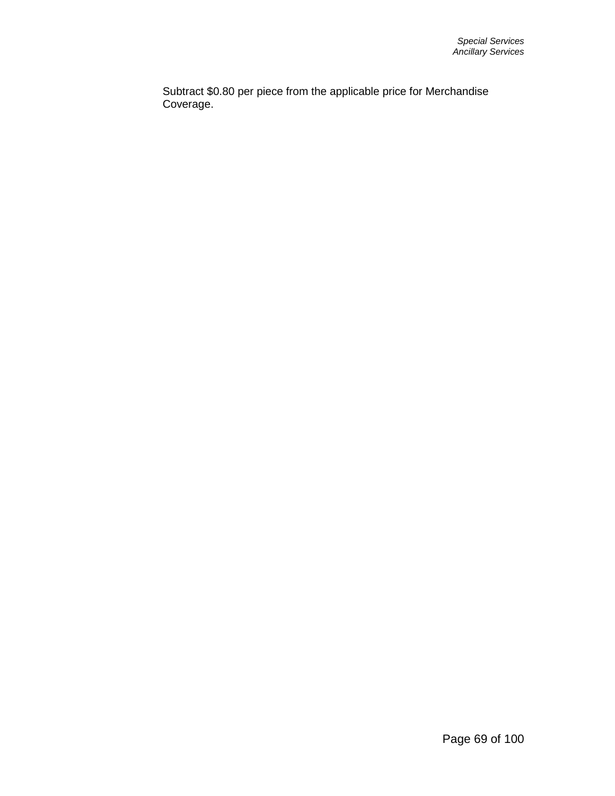Subtract \$0.80 per piece from the applicable price for Merchandise Coverage.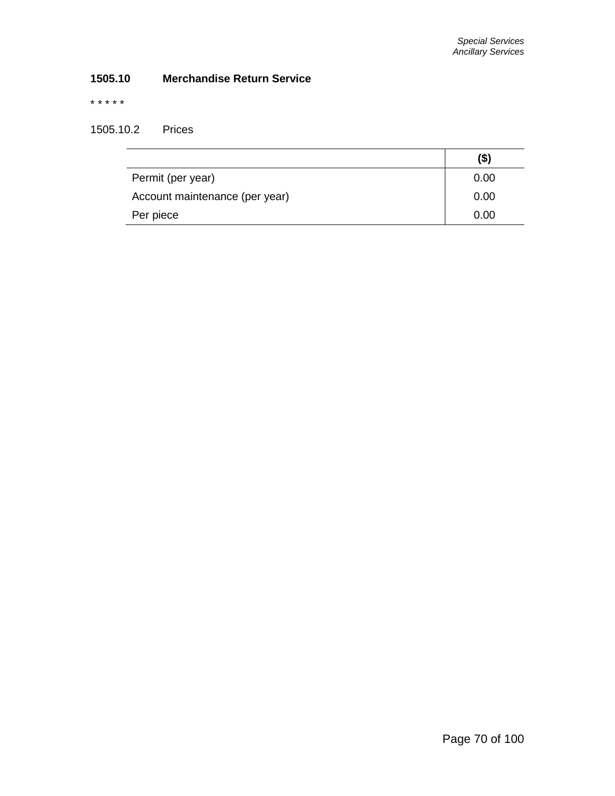# **1505.10 Merchandise Return Service**

\* \* \* \* \*

1505.10.2 Prices

|                                | (\$) |
|--------------------------------|------|
| Permit (per year)              | 0.00 |
| Account maintenance (per year) | 0.00 |
| Per piece                      | 0.00 |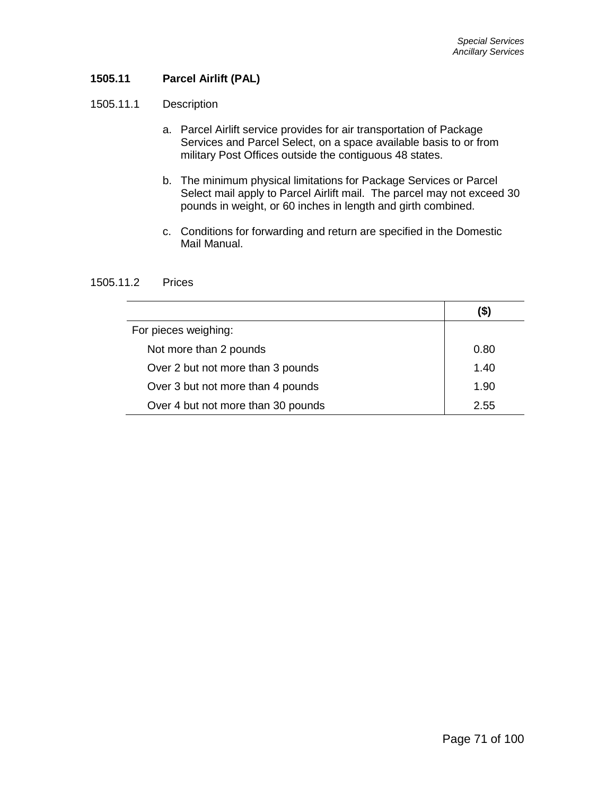## **1505.11 Parcel Airlift (PAL)**

#### 1505.11.1 Description

- a. Parcel Airlift service provides for air transportation of Package Services and Parcel Select, on a space available basis to or from military Post Offices outside the contiguous 48 states.
- b. The minimum physical limitations for Package Services or Parcel Select mail apply to Parcel Airlift mail. The parcel may not exceed 30 pounds in weight, or 60 inches in length and girth combined.
- c. Conditions for forwarding and return are specified in the Domestic Mail Manual.

#### 1505.11.2 Prices

| For pieces weighing:               |      |
|------------------------------------|------|
| Not more than 2 pounds             | 0.80 |
| Over 2 but not more than 3 pounds  | 1.40 |
| Over 3 but not more than 4 pounds  | 1.90 |
| Over 4 but not more than 30 pounds | 2.55 |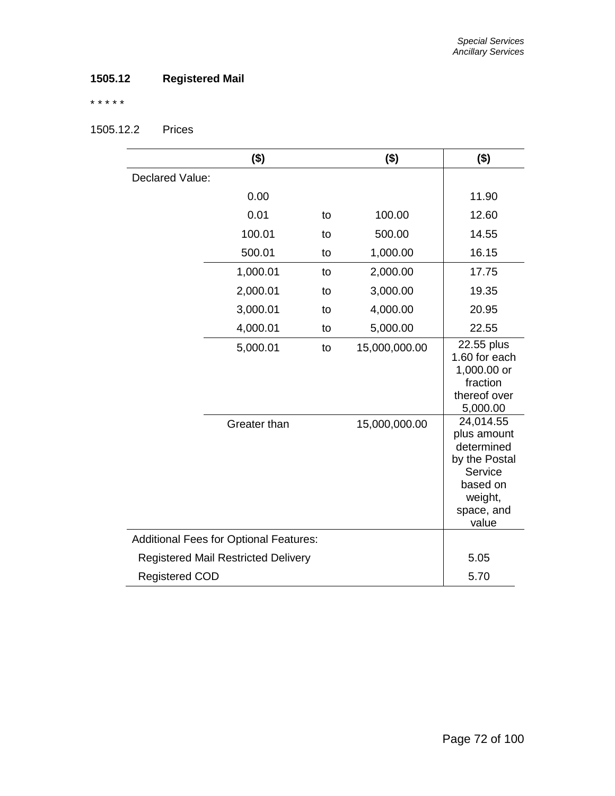# **1505.12 Registered Mail**

\* \* \* \* \*

1505.12.2 Prices

|                                            | $($ \$)                                       |      | $($ \$)       | $($ \$)                                                                                                          |
|--------------------------------------------|-----------------------------------------------|------|---------------|------------------------------------------------------------------------------------------------------------------|
| Declared Value:                            |                                               |      |               |                                                                                                                  |
|                                            | 0.00                                          |      |               | 11.90                                                                                                            |
|                                            | 0.01                                          | to   | 100.00        | 12.60                                                                                                            |
|                                            | 100.01                                        | to   | 500.00        | 14.55                                                                                                            |
|                                            | 500.01                                        | to   | 1,000.00      | 16.15                                                                                                            |
|                                            | 1,000.01                                      | to   | 2,000.00      | 17.75                                                                                                            |
|                                            | 2,000.01                                      | to   | 3,000.00      | 19.35                                                                                                            |
|                                            | 3,000.01                                      | to   | 4,000.00      | 20.95                                                                                                            |
|                                            | 4,000.01                                      | to   | 5,000.00      | 22.55                                                                                                            |
|                                            | 5,000.01                                      | to   | 15,000,000.00 | 22.55 plus<br>1.60 for each<br>1,000.00 or<br>fraction<br>thereof over<br>5,000.00                               |
|                                            | Greater than                                  |      | 15,000,000.00 | 24,014.55<br>plus amount<br>determined<br>by the Postal<br>Service<br>based on<br>weight,<br>space, and<br>value |
|                                            | <b>Additional Fees for Optional Features:</b> |      |               |                                                                                                                  |
| <b>Registered Mail Restricted Delivery</b> |                                               | 5.05 |               |                                                                                                                  |
| <b>Registered COD</b>                      |                                               |      | 5.70          |                                                                                                                  |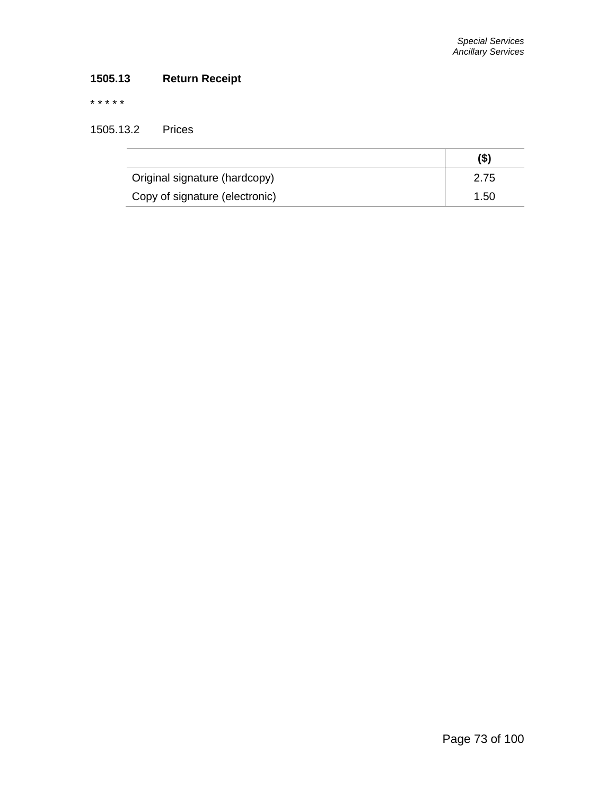# **1505.13 Return Receipt**

\* \* \* \* \*

1505.13.2 Prices

|                                | (\$) |
|--------------------------------|------|
| Original signature (hardcopy)  | 2.75 |
| Copy of signature (electronic) | 1.50 |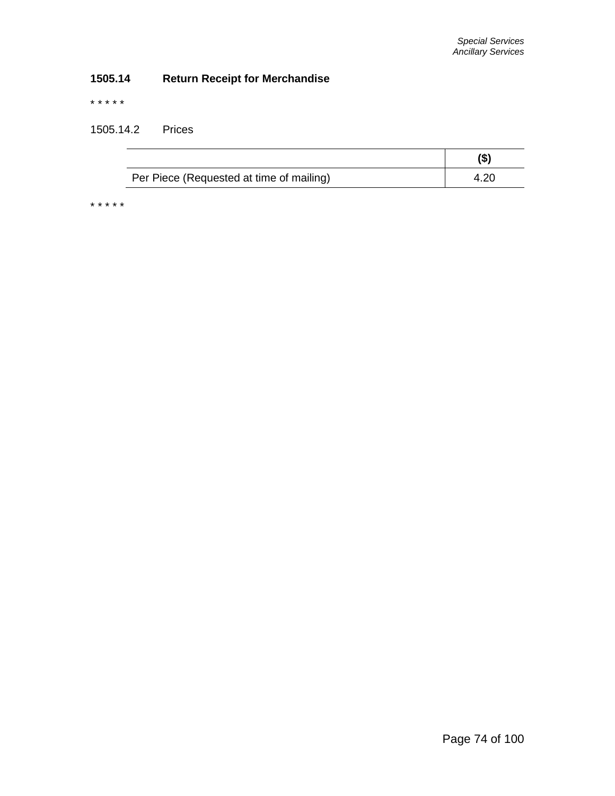# **1505.14 Return Receipt for Merchandise**

\* \* \* \* \*

1505.14.2 Prices

|                                          | (\$) |
|------------------------------------------|------|
| Per Piece (Requested at time of mailing) |      |

\* \* \* \* \*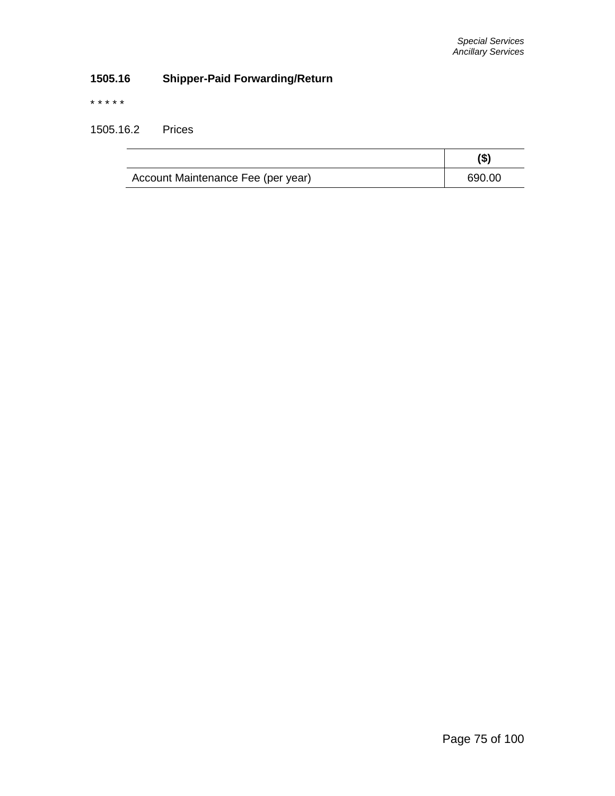# **1505.16 Shipper-Paid Forwarding/Return**

\* \* \* \* \*

1505.16.2 Prices

| Account Maintenance Fee (per year) | 690.00 |
|------------------------------------|--------|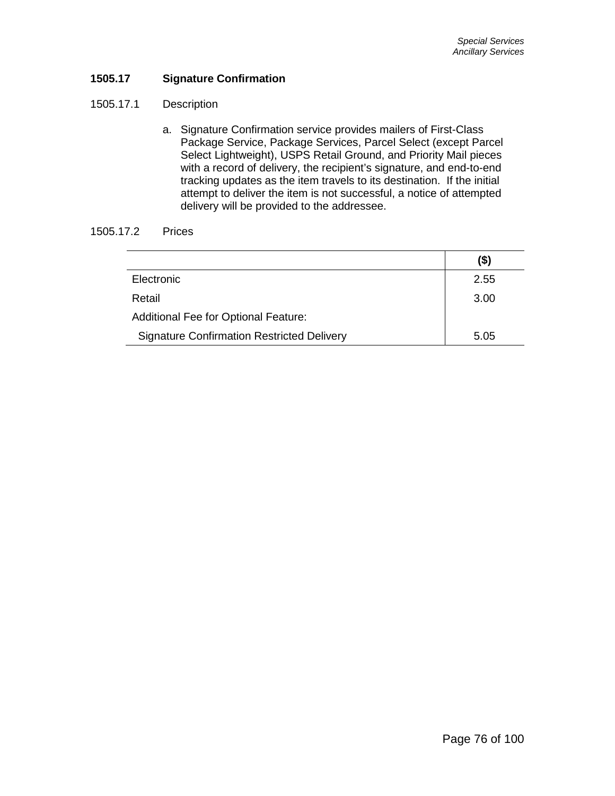## **1505.17 Signature Confirmation**

## 1505.17.1 Description

a. Signature Confirmation service provides mailers of First-Class Package Service, Package Services, Parcel Select (except Parcel Select Lightweight), USPS Retail Ground, and Priority Mail pieces with a record of delivery, the recipient's signature, and end-to-end tracking updates as the item travels to its destination. If the initial attempt to deliver the item is not successful, a notice of attempted delivery will be provided to the addressee.

## 1505.17.2 Prices

|                                                   | (\$) |
|---------------------------------------------------|------|
| Electronic                                        | 2.55 |
| Retail                                            | 3.00 |
| <b>Additional Fee for Optional Feature:</b>       |      |
| <b>Signature Confirmation Restricted Delivery</b> | 5.05 |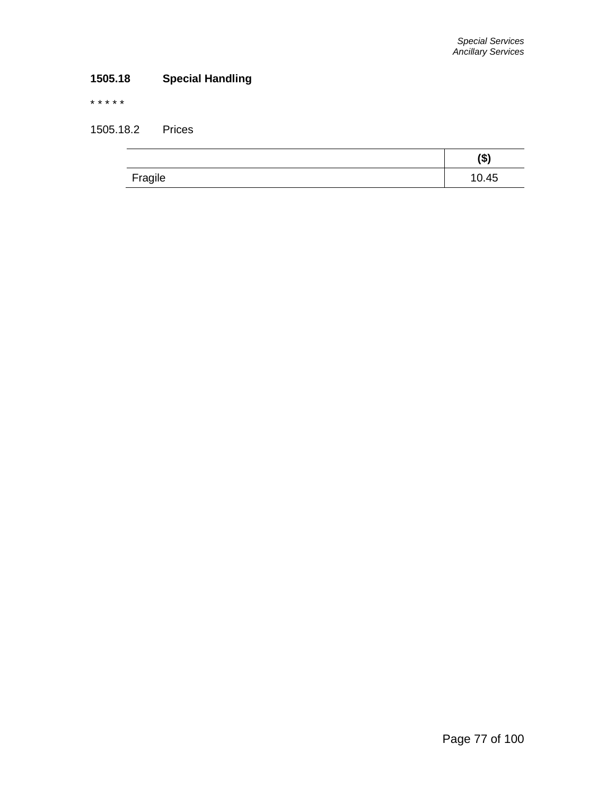# **1505.18 Special Handling**

\* \* \* \* \*

1505.18.2 Prices

|         | (\$)  |
|---------|-------|
| Fragile | 10.45 |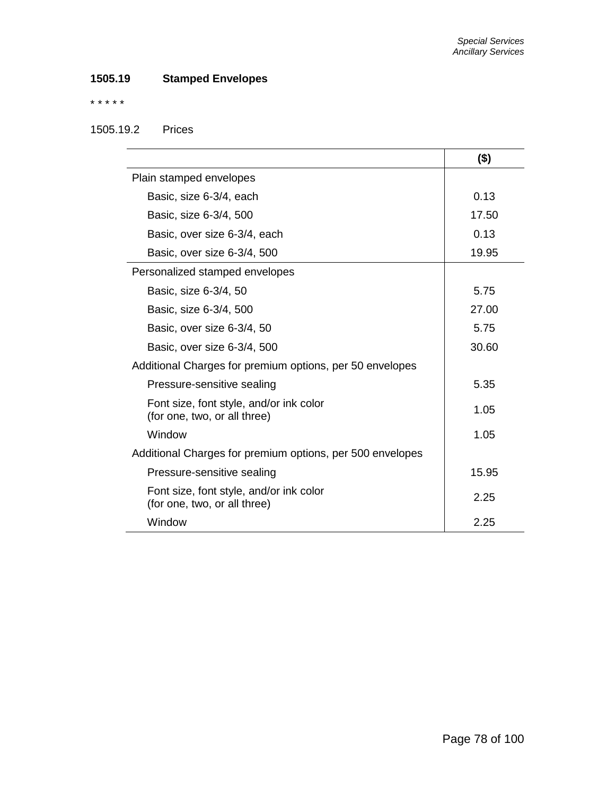# **1505.19 Stamped Envelopes**

## \* \* \* \* \*

# 1505.19.2 Prices

|                                                                         | $($ \$) |
|-------------------------------------------------------------------------|---------|
| Plain stamped envelopes                                                 |         |
| Basic, size 6-3/4, each                                                 | 0.13    |
| Basic, size 6-3/4, 500                                                  | 17.50   |
| Basic, over size 6-3/4, each                                            | 0.13    |
| Basic, over size 6-3/4, 500                                             | 19.95   |
| Personalized stamped envelopes                                          |         |
| Basic, size 6-3/4, 50                                                   | 5.75    |
| Basic, size 6-3/4, 500                                                  | 27.00   |
| Basic, over size 6-3/4, 50                                              | 5.75    |
| Basic, over size 6-3/4, 500                                             | 30.60   |
| Additional Charges for premium options, per 50 envelopes                |         |
| Pressure-sensitive sealing                                              | 5.35    |
| Font size, font style, and/or ink color<br>(for one, two, or all three) | 1.05    |
| Window                                                                  | 1.05    |
| Additional Charges for premium options, per 500 envelopes               |         |
| Pressure-sensitive sealing                                              | 15.95   |
| Font size, font style, and/or ink color<br>(for one, two, or all three) | 2.25    |
| Window                                                                  | 2.25    |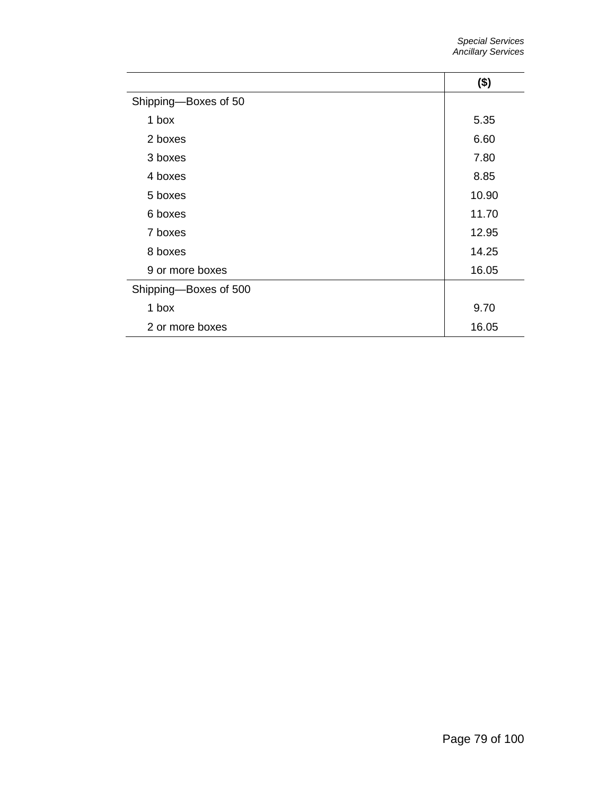|                       | $($ \$) |
|-----------------------|---------|
| Shipping-Boxes of 50  |         |
| 1 box                 | 5.35    |
| 2 boxes               | 6.60    |
| 3 boxes               | 7.80    |
| 4 boxes               | 8.85    |
| 5 boxes               | 10.90   |
| 6 boxes               | 11.70   |
| 7 boxes               | 12.95   |
| 8 boxes               | 14.25   |
| 9 or more boxes       | 16.05   |
| Shipping-Boxes of 500 |         |
| 1 box                 | 9.70    |
| 2 or more boxes       | 16.05   |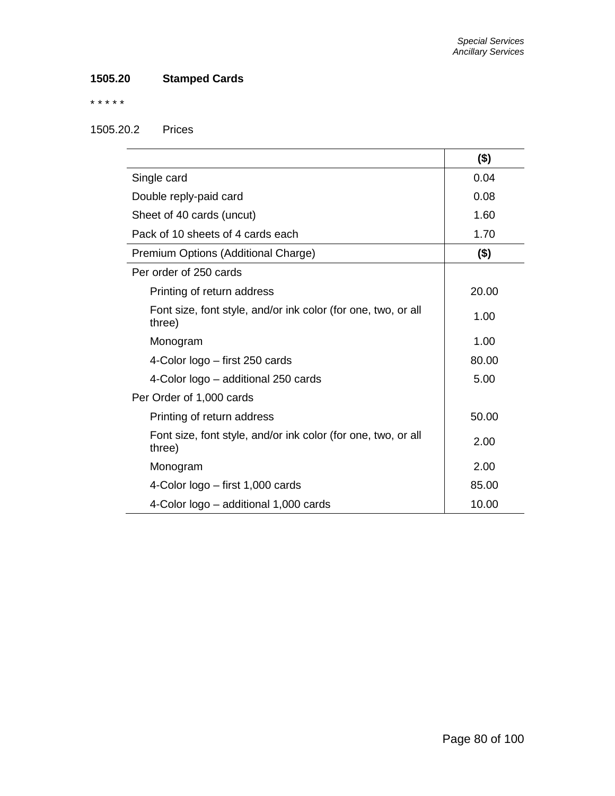# **1505.20 Stamped Cards**

\* \* \* \* \*

## 1505.20.2 Prices

|                                                                         | $($ \$) |
|-------------------------------------------------------------------------|---------|
| Single card                                                             | 0.04    |
| Double reply-paid card                                                  | 0.08    |
| Sheet of 40 cards (uncut)                                               | 1.60    |
| Pack of 10 sheets of 4 cards each                                       | 1.70    |
| Premium Options (Additional Charge)                                     | $($ \$) |
| Per order of 250 cards                                                  |         |
| Printing of return address                                              | 20.00   |
| Font size, font style, and/or ink color (for one, two, or all<br>three) | 1.00    |
| Monogram                                                                | 1.00    |
| 4-Color logo - first 250 cards                                          | 80.00   |
| 4-Color logo – additional 250 cards                                     | 5.00    |
| Per Order of 1,000 cards                                                |         |
| Printing of return address                                              | 50.00   |
| Font size, font style, and/or ink color (for one, two, or all<br>three) | 2.00    |
| Monogram                                                                | 2.00    |
| 4-Color logo - first 1,000 cards                                        | 85.00   |
| 4-Color logo – additional 1,000 cards                                   | 10.00   |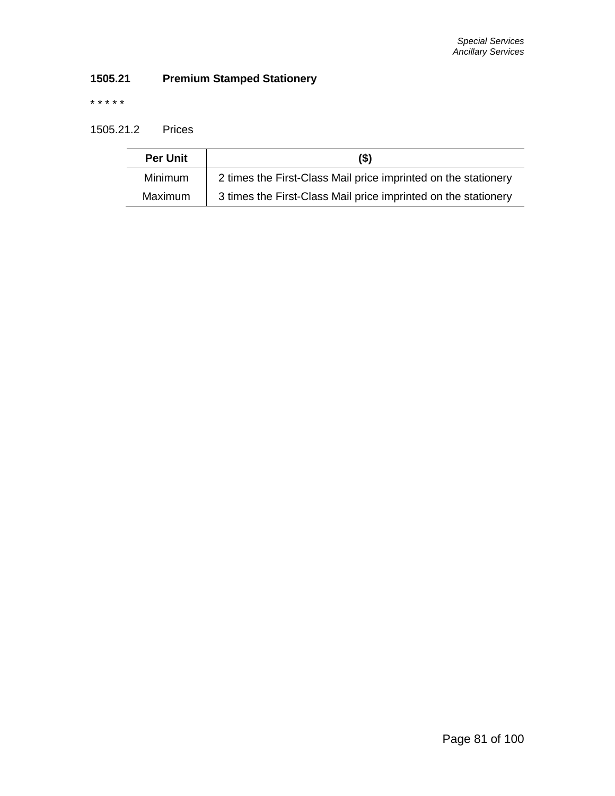# **1505.21 Premium Stamped Stationery**

\* \* \* \* \*

## 1505.21.2 Prices

| <b>Per Unit</b> | $($ \$                                                         |
|-----------------|----------------------------------------------------------------|
| <b>Minimum</b>  | 2 times the First-Class Mail price imprinted on the stationery |
| Maximum         | 3 times the First-Class Mail price imprinted on the stationery |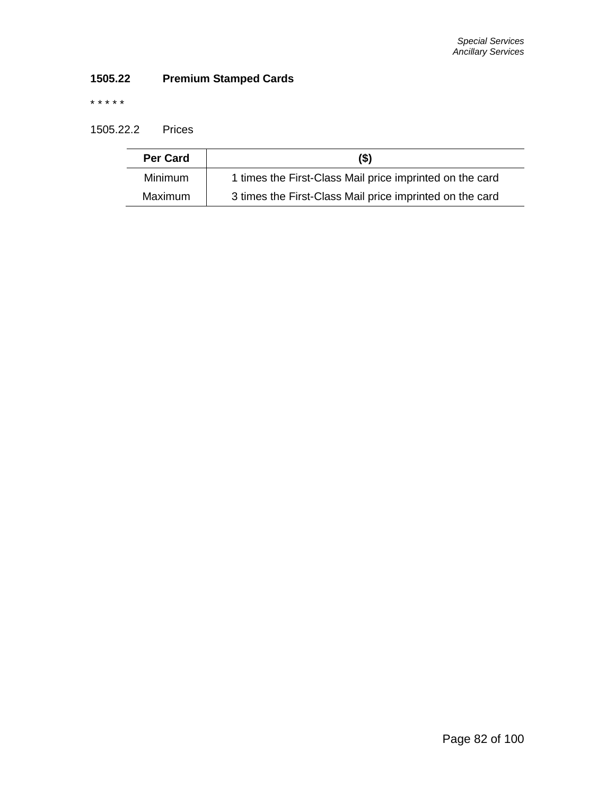# **1505.22 Premium Stamped Cards**

\* \* \* \* \*

1505.22.2 Prices

| <b>Per Card</b> | $($ \$                                                   |
|-----------------|----------------------------------------------------------|
| <b>Minimum</b>  | 1 times the First-Class Mail price imprinted on the card |
| <b>Maximum</b>  | 3 times the First-Class Mail price imprinted on the card |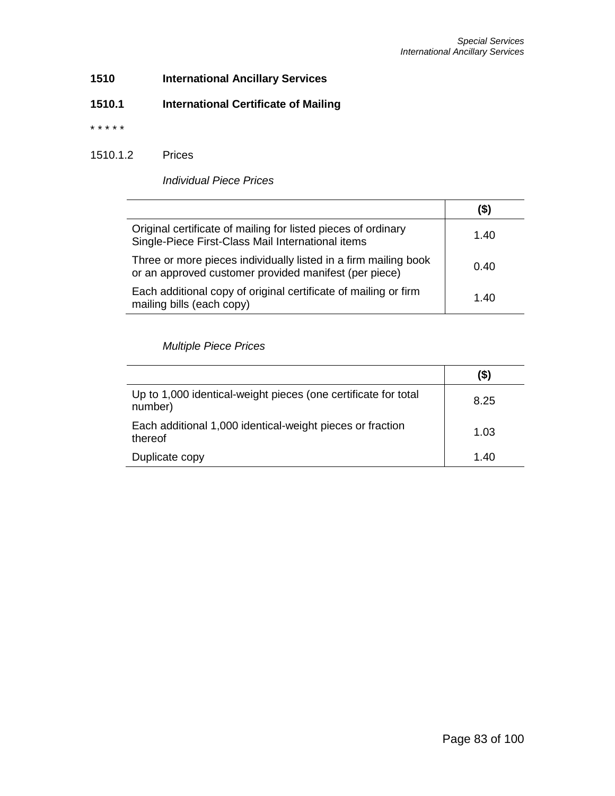# **1510 International Ancillary Services**

# **1510.1 International Certificate of Mailing**

\* \* \* \* \*

## 1510.1.2 Prices

*Individual Piece Prices*

|                                                                                                                          | (\$) |
|--------------------------------------------------------------------------------------------------------------------------|------|
| Original certificate of mailing for listed pieces of ordinary<br>Single-Piece First-Class Mail International items       | 1.40 |
| Three or more pieces individually listed in a firm mailing book<br>or an approved customer provided manifest (per piece) | 0.40 |
| Each additional copy of original certificate of mailing or firm<br>mailing bills (each copy)                             | 1.40 |

## *Multiple Piece Prices*

|                                                                           | (\$) |
|---------------------------------------------------------------------------|------|
| Up to 1,000 identical-weight pieces (one certificate for total<br>number) | 8.25 |
| Each additional 1,000 identical-weight pieces or fraction<br>thereof      | 1.03 |
| Duplicate copy                                                            | 1.40 |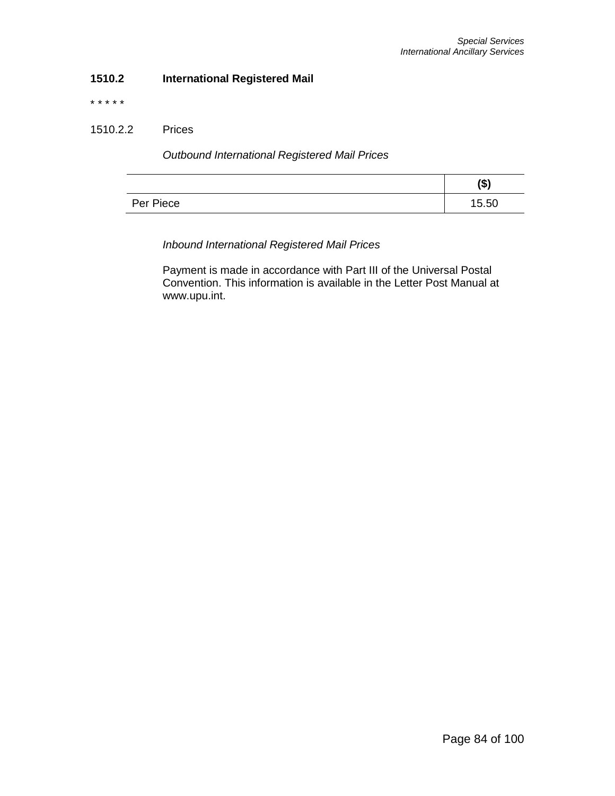## **1510.2 International Registered Mail**

\* \* \* \* \*

## 1510.2.2 Prices

*Outbound International Registered Mail Prices*

|           | (\$)  |
|-----------|-------|
| Per Piece | 15.50 |

*Inbound International Registered Mail Prices*

Payment is made in accordance with Part III of the Universal Postal Convention. This information is available in the Letter Post Manual at www.upu.int.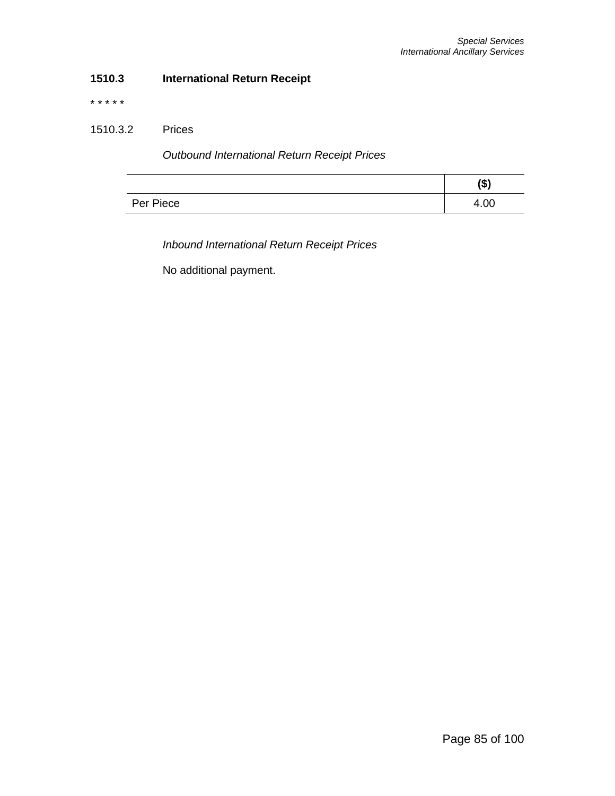## **1510.3 International Return Receipt**

\* \* \* \* \*

## 1510.3.2 Prices

*Outbound International Return Receipt Prices*

|           | / <b>ሰ</b> ነ<br>Φ) |
|-----------|--------------------|
| Per Piece | 4.00               |

*Inbound International Return Receipt Prices*

No additional payment.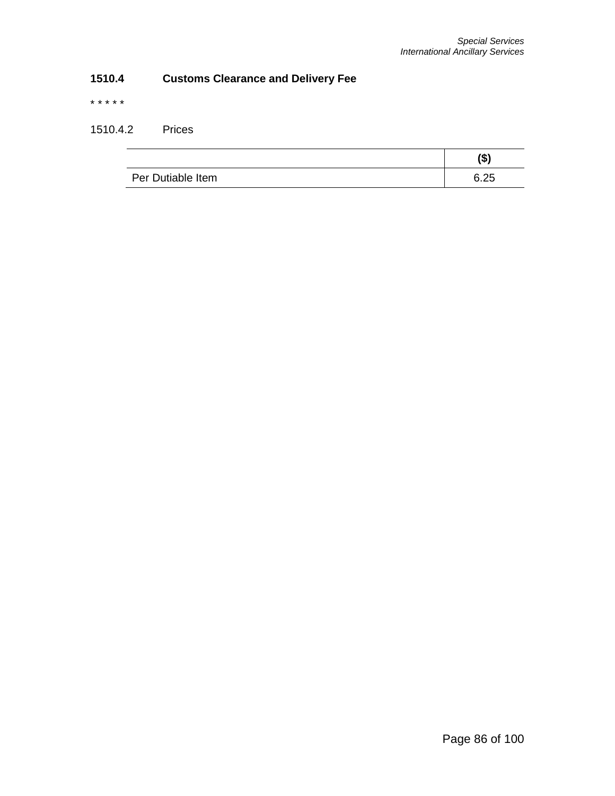# **1510.4 Customs Clearance and Delivery Fee**

\* \* \* \* \*

# 1510.4.2 Prices

|                   | (\$)         |
|-------------------|--------------|
| Per Dutiable Item | ド つに<br>∪.∠∪ |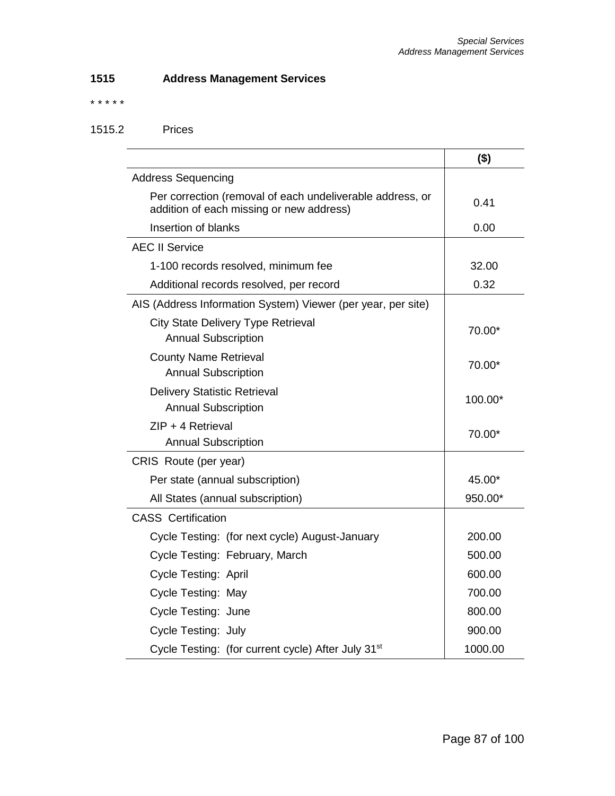# **1515 Address Management Services**

\* \* \* \* \*

# 1515.2 Prices

|                                                                                                       | $($ \$) |
|-------------------------------------------------------------------------------------------------------|---------|
| <b>Address Sequencing</b>                                                                             |         |
| Per correction (removal of each undeliverable address, or<br>addition of each missing or new address) | 0.41    |
| Insertion of blanks                                                                                   | 0.00    |
| <b>AEC II Service</b>                                                                                 |         |
| 1-100 records resolved, minimum fee                                                                   | 32.00   |
| Additional records resolved, per record                                                               | 0.32    |
| AIS (Address Information System) Viewer (per year, per site)                                          |         |
| City State Delivery Type Retrieval<br><b>Annual Subscription</b>                                      | 70.00*  |
| <b>County Name Retrieval</b><br><b>Annual Subscription</b>                                            | 70.00*  |
| <b>Delivery Statistic Retrieval</b><br><b>Annual Subscription</b>                                     | 100.00* |
| $ZIP + 4$ Retrieval                                                                                   | 70.00*  |
| <b>Annual Subscription</b>                                                                            |         |
| CRIS Route (per year)                                                                                 |         |
| Per state (annual subscription)                                                                       | 45.00*  |
| All States (annual subscription)                                                                      | 950.00* |
| <b>CASS</b> Certification                                                                             |         |
| Cycle Testing: (for next cycle) August-January                                                        | 200.00  |
| Cycle Testing: February, March                                                                        | 500.00  |
| Cycle Testing: April                                                                                  | 600.00  |
| Cycle Testing: May                                                                                    | 700.00  |
| Cycle Testing: June                                                                                   | 800.00  |
| Cycle Testing: July                                                                                   | 900.00  |
| Cycle Testing: (for current cycle) After July 31 <sup>st</sup>                                        | 1000.00 |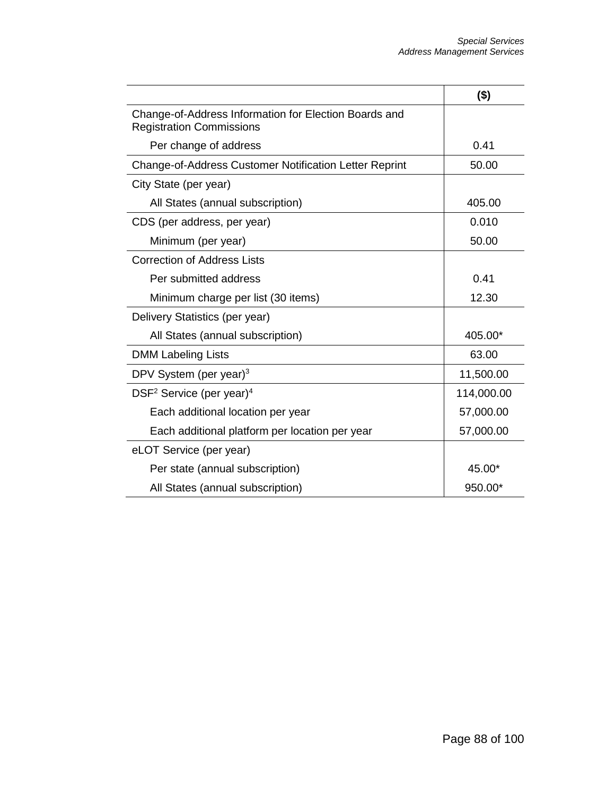|                                                                                          | $($ \$)    |
|------------------------------------------------------------------------------------------|------------|
| Change-of-Address Information for Election Boards and<br><b>Registration Commissions</b> |            |
| Per change of address                                                                    | 0.41       |
| Change-of-Address Customer Notification Letter Reprint                                   | 50.00      |
| City State (per year)                                                                    |            |
| All States (annual subscription)                                                         | 405.00     |
| CDS (per address, per year)                                                              | 0.010      |
| Minimum (per year)                                                                       | 50.00      |
| <b>Correction of Address Lists</b>                                                       |            |
| Per submitted address                                                                    | 0.41       |
| Minimum charge per list (30 items)                                                       | 12.30      |
| Delivery Statistics (per year)                                                           |            |
| All States (annual subscription)                                                         | 405.00*    |
| <b>DMM Labeling Lists</b>                                                                | 63.00      |
| DPV System (per year) $3$                                                                | 11,500.00  |
| DSF <sup>2</sup> Service (per year) <sup>4</sup>                                         | 114,000.00 |
| Each additional location per year                                                        | 57,000.00  |
| Each additional platform per location per year                                           | 57,000.00  |
| eLOT Service (per year)                                                                  |            |
| Per state (annual subscription)                                                          | 45.00*     |
| All States (annual subscription)                                                         | 950.00*    |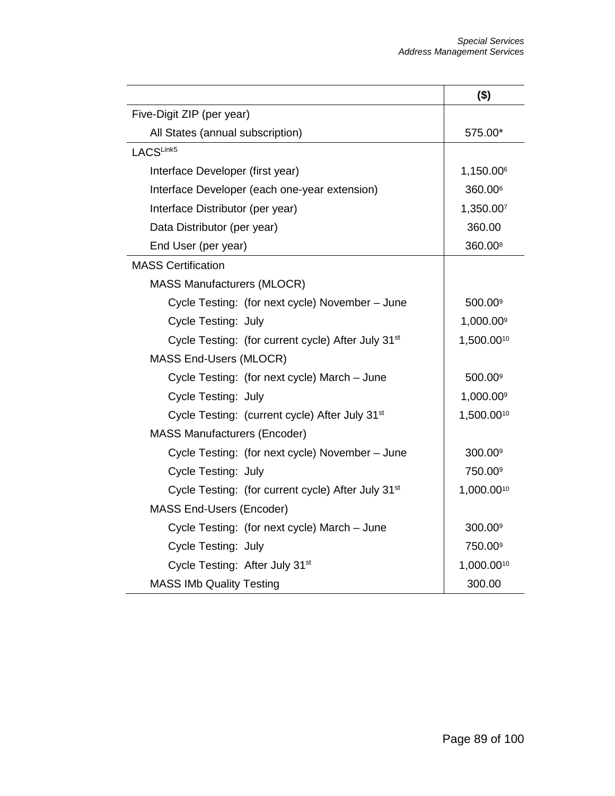|                                                                | $($ \$)               |
|----------------------------------------------------------------|-----------------------|
| Five-Digit ZIP (per year)                                      |                       |
| All States (annual subscription)                               | 575.00*               |
| LACSLink5                                                      |                       |
| Interface Developer (first year)                               | 1,150.006             |
| Interface Developer (each one-year extension)                  | 360.00 <sup>6</sup>   |
| Interface Distributor (per year)                               | 1,350.007             |
| Data Distributor (per year)                                    | 360.00                |
| End User (per year)                                            | 360.00 <sup>8</sup>   |
| <b>MASS Certification</b>                                      |                       |
| <b>MASS Manufacturers (MLOCR)</b>                              |                       |
| Cycle Testing: (for next cycle) November - June                | 500.00 <sup>9</sup>   |
| Cycle Testing: July                                            | 1,000.009             |
| Cycle Testing: (for current cycle) After July 31 <sup>st</sup> | 1,500.0010            |
| MASS End-Users (MLOCR)                                         |                       |
| Cycle Testing: (for next cycle) March - June                   | 500.00 <sup>9</sup>   |
| Cycle Testing: July                                            | 1,000.00 <sup>9</sup> |
| Cycle Testing: (current cycle) After July 31 <sup>st</sup>     | 1,500.0010            |
| <b>MASS Manufacturers (Encoder)</b>                            |                       |
| Cycle Testing: (for next cycle) November - June                | 300.00 <sup>9</sup>   |
| Cycle Testing: July                                            | 750.00 <sup>9</sup>   |
| Cycle Testing: (for current cycle) After July 31 <sup>st</sup> | 1,000.0010            |
| MASS End-Users (Encoder)                                       |                       |
| Cycle Testing: (for next cycle) March - June                   | 300.00 <sup>9</sup>   |
| Cycle Testing: July                                            | 750.00 <sup>9</sup>   |
| Cycle Testing: After July 31 <sup>st</sup>                     | 1,000.0010            |
| <b>MASS IMb Quality Testing</b>                                | 300.00                |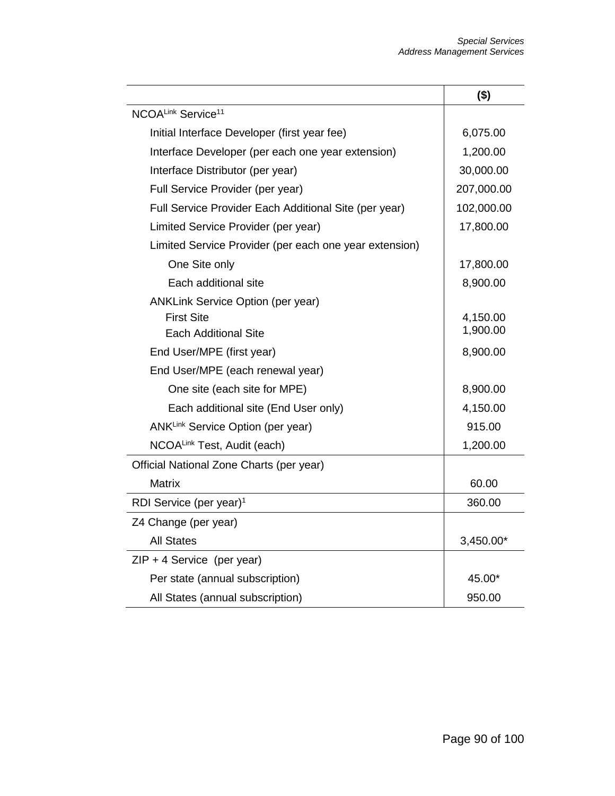|                                                        | $($ \$)    |
|--------------------------------------------------------|------------|
| NCOALink Service <sup>11</sup>                         |            |
| Initial Interface Developer (first year fee)           | 6,075.00   |
| Interface Developer (per each one year extension)      | 1,200.00   |
| Interface Distributor (per year)                       | 30,000.00  |
| Full Service Provider (per year)                       | 207,000.00 |
| Full Service Provider Each Additional Site (per year)  | 102,000.00 |
| Limited Service Provider (per year)                    | 17,800.00  |
| Limited Service Provider (per each one year extension) |            |
| One Site only                                          | 17,800.00  |
| Each additional site                                   | 8,900.00   |
| <b>ANKLink Service Option (per year)</b>               |            |
| <b>First Site</b>                                      | 4,150.00   |
| Each Additional Site                                   | 1,900.00   |
| End User/MPE (first year)                              | 8,900.00   |
| End User/MPE (each renewal year)                       |            |
| One site (each site for MPE)                           | 8,900.00   |
| Each additional site (End User only)                   | 4,150.00   |
| ANKLink Service Option (per year)                      | 915.00     |
| NCOALink Test, Audit (each)                            | 1,200.00   |
| Official National Zone Charts (per year)               |            |
| <b>Matrix</b>                                          | 60.00      |
| RDI Service (per year) <sup>1</sup>                    | 360.00     |
| Z4 Change (per year)                                   |            |
| <b>All States</b>                                      | 3,450.00*  |
| $ZIP + 4$ Service (per year)                           |            |
| Per state (annual subscription)                        | 45.00*     |
| All States (annual subscription)                       | 950.00     |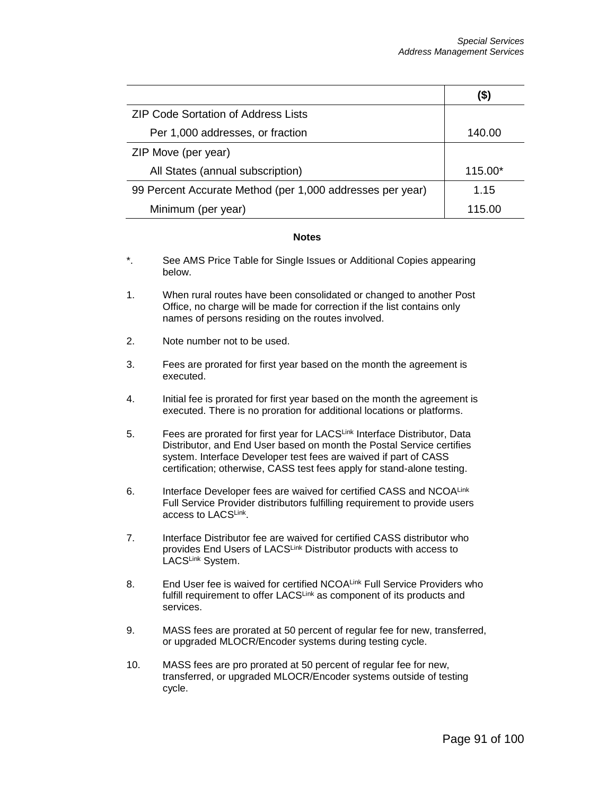|                                                           | (\$)    |
|-----------------------------------------------------------|---------|
| <b>ZIP Code Sortation of Address Lists</b>                |         |
| Per 1,000 addresses, or fraction                          | 140.00  |
| ZIP Move (per year)                                       |         |
| All States (annual subscription)                          | 115.00* |
| 99 Percent Accurate Method (per 1,000 addresses per year) | 1.15    |
| Minimum (per year)                                        | 115.00  |

#### **Notes**

- \*. See AMS Price Table for Single Issues or Additional Copies appearing below.
- 1. When rural routes have been consolidated or changed to another Post Office, no charge will be made for correction if the list contains only names of persons residing on the routes involved.
- 2. Note number not to be used.
- 3. Fees are prorated for first year based on the month the agreement is executed.
- 4. Initial fee is prorated for first year based on the month the agreement is executed. There is no proration for additional locations or platforms.
- 5. Fees are prorated for first year for LACSLink Interface Distributor, Data Distributor, and End User based on month the Postal Service certifies system. Interface Developer test fees are waived if part of CASS certification; otherwise, CASS test fees apply for stand-alone testing.
- 6. Interface Developer fees are waived for certified CASS and NCOALink Full Service Provider distributors fulfilling requirement to provide users access to LACSLink.
- 7. Interface Distributor fee are waived for certified CASS distributor who provides End Users of LACSLink Distributor products with access to LACSLink System.
- 8. End User fee is waived for certified NCOALink Full Service Providers who fulfill requirement to offer LACSLink as component of its products and services.
- 9. MASS fees are prorated at 50 percent of regular fee for new, transferred, or upgraded MLOCR/Encoder systems during testing cycle.
- 10. MASS fees are pro prorated at 50 percent of regular fee for new, transferred, or upgraded MLOCR/Encoder systems outside of testing cycle.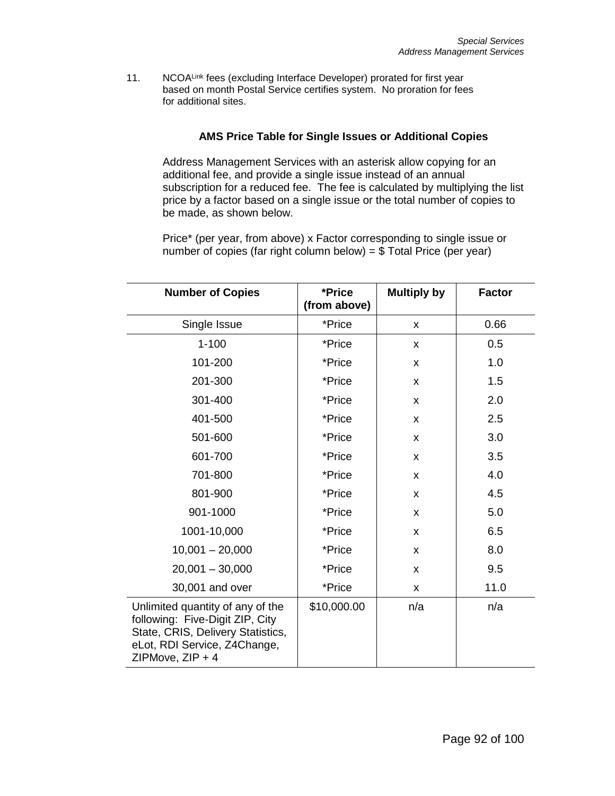11. NCOALink fees (excluding Interface Developer) prorated for first year based on month Postal Service certifies system. No proration for fees for additional sites.

# **AMS Price Table for Single Issues or Additional Copies**

Address Management Services with an asterisk allow copying for an additional fee, and provide a single issue instead of an annual subscription for a reduced fee. The fee is calculated by multiplying the list price by a factor based on a single issue or the total number of copies to be made, as shown below.

Price\* (per year, from above) x Factor corresponding to single issue or number of copies (far right column below) =  $$$  Total Price (per year)

| <b>Number of Copies</b>                                                                                                                                      | *Price<br>(from above) | <b>Multiply by</b> | <b>Factor</b> |
|--------------------------------------------------------------------------------------------------------------------------------------------------------------|------------------------|--------------------|---------------|
| Single Issue                                                                                                                                                 | *Price                 | X                  | 0.66          |
| $1 - 100$                                                                                                                                                    | *Price                 | X                  | 0.5           |
| 101-200                                                                                                                                                      | *Price                 | X                  | 1.0           |
| 201-300                                                                                                                                                      | *Price                 | X                  | 1.5           |
| 301-400                                                                                                                                                      | *Price                 | X                  | 2.0           |
| 401-500                                                                                                                                                      | *Price                 | X                  | 2.5           |
| 501-600                                                                                                                                                      | *Price                 | X                  | 3.0           |
| 601-700                                                                                                                                                      | *Price                 | X                  | 3.5           |
| 701-800                                                                                                                                                      | *Price                 | X                  | 4.0           |
| 801-900                                                                                                                                                      | *Price                 | X                  | 4.5           |
| 901-1000                                                                                                                                                     | *Price                 | X                  | 5.0           |
| 1001-10,000                                                                                                                                                  | *Price                 | X                  | 6.5           |
| $10,001 - 20,000$                                                                                                                                            | *Price                 | X                  | 8.0           |
| $20,001 - 30,000$                                                                                                                                            | *Price                 | X                  | 9.5           |
| 30,001 and over                                                                                                                                              | *Price                 | X                  | 11.0          |
| Unlimited quantity of any of the<br>following: Five-Digit ZIP, City<br>State, CRIS, Delivery Statistics,<br>eLot, RDI Service, Z4Change,<br>ZIPMove, ZIP + 4 | \$10,000.00            | n/a                | n/a           |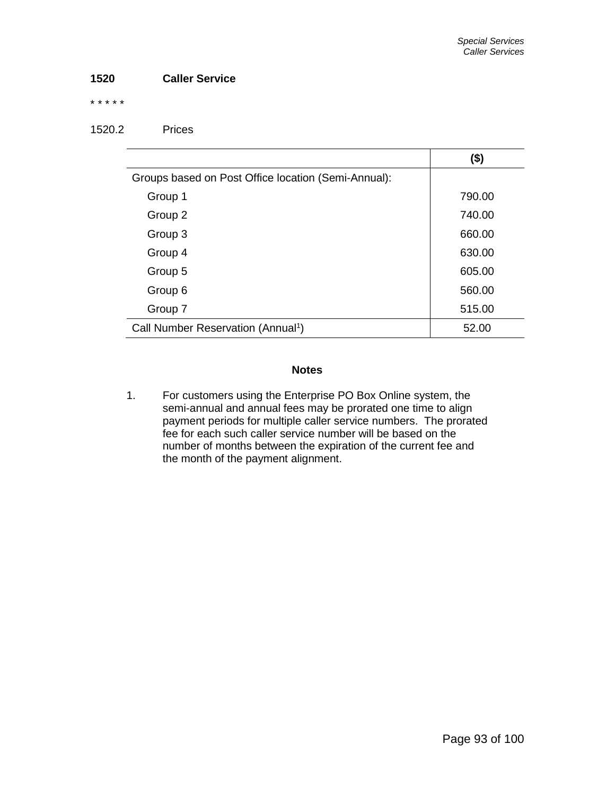## **1520 Caller Service**

\* \* \* \* \*

## 1520.2 Prices

|                                                     | $($ \$) |
|-----------------------------------------------------|---------|
| Groups based on Post Office location (Semi-Annual): |         |
| Group 1                                             | 790.00  |
| Group 2                                             | 740.00  |
| Group 3                                             | 660.00  |
| Group 4                                             | 630.00  |
| Group 5                                             | 605.00  |
| Group 6                                             | 560.00  |
| Group 7                                             | 515.00  |
| Call Number Reservation (Annual <sup>1</sup> )      | 52.00   |

## **Notes**

1. For customers using the Enterprise PO Box Online system, the semi-annual and annual fees may be prorated one time to align payment periods for multiple caller service numbers. The prorated fee for each such caller service number will be based on the number of months between the expiration of the current fee and the month of the payment alignment.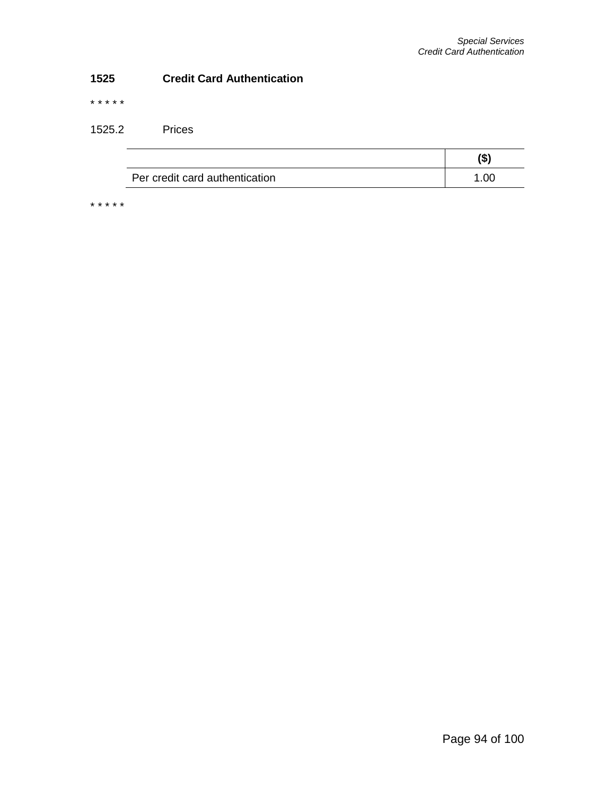## **1525 Credit Card Authentication**

\* \* \* \* \*

1525.2 Prices

|                                | œ.   |
|--------------------------------|------|
| Per credit card authentication | 1.00 |

\* \* \* \* \*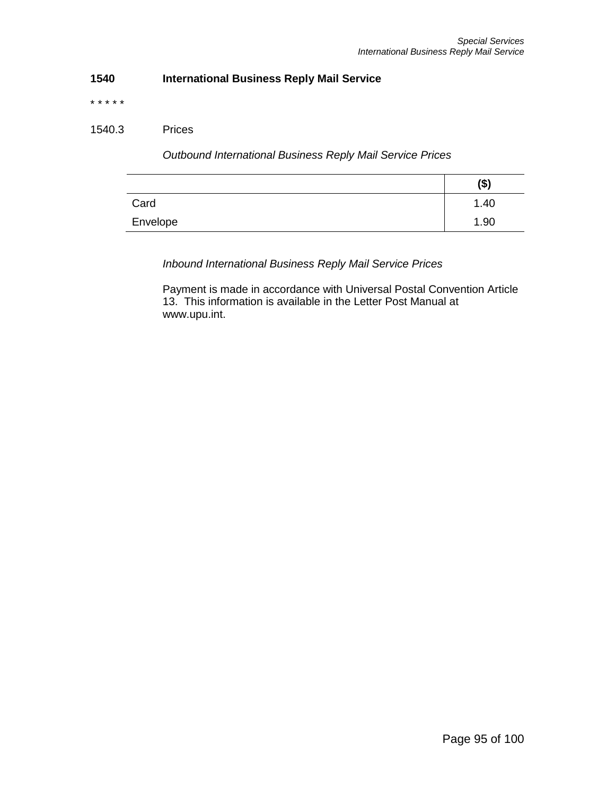# **1540 International Business Reply Mail Service**

\* \* \* \* \*

## 1540.3 Prices

*Outbound International Business Reply Mail Service Prices*

|          | (\$) |
|----------|------|
| Card     | 1.40 |
| Envelope | 1.90 |

*Inbound International Business Reply Mail Service Prices*

Payment is made in accordance with Universal Postal Convention Article 13. This information is available in the Letter Post Manual at www.upu.int.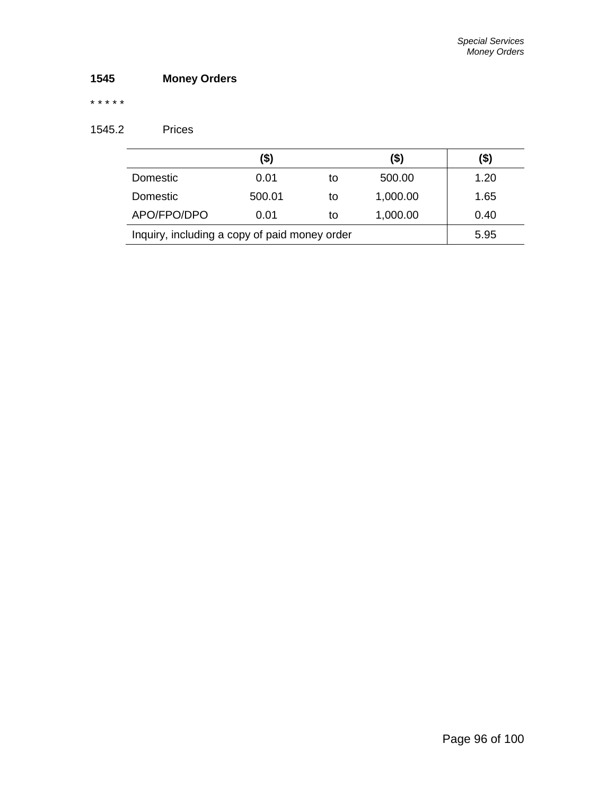# **1545 Money Orders**

## \* \* \* \* \*

# 1545.2 Prices

|                                               | (\$)   |    | (\$)     | (\$) |
|-----------------------------------------------|--------|----|----------|------|
| Domestic                                      | 0.01   | to | 500.00   | 1.20 |
| Domestic                                      | 500.01 | to | 1,000.00 | 1.65 |
| APO/FPO/DPO                                   | 0.01   | to | 1,000.00 | 0.40 |
| Inquiry, including a copy of paid money order | 5.95   |    |          |      |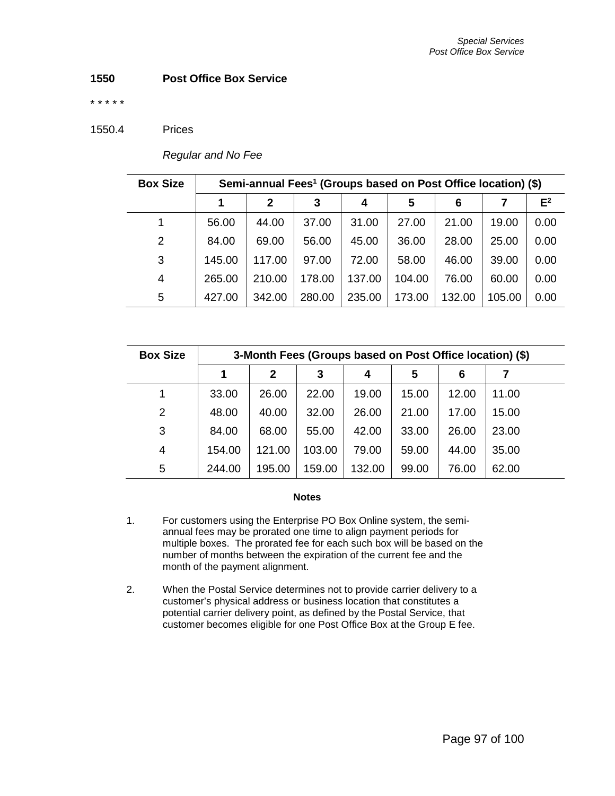## **1550 Post Office Box Service**

\* \* \* \* \*

### 1550.4 Prices

| <b>Box Size</b> | Semi-annual Fees <sup>1</sup> (Groups based on Post Office location) (\$) |              |        |        |        |        |        |       |
|-----------------|---------------------------------------------------------------------------|--------------|--------|--------|--------|--------|--------|-------|
|                 |                                                                           | $\mathbf{2}$ | 3      | 4      | 5      | 6      |        | $E^2$ |
| 1               | 56.00                                                                     | 44.00        | 37.00  | 31.00  | 27.00  | 21.00  | 19.00  | 0.00  |
| 2               | 84.00                                                                     | 69.00        | 56.00  | 45.00  | 36.00  | 28.00  | 25.00  | 0.00  |
| 3               | 145.00                                                                    | 117.00       | 97.00  | 72.00  | 58.00  | 46.00  | 39.00  | 0.00  |
| 4               | 265.00                                                                    | 210.00       | 178.00 | 137.00 | 104.00 | 76.00  | 60.00  | 0.00  |
| 5               | 427.00                                                                    | 342.00       | 280.00 | 235.00 | 173.00 | 132.00 | 105.00 | 0.00  |

*Regular and No Fee*

| <b>Box Size</b> | 3-Month Fees (Groups based on Post Office location) (\$) |        |        |        |       |       |       |
|-----------------|----------------------------------------------------------|--------|--------|--------|-------|-------|-------|
|                 | 1                                                        | 2      | 3      | 4      | 5     | 6     | 7     |
|                 | 33.00                                                    | 26.00  | 22.00  | 19.00  | 15.00 | 12.00 | 11.00 |
| 2               | 48.00                                                    | 40.00  | 32.00  | 26.00  | 21.00 | 17.00 | 15.00 |
| 3               | 84.00                                                    | 68.00  | 55.00  | 42.00  | 33.00 | 26.00 | 23.00 |
| 4               | 154.00                                                   | 121.00 | 103.00 | 79.00  | 59.00 | 44.00 | 35.00 |
| 5               | 244.00                                                   | 195.00 | 159.00 | 132.00 | 99.00 | 76.00 | 62.00 |

#### **Notes**

- 1. For customers using the Enterprise PO Box Online system, the semiannual fees may be prorated one time to align payment periods for multiple boxes. The prorated fee for each such box will be based on the number of months between the expiration of the current fee and the month of the payment alignment.
- 2. When the Postal Service determines not to provide carrier delivery to a customer's physical address or business location that constitutes a potential carrier delivery point, as defined by the Postal Service, that customer becomes eligible for one Post Office Box at the Group E fee.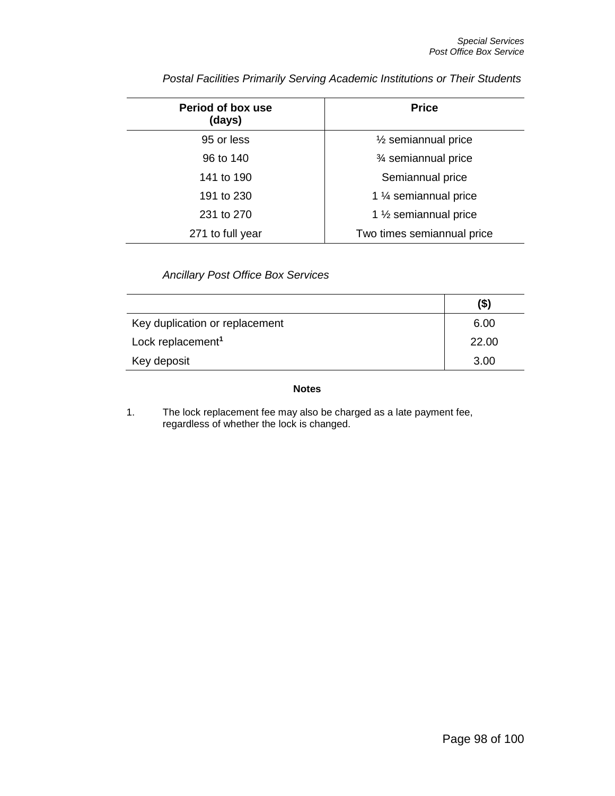| Period of box use<br>(days) | <b>Price</b>                     |  |  |  |
|-----------------------------|----------------------------------|--|--|--|
| 95 or less                  | $\frac{1}{2}$ semiannual price   |  |  |  |
| 96 to 140                   | 3⁄4 semiannual price             |  |  |  |
| 141 to 190                  | Semiannual price                 |  |  |  |
| 191 to 230                  | 1 1/4 semiannual price           |  |  |  |
| 231 to 270                  | 1 $\frac{1}{2}$ semiannual price |  |  |  |
| 271 to full year            | Two times semiannual price       |  |  |  |

*Postal Facilities Primarily Serving Academic Institutions or Their Students*

*Ancillary Post Office Box Services*

|                                | $($ \$) |
|--------------------------------|---------|
| Key duplication or replacement | 6.00    |
| Lock replacement <sup>1</sup>  | 22.00   |
| Key deposit                    | 3.00    |

## **Notes**

1. The lock replacement fee may also be charged as a late payment fee, regardless of whether the lock is changed.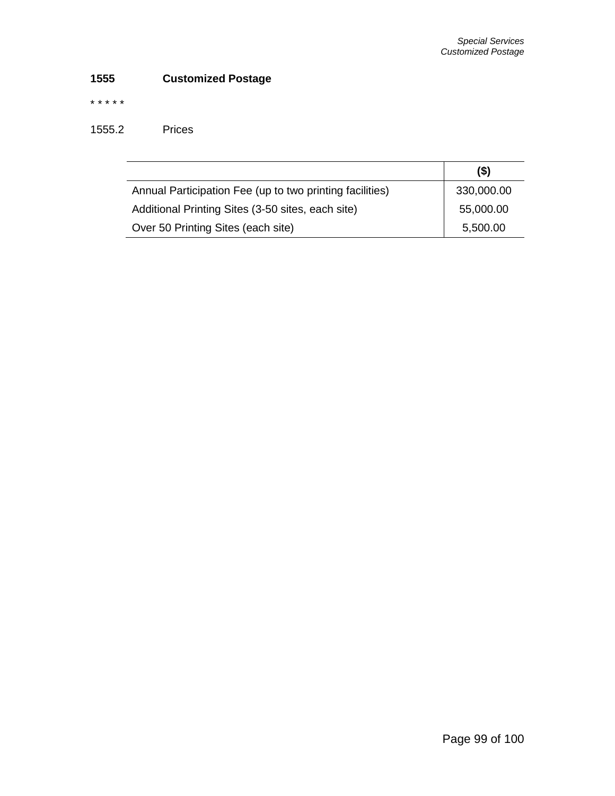# **1555 Customized Postage**

\* \* \* \* \*

1555.2 Prices

|                                                          | $($ \$)    |
|----------------------------------------------------------|------------|
| Annual Participation Fee (up to two printing facilities) | 330,000.00 |
| Additional Printing Sites (3-50 sites, each site)        | 55,000.00  |
| Over 50 Printing Sites (each site)                       | 5,500.00   |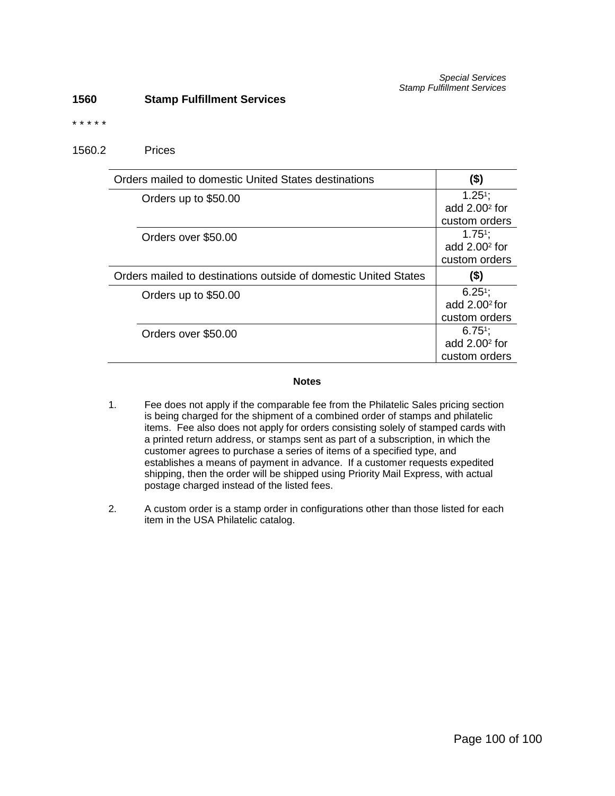### **1560 Stamp Fulfillment Services**

#### \* \* \* \* \*

1560.2 Prices

| Orders mailed to domestic United States destinations            | (\$)             |
|-----------------------------------------------------------------|------------------|
| Orders up to \$50.00                                            | $1.25^{1}$ ;     |
|                                                                 | add $2.002$ for  |
|                                                                 | custom orders    |
| Orders over \$50.00                                             | $1.751$ ;        |
|                                                                 | add $2.002$ for  |
|                                                                 | custom orders    |
| Orders mailed to destinations outside of domestic United States | (\$)             |
| Orders up to \$50.00                                            | $6.25^{\circ}$ ; |
|                                                                 | add $2.002$ for  |
|                                                                 | custom orders    |
| Orders over \$50.00                                             | $6.75^{\circ}$ ; |
|                                                                 | add $2.002$ for  |
|                                                                 | custom orders    |

## **Notes**

- 1. Fee does not apply if the comparable fee from the Philatelic Sales pricing section is being charged for the shipment of a combined order of stamps and philatelic items. Fee also does not apply for orders consisting solely of stamped cards with a printed return address, or stamps sent as part of a subscription, in which the customer agrees to purchase a series of items of a specified type, and establishes a means of payment in advance. If a customer requests expedited shipping, then the order will be shipped using Priority Mail Express, with actual postage charged instead of the listed fees.
- 2. A custom order is a stamp order in configurations other than those listed for each item in the USA Philatelic catalog.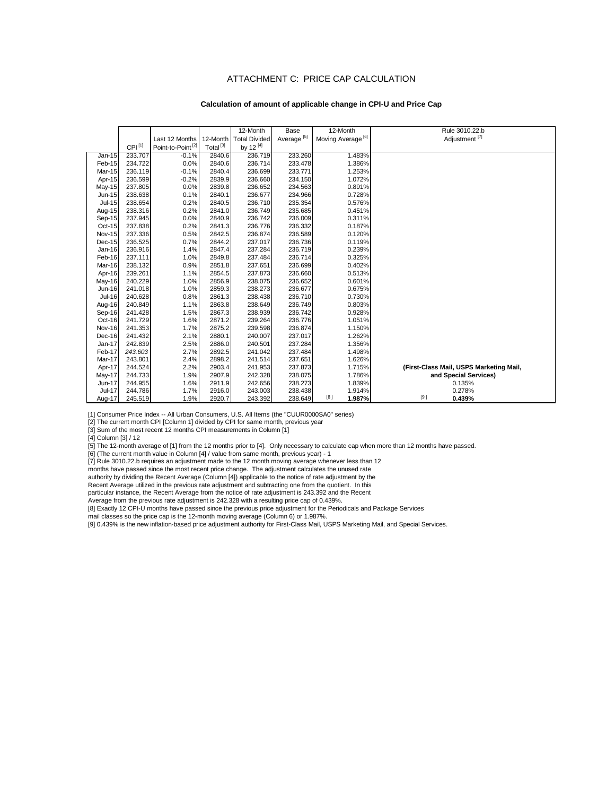#### ATTACHMENT C: PRICE CAP CALCULATION

#### **Calculation of amount of applicable change in CPI-U and Price Cap**

|               |             |                               |                      | 12-Month             | Base                   | 12-Month                      | Rule 3010.22.b                          |
|---------------|-------------|-------------------------------|----------------------|----------------------|------------------------|-------------------------------|-----------------------------------------|
|               |             | Last 12 Months                | 12-Month             | <b>Total Divided</b> | Average <sup>[5]</sup> | Moving Average <sup>[6]</sup> | Adjustment <sup>[7]</sup>               |
|               | $CPI^{[1]}$ | Point-to-Point <sup>[2]</sup> | Total <sup>[3]</sup> | by 12 $^{[4]}$       |                        |                               |                                         |
| Jan-15        | 233.707     | $-0.1%$                       | 2840.6               | 236.719              | 233.260                | 1.483%                        |                                         |
| Feb-15        | 234.722     | 0.0%                          | 2840.6               | 236.714              | 233.478                | 1.386%                        |                                         |
| Mar-15        | 236.119     | $-0.1%$                       | 2840.4               | 236.699              | 233.771                | 1.253%                        |                                         |
| Apr-15        | 236.599     | $-0.2%$                       | 2839.9               | 236.660              | 234.150                | 1.072%                        |                                         |
| May-15        | 237.805     | 0.0%                          | 2839.8               | 236.652              | 234.563                | 0.891%                        |                                         |
| Jun-15        | 238.638     | 0.1%                          | 2840.1               | 236.677              | 234.966                | 0.728%                        |                                         |
| $Jul-15$      | 238.654     | 0.2%                          | 2840.5               | 236.710              | 235.354                | 0.576%                        |                                         |
| Aug-15        | 238.316     | 0.2%                          | 2841.0               | 236.749              | 235.685                | 0.451%                        |                                         |
| Sep-15        | 237.945     | 0.0%                          | 2840.9               | 236.742              | 236.009                | 0.311%                        |                                         |
| Oct-15        | 237.838     | 0.2%                          | 2841.3               | 236.776              | 236.332                | 0.187%                        |                                         |
| <b>Nov-15</b> | 237.336     | 0.5%                          | 2842.5               | 236.874              | 236.589                | 0.120%                        |                                         |
| Dec-15        | 236.525     | 0.7%                          | 2844.2               | 237.017              | 236.736                | 0.119%                        |                                         |
| Jan-16        | 236.916     | 1.4%                          | 2847.4               | 237.284              | 236.719                | 0.239%                        |                                         |
| Feb-16        | 237.111     | 1.0%                          | 2849.8               | 237.484              | 236.714                | 0.325%                        |                                         |
| Mar-16        | 238.132     | 0.9%                          | 2851.8               | 237.651              | 236.699                | 0.402%                        |                                         |
| Apr-16        | 239.261     | 1.1%                          | 2854.5               | 237.873              | 236.660                | 0.513%                        |                                         |
| May-16        | 240.229     | 1.0%                          | 2856.9               | 238.075              | 236.652                | 0.601%                        |                                         |
| Jun-16        | 241.018     | 1.0%                          | 2859.3               | 238.273              | 236.677                | 0.675%                        |                                         |
| Jul-16        | 240.628     | 0.8%                          | 2861.3               | 238.438              | 236.710                | 0.730%                        |                                         |
| Aug-16        | 240.849     | 1.1%                          | 2863.8               | 238.649              | 236.749                | 0.803%                        |                                         |
| Sep-16        | 241.428     | 1.5%                          | 2867.3               | 238.939              | 236.742                | 0.928%                        |                                         |
| Oct-16        | 241.729     | 1.6%                          | 2871.2               | 239.264              | 236.776                | 1.051%                        |                                         |
| <b>Nov-16</b> | 241.353     | 1.7%                          | 2875.2               | 239.598              | 236.874                | 1.150%                        |                                         |
| Dec-16        | 241.432     | 2.1%                          | 2880.1               | 240.007              | 237.017                | 1.262%                        |                                         |
| Jan-17        | 242.839     | 2.5%                          | 2886.0               | 240.501              | 237.284                | 1.356%                        |                                         |
| Feb-17        | 243.603     | 2.7%                          | 2892.5               | 241.042              | 237.484                | 1.498%                        |                                         |
| Mar-17        | 243.801     | 2.4%                          | 2898.2               | 241.514              | 237.651                | 1.626%                        |                                         |
| Apr-17        | 244.524     | 2.2%                          | 2903.4               | 241.953              | 237.873                | 1.715%                        | (First-Class Mail, USPS Marketing Mail, |
| May-17        | 244.733     | 1.9%                          | 2907.9               | 242.328              | 238.075                | 1.786%                        | and Special Services)                   |
| Jun-17        | 244.955     | 1.6%                          | 2911.9               | 242.656              | 238.273                | 1.839%                        | 0.135%                                  |
| $Jul-17$      | 244.786     | 1.7%                          | 2916.0               | 243.003              | 238.438                | 1.914%                        | 0.278%                                  |
| Aug-17        | 245.519     | 1.9%                          | 2920.7               | 243.392              | 238.649                | [8]<br>1.987%                 | [9]<br>0.439%                           |

[1] Consumer Price Index -- All Urban Consumers, U.S. All Items (the "CUUR0000SA0" series)

[2] The current month CPI [Column 1] divided by CPI for same month, previous year

[3] Sum of the most recent 12 months CPI measurements in Column [1]

[4] Column [3] / 12

[5] The 12-month average of [1] from the 12 months prior to [4]. Only necessary to calculate cap when more than 12 months have passed.

[6] (The current month value in Column [4] / value from same month, previous year) - 1

[7] Rule 3010.22.b requires an adjustment made to the 12 month moving average whenever less than 12

months have passed since the most recent price change. The adjustment calculates the unused rate

authority by dividing the Recent Average (Column [4]) applicable to the notice of rate adjustment by the

Recent Average utilized in the previous rate adjustment and subtracting one from the quotient. In this

particular instance, the Recent Average from the notice of rate adjustment is 243.392 and the Recent

Average from the previous rate adjustment is 242.328 with a resulting price cap of 0.439%.

[8] Exactly 12 CPI-U months have passed since the previous price adjustment for the Periodicals and Package Services

mail classes so the price cap is the 12-month moving average (Column 6) or 1.987%.

[9] 0.439% is the new inflation-based price adjustment authority for First-Class Mail, USPS Marketing Mail, and Special Services.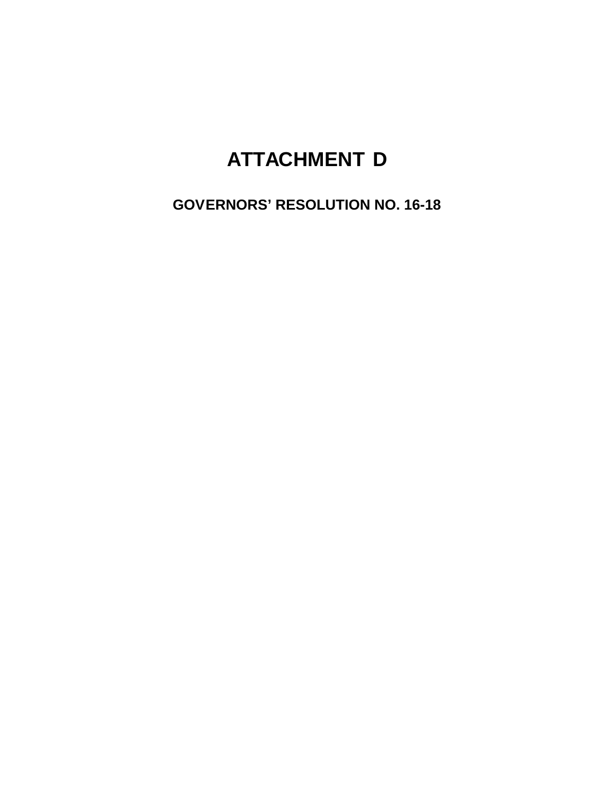# **ATTACHMENT D**

**GOVERNORS' RESOLUTION NO. 16-18**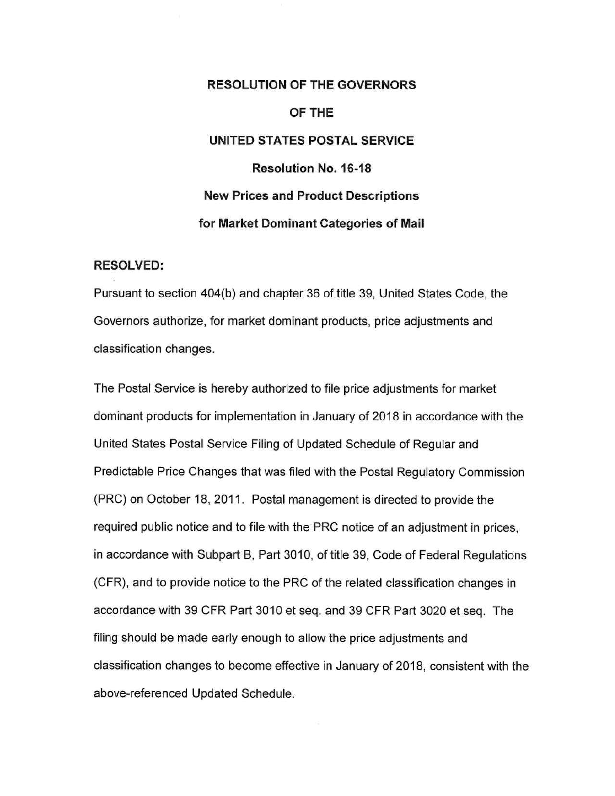# **RESOLUTION OF THE GOVERNORS** OF THE UNITED STATES POSTAL SERVICE **Resolution No. 16-18 New Prices and Product Descriptions** for Market Dominant Categories of Mail

## **RESOLVED:**

Pursuant to section 404(b) and chapter 36 of title 39, United States Code, the Governors authorize, for market dominant products, price adjustments and classification changes.

The Postal Service is hereby authorized to file price adjustments for market dominant products for implementation in January of 2018 in accordance with the United States Postal Service Filing of Updated Schedule of Regular and Predictable Price Changes that was filed with the Postal Regulatory Commission (PRC) on October 18, 2011. Postal management is directed to provide the required public notice and to file with the PRC notice of an adjustment in prices, in accordance with Subpart B, Part 3010, of title 39, Code of Federal Regulations (CFR), and to provide notice to the PRC of the related classification changes in accordance with 39 CFR Part 3010 et seq. and 39 CFR Part 3020 et seq. The filing should be made early enough to allow the price adjustments and classification changes to become effective in January of 2018, consistent with the above-referenced Updated Schedule.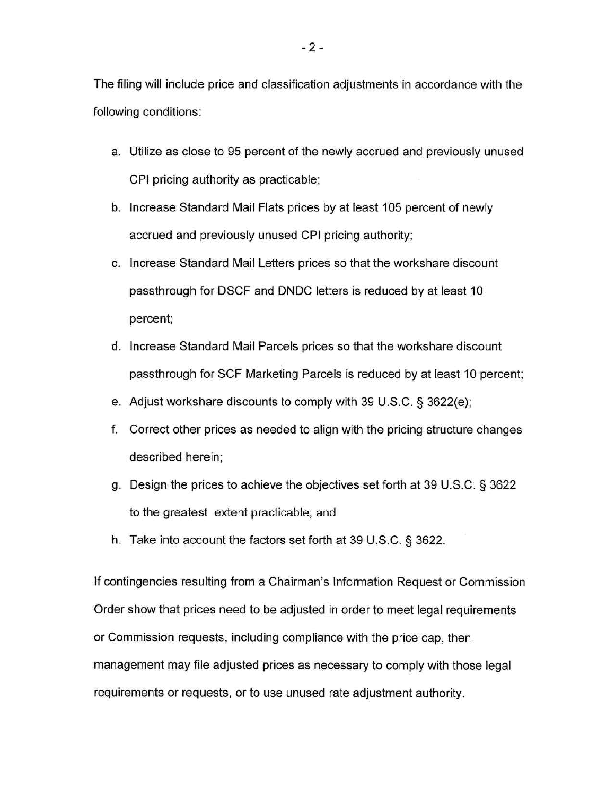The filing will include price and classification adjustments in accordance with the following conditions:

- a. Utilize as close to 95 percent of the newly accrued and previously unused CPI pricing authority as practicable;
- b. Increase Standard Mail Flats prices by at least 105 percent of newly accrued and previously unused CPI pricing authority;
- c. Increase Standard Mail Letters prices so that the workshare discount passthrough for DSCF and DNDC letters is reduced by at least 10 percent;
- d. Increase Standard Mail Parcels prices so that the workshare discount passthrough for SCF Marketing Parcels is reduced by at least 10 percent;
- e. Adjust workshare discounts to comply with 39 U.S.C. § 3622(e);
- f. Correct other prices as needed to align with the pricing structure changes described herein;
- g. Design the prices to achieve the objectives set forth at 39 U.S.C. § 3622 to the greatest extent practicable; and
- h. Take into account the factors set forth at 39 U.S.C. § 3622.

If contingencies resulting from a Chairman's Information Request or Commission Order show that prices need to be adjusted in order to meet legal requirements or Commission requests, including compliance with the price cap, then management may file adjusted prices as necessary to comply with those legal requirements or requests, or to use unused rate adjustment authority.